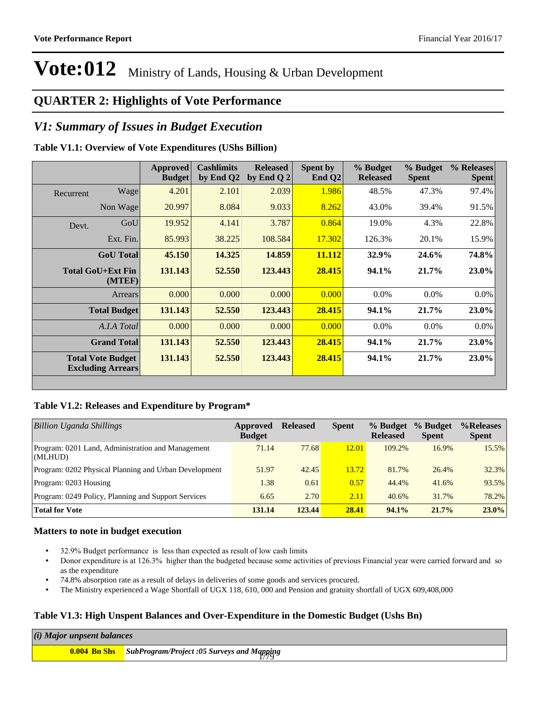### **QUARTER 2: Highlights of Vote Performance**

#### *V1: Summary of Issues in Budget Execution*

#### **Table V1.1: Overview of Vote Expenditures (UShs Billion)**

|           |                                                      | <b>Approved</b><br><b>Budget</b> | <b>Cashlimits</b><br>by End Q2 | <b>Released</b><br>by End Q $2$ | Spent by<br>End $Q2$ | % Budget<br><b>Released</b> | % Budget<br><b>Spent</b> | % Releases<br><b>Spent</b> |
|-----------|------------------------------------------------------|----------------------------------|--------------------------------|---------------------------------|----------------------|-----------------------------|--------------------------|----------------------------|
| Recurrent | Wage                                                 | 4.201                            | 2.101                          | 2.039                           | 1.986                | 48.5%                       | 47.3%                    | 97.4%                      |
|           | Non Wage                                             | 20.997                           | 8.084                          | 9.033                           | 8.262                | 43.0%                       | 39.4%                    | 91.5%                      |
| Devt.     | GoU                                                  | 19.952                           | 4.141                          | 3.787                           | 0.864                | 19.0%                       | 4.3%                     | 22.8%                      |
|           | Ext. Fin.                                            | 85.993                           | 38.225                         | 108.584                         | 17.302               | 126.3%                      | 20.1%                    | 15.9%                      |
|           | <b>GoU</b> Total                                     | 45.150                           | 14.325                         | 14.859                          | 11.112               | 32.9%                       | 24.6%                    | 74.8%                      |
|           | Total GoU+Ext Fin<br>(MTEF)                          | 131.143                          | 52.550                         | 123.443                         | 28.415               | 94.1%                       | 21.7%                    | $23.0\%$                   |
|           | Arrears                                              | 0.000                            | 0.000                          | 0.000                           | 0.000                | $0.0\%$                     | $0.0\%$                  | $0.0\%$                    |
|           | <b>Total Budget</b>                                  | 131.143                          | 52.550                         | 123.443                         | 28.415               | 94.1%                       | 21.7%                    | <b>23.0%</b>               |
|           | A.I.A Total                                          | 0.000                            | 0.000                          | 0.000                           | 0.000                | $0.0\%$                     | $0.0\%$                  | $0.0\%$                    |
|           | <b>Grand Total</b>                                   | 131.143                          | 52.550                         | 123.443                         | 28.415               | 94.1%                       | 21.7%                    | $23.0\%$                   |
|           | <b>Total Vote Budget</b><br><b>Excluding Arrears</b> | 131.143                          | 52.550                         | 123.443                         | 28.415               | 94.1%                       | 21.7%                    | 23.0%                      |

#### **Table V1.2: Releases and Expenditure by Program\***

| Billion Uganda Shillings                                     | Approved<br><b>Budget</b> | <b>Released</b> | <b>Spent</b> | % Budget<br><b>Released</b> | % Budget<br><b>Spent</b> | %Releases<br><b>Spent</b> |
|--------------------------------------------------------------|---------------------------|-----------------|--------------|-----------------------------|--------------------------|---------------------------|
| Program: 0201 Land, Administration and Management<br>(MLHUD) | 71.14                     | 77.68           | 12.01        | 109.2%                      | 16.9%                    | 15.5%                     |
| Program: 0202 Physical Planning and Urban Development        | 51.97                     | 42.45           | 13.72        | 81.7%                       | 26.4%                    | 32.3%                     |
| Program: 0203 Housing                                        | 1.38                      | 0.61            | 0.57         | 44.4%                       | 41.6%                    | 93.5%                     |
| Program: 0249 Policy, Planning and Support Services          | 6.65                      | 2.70            | 2.11         | 40.6%                       | 31.7%                    | 78.2%                     |
| <b>Total for Vote</b>                                        | 131.14                    | 123.44          | 28.41        | 94.1%                       | $21.7\%$                 | $23.0\%$                  |

#### **Matters to note in budget execution**

- \* 32.9% Budget performance is less than expected as result of low cash limits
- Donor expenditure is at 126.3% higher than the budgeted because some activities of previous Financial year were carried forward and so as the expenditure
- 74.8% absorption rate as a result of delays in deliveries of some goods and services procured.
- The Ministry experienced a Wage Shortfall of UGX 118, 610, 000 and Pension and gratuity shortfall of UGX 609,408,000

#### **Table V1.3: High Unspent Balances and Over-Expenditure in the Domestic Budget (Ushs Bn)**

| (i) Major unpsent balances |                                                                |
|----------------------------|----------------------------------------------------------------|
|                            | <b>0.004 Bn Shs</b> SubProgram/Project :05 Surveys and Mapping |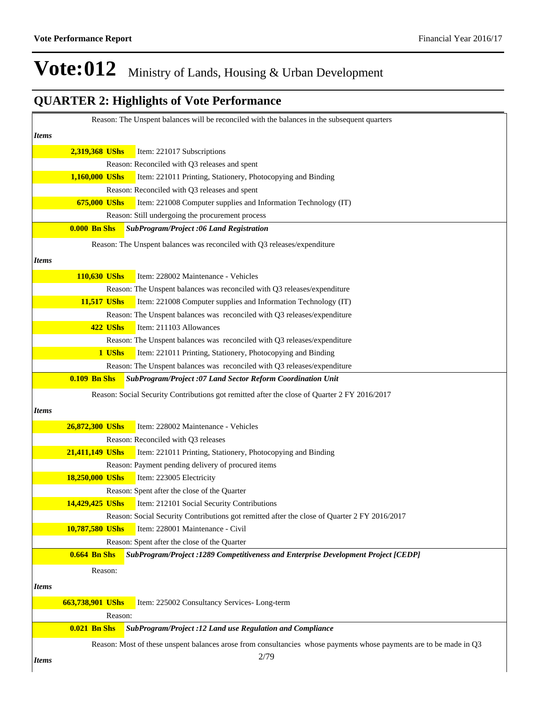|              |                     | Reason: The Unspent balances will be reconciled with the balances in the subsequent quarters                       |
|--------------|---------------------|--------------------------------------------------------------------------------------------------------------------|
|              |                     |                                                                                                                    |
| Items        |                     |                                                                                                                    |
|              | 2,319,368 UShs      | Item: 221017 Subscriptions                                                                                         |
|              |                     | Reason: Reconciled with Q3 releases and spent                                                                      |
|              | 1,160,000 UShs      | Item: 221011 Printing, Stationery, Photocopying and Binding                                                        |
|              |                     | Reason: Reconciled with Q3 releases and spent                                                                      |
|              | 675,000 UShs        | Item: 221008 Computer supplies and Information Technology (IT)                                                     |
|              |                     | Reason: Still undergoing the procurement process                                                                   |
|              | <b>0.000 Bn Shs</b> | SubProgram/Project :06 Land Registration                                                                           |
|              |                     | Reason: The Unspent balances was reconciled with Q3 releases/expenditure                                           |
| Items        |                     |                                                                                                                    |
|              |                     |                                                                                                                    |
|              | 110,630 UShs        | Item: 228002 Maintenance - Vehicles                                                                                |
|              |                     | Reason: The Unspent balances was reconciled with Q3 releases/expenditure                                           |
|              | 11,517 UShs         | Item: 221008 Computer supplies and Information Technology (IT)                                                     |
|              |                     | Reason: The Unspent balances was reconciled with Q3 releases/expenditure                                           |
|              | 422 UShs            | Item: 211103 Allowances                                                                                            |
|              |                     | Reason: The Unspent balances was reconciled with Q3 releases/expenditure                                           |
|              | 1 UShs              | Item: 221011 Printing, Stationery, Photocopying and Binding                                                        |
|              |                     | Reason: The Unspent balances was reconciled with Q3 releases/expenditure                                           |
|              | <b>0.109 Bn Shs</b> | SubProgram/Project :07 Land Sector Reform Coordination Unit                                                        |
|              |                     | Reason: Social Security Contributions got remitted after the close of Quarter 2 FY 2016/2017                       |
| Items        |                     |                                                                                                                    |
|              | 26,872,300 UShs     | Item: 228002 Maintenance - Vehicles                                                                                |
|              |                     | Reason: Reconciled with Q3 releases                                                                                |
|              | 21,411,149 UShs     |                                                                                                                    |
|              |                     | Item: 221011 Printing, Stationery, Photocopying and Binding                                                        |
|              |                     | Reason: Payment pending delivery of procured items                                                                 |
|              | 18,250,000 UShs     | Item: 223005 Electricity                                                                                           |
|              |                     | Reason: Spent after the close of the Quarter                                                                       |
|              | 14,429,425 UShs     | Item: 212101 Social Security Contributions                                                                         |
|              |                     | Reason: Social Security Contributions got remitted after the close of Quarter 2 FY 2016/2017                       |
|              | 10,787,580 UShs     | Item: 228001 Maintenance - Civil                                                                                   |
|              |                     | Reason: Spent after the close of the Quarter                                                                       |
|              | <b>0.664 Bn Shs</b> | SubProgram/Project :1289 Competitiveness and Enterprise Development Project [CEDP]                                 |
|              | Reason:             |                                                                                                                    |
| <i>Items</i> |                     |                                                                                                                    |
|              | 663,738,901 UShs    | Item: 225002 Consultancy Services- Long-term                                                                       |
|              | Reason:             |                                                                                                                    |
|              | <b>0.021 Bn Shs</b> | SubProgram/Project :12 Land use Regulation and Compliance                                                          |
|              |                     | Reason: Most of these unspent balances arose from consultancies whose payments whose payments are to be made in Q3 |
|              |                     | 2/79                                                                                                               |
| <i>Items</i> |                     |                                                                                                                    |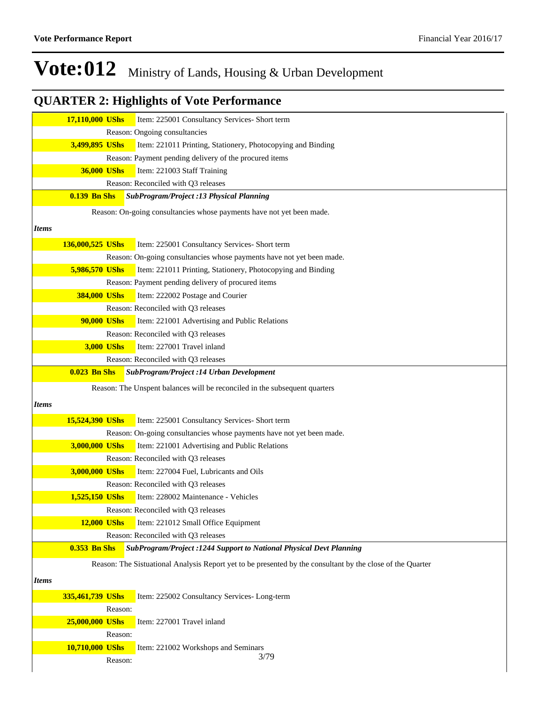|              | 17,110,000 UShs     | Item: 225001 Consultancy Services- Short term                                                              |
|--------------|---------------------|------------------------------------------------------------------------------------------------------------|
|              |                     | Reason: Ongoing consultancies                                                                              |
|              | 3,499,895 UShs      | Item: 221011 Printing, Stationery, Photocopying and Binding                                                |
|              |                     | Reason: Payment pending delivery of the procured items                                                     |
|              | 36,000 UShs         | Item: 221003 Staff Training                                                                                |
|              |                     | Reason: Reconciled with Q3 releases                                                                        |
|              | <b>0.139 Bn Shs</b> | SubProgram/Project :13 Physical Planning                                                                   |
|              |                     | Reason: On-going consultancies whose payments have not yet been made.                                      |
| <i>Items</i> |                     |                                                                                                            |
|              |                     |                                                                                                            |
|              | 136,000,525 UShs    | Item: 225001 Consultancy Services- Short term                                                              |
|              |                     | Reason: On-going consultancies whose payments have not yet been made.                                      |
|              | 5,986,570 UShs      | Item: 221011 Printing, Stationery, Photocopying and Binding                                                |
|              |                     | Reason: Payment pending delivery of procured items                                                         |
|              | 384,000 UShs        | Item: 222002 Postage and Courier                                                                           |
|              |                     | Reason: Reconciled with Q3 releases                                                                        |
|              | 90,000 UShs         | Item: 221001 Advertising and Public Relations                                                              |
|              |                     | Reason: Reconciled with Q3 releases                                                                        |
|              | 3,000 UShs          | Item: 227001 Travel inland                                                                                 |
|              |                     | Reason: Reconciled with Q3 releases                                                                        |
|              | <b>0.023 Bn Shs</b> | <b>SubProgram/Project :14 Urban Development</b>                                                            |
|              |                     | Reason: The Unspent balances will be reconciled in the subsequent quarters                                 |
| <i>Items</i> |                     |                                                                                                            |
|              | 15,524,390 UShs     | Item: 225001 Consultancy Services- Short term                                                              |
|              |                     | Reason: On-going consultancies whose payments have not yet been made.                                      |
|              | 3,000,000 UShs      | Item: 221001 Advertising and Public Relations                                                              |
|              |                     | Reason: Reconciled with Q3 releases                                                                        |
|              | 3,000,000 UShs      | Item: 227004 Fuel, Lubricants and Oils                                                                     |
|              |                     | Reason: Reconciled with Q3 releases                                                                        |
|              | 1,525,150 UShs      | Item: 228002 Maintenance - Vehicles                                                                        |
|              |                     | Reason: Reconciled with Q3 releases                                                                        |
|              | <b>12,000 UShs</b>  | Item: 221012 Small Office Equipment                                                                        |
|              |                     | Reason: Reconciled with Q3 releases                                                                        |
|              | <b>0.353 Bn Shs</b> | SubProgram/Project :1244 Support to National Physical Devt Planning                                        |
|              |                     | Reason: The Sistuational Analysis Report yet to be presented by the consultant by the close of the Quarter |
| <i>Items</i> |                     |                                                                                                            |
|              |                     |                                                                                                            |
|              | 335,461,739 UShs    | Item: 225002 Consultancy Services- Long-term                                                               |
|              | Reason:             |                                                                                                            |
|              | 25,000,000 UShs     | Item: 227001 Travel inland                                                                                 |
|              | Reason:             |                                                                                                            |
|              | 10,710,000 UShs     | Item: 221002 Workshops and Seminars<br>3/79                                                                |
|              | Reason:             |                                                                                                            |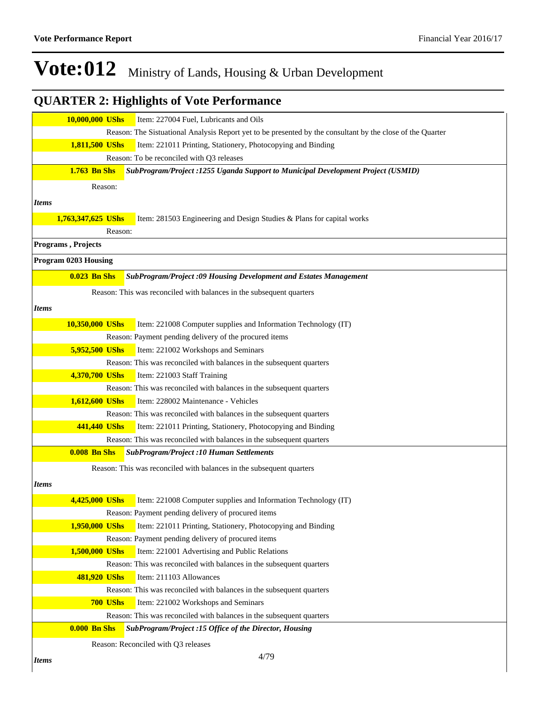|                      | 10,000,000 UShs               | Item: 227004 Fuel, Lubricants and Oils                                                                               |
|----------------------|-------------------------------|----------------------------------------------------------------------------------------------------------------------|
|                      |                               | Reason: The Sistuational Analysis Report yet to be presented by the consultant by the close of the Quarter           |
|                      | 1,811,500 UShs                | Item: 221011 Printing, Stationery, Photocopying and Binding                                                          |
|                      |                               | Reason: To be reconciled with Q3 releases                                                                            |
|                      | <b>1.763 Bn Shs</b>           | SubProgram/Project: 1255 Uganda Support to Municipal Development Project (USMID)                                     |
|                      | Reason:                       |                                                                                                                      |
| <b>Items</b>         |                               |                                                                                                                      |
|                      |                               |                                                                                                                      |
|                      | 1,763,347,625 UShs<br>Reason: | Item: 281503 Engineering and Design Studies & Plans for capital works                                                |
| Programs, Projects   |                               |                                                                                                                      |
|                      |                               |                                                                                                                      |
| Program 0203 Housing |                               |                                                                                                                      |
|                      | <b>0.023 Bn Shs</b>           | SubProgram/Project :09 Housing Development and Estates Management                                                    |
|                      |                               | Reason: This was reconciled with balances in the subsequent quarters                                                 |
| <i>Items</i>         |                               |                                                                                                                      |
|                      | 10,350,000 UShs               | Item: 221008 Computer supplies and Information Technology (IT)                                                       |
|                      |                               | Reason: Payment pending delivery of the procured items                                                               |
|                      | 5,952,500 UShs                | Item: 221002 Workshops and Seminars                                                                                  |
|                      |                               | Reason: This was reconciled with balances in the subsequent quarters                                                 |
|                      | 4,370,700 UShs                | Item: 221003 Staff Training                                                                                          |
|                      |                               | Reason: This was reconciled with balances in the subsequent quarters                                                 |
|                      | 1,612,600 UShs                | Item: 228002 Maintenance - Vehicles                                                                                  |
|                      |                               | Reason: This was reconciled with balances in the subsequent quarters                                                 |
|                      | 441,440 UShs                  | Item: 221011 Printing, Stationery, Photocopying and Binding                                                          |
|                      |                               | Reason: This was reconciled with balances in the subsequent quarters                                                 |
|                      | <b>0.008 Bn Shs</b>           | <b>SubProgram/Project :10 Human Settlements</b>                                                                      |
|                      |                               | Reason: This was reconciled with balances in the subsequent quarters                                                 |
| <i>Items</i>         |                               |                                                                                                                      |
|                      | 4,425,000 UShs                |                                                                                                                      |
|                      |                               | Item: 221008 Computer supplies and Information Technology (IT)<br>Reason: Payment pending delivery of procured items |
|                      | 1,950,000 UShs                | Item: 221011 Printing, Stationery, Photocopying and Binding                                                          |
|                      |                               | Reason: Payment pending delivery of procured items                                                                   |
|                      | 1,500,000 UShs                | Item: 221001 Advertising and Public Relations                                                                        |
|                      |                               | Reason: This was reconciled with balances in the subsequent quarters                                                 |
|                      | 481,920 UShs                  | Item: 211103 Allowances                                                                                              |
|                      |                               | Reason: This was reconciled with balances in the subsequent quarters                                                 |
|                      | 700 UShs                      | Item: 221002 Workshops and Seminars                                                                                  |
|                      |                               | Reason: This was reconciled with balances in the subsequent quarters                                                 |
|                      | <b>0.000 Bn Shs</b>           | SubProgram/Project :15 Office of the Director, Housing                                                               |
|                      |                               | Reason: Reconciled with Q3 releases                                                                                  |
|                      |                               | 4/70                                                                                                                 |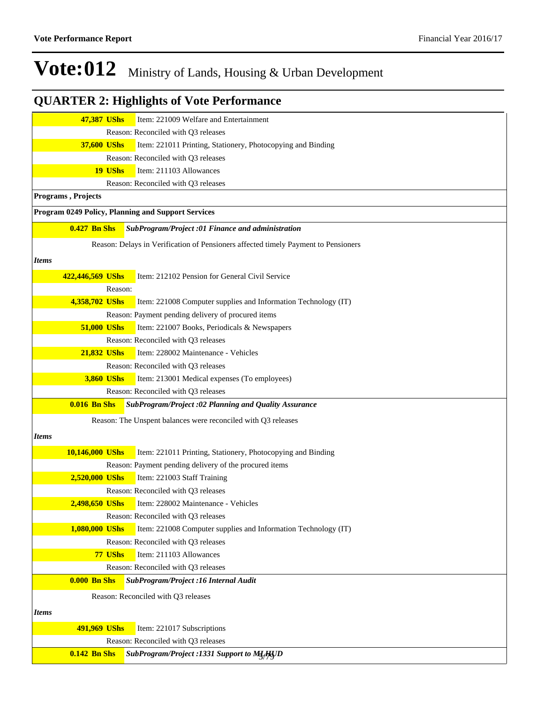| 47,387 UShs         | Item: 221009 Welfare and Entertainment                                             |
|---------------------|------------------------------------------------------------------------------------|
|                     | Reason: Reconciled with Q3 releases                                                |
| 37,600 UShs         | Item: 221011 Printing, Stationery, Photocopying and Binding                        |
|                     | Reason: Reconciled with Q3 releases                                                |
| 19 UShs             | Item: 211103 Allowances                                                            |
|                     | Reason: Reconciled with Q3 releases                                                |
| Programs, Projects  |                                                                                    |
|                     | Program 0249 Policy, Planning and Support Services                                 |
| $0.427$ Bn Shs      | SubProgram/Project :01 Finance and administration                                  |
|                     | Reason: Delays in Verification of Pensioners affected timely Payment to Pensioners |
| Items               |                                                                                    |
| 422,446,569 UShs    | Item: 212102 Pension for General Civil Service                                     |
| Reason:             |                                                                                    |
| 4,358,702 UShs      | Item: 221008 Computer supplies and Information Technology (IT)                     |
|                     | Reason: Payment pending delivery of procured items                                 |
| 51,000 UShs         | Item: 221007 Books, Periodicals & Newspapers                                       |
|                     | Reason: Reconciled with Q3 releases                                                |
| 21,832 UShs         | Item: 228002 Maintenance - Vehicles                                                |
|                     | Reason: Reconciled with Q3 releases                                                |
| 3,860 UShs          | Item: 213001 Medical expenses (To employees)                                       |
|                     | Reason: Reconciled with Q3 releases                                                |
| <b>0.016 Bn Shs</b> | SubProgram/Project :02 Planning and Quality Assurance                              |
|                     | Reason: The Unspent balances were reconciled with Q3 releases                      |
| Items               |                                                                                    |
| 10,146,000 UShs     | Item: 221011 Printing, Stationery, Photocopying and Binding                        |
|                     | Reason: Payment pending delivery of the procured items                             |
| 2,520,000 UShs      | Item: 221003 Staff Training                                                        |
|                     | Reason: Reconciled with Q3 releases                                                |
| 2,498,650 UShs      | Item: 228002 Maintenance - Vehicles                                                |
|                     | Reason: Reconciled with Q3 releases                                                |
| 1,080,000 UShs      | Item: 221008 Computer supplies and Information Technology (IT)                     |
|                     | Reason: Reconciled with Q3 releases                                                |
| 77 UShs             | Item: 211103 Allowances                                                            |
|                     | Reason: Reconciled with Q3 releases                                                |
| <b>0.000 Bn Shs</b> | SubProgram/Project : 16 Internal Audit                                             |
|                     | Reason: Reconciled with Q3 releases                                                |
| <b>Items</b>        |                                                                                    |
| 491,969 UShs        | Item: 221017 Subscriptions                                                         |
|                     | Reason: Reconciled with Q3 releases                                                |
| <b>0.142 Bn Shs</b> | SubProgram/Project :1331 Support to MLHJD                                          |
|                     |                                                                                    |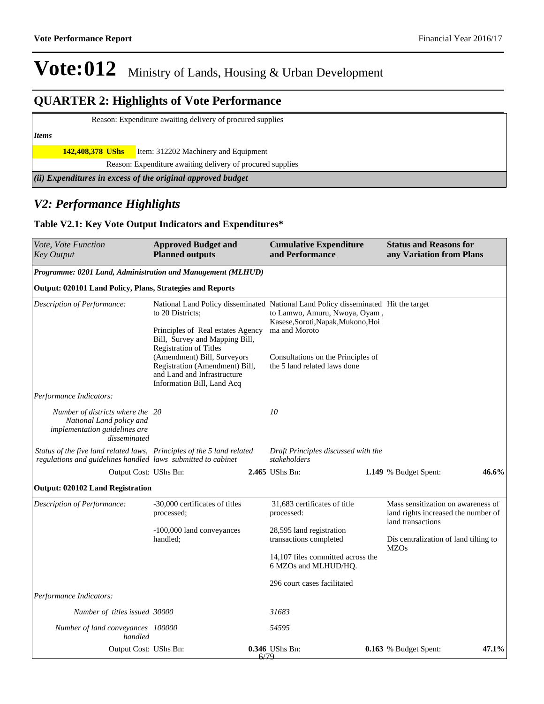### **QUARTER 2: Highlights of Vote Performance**

Reason: Expenditure awaiting delivery of procured supplies

#### *Items*

**142,408,378 UShs** Item: 312202 Machinery and Equipment

Reason: Expenditure awaiting delivery of procured supplies

*(ii) Expenditures in excess of the original approved budget*

### *V2: Performance Highlights*

#### **Table V2.1: Key Vote Output Indicators and Expenditures\***

| Vote, Vote Function<br>Key Output                                                                                                      | <b>Approved Budget and</b><br><b>Planned outputs</b>                                                                                                                                                                                                   |      | <b>Cumulative Expenditure</b><br>and Performance                                                                                                                                                                                                 | <b>Status and Reasons for</b><br>any Variation from Plans                 |       |
|----------------------------------------------------------------------------------------------------------------------------------------|--------------------------------------------------------------------------------------------------------------------------------------------------------------------------------------------------------------------------------------------------------|------|--------------------------------------------------------------------------------------------------------------------------------------------------------------------------------------------------------------------------------------------------|---------------------------------------------------------------------------|-------|
| Programme: 0201 Land, Administration and Management (MLHUD)                                                                            |                                                                                                                                                                                                                                                        |      |                                                                                                                                                                                                                                                  |                                                                           |       |
| Output: 020101 Land Policy, Plans, Strategies and Reports                                                                              |                                                                                                                                                                                                                                                        |      |                                                                                                                                                                                                                                                  |                                                                           |       |
| Description of Performance:                                                                                                            | to 20 Districts:<br>Principles of Real estates Agency<br>Bill, Survey and Mapping Bill,<br><b>Registration of Titles</b><br>(Amendment) Bill, Surveyors<br>Registration (Amendment) Bill,<br>and Land and Infrastructure<br>Information Bill, Land Acq |      | National Land Policy disseminated National Land Policy disseminated Hit the target<br>to Lamwo, Amuru, Nwoya, Oyam,<br>Kasese, Soroti, Napak, Mukono, Hoi<br>ma and Moroto<br>Consultations on the Principles of<br>the 5 land related laws done |                                                                           |       |
| Performance Indicators:                                                                                                                |                                                                                                                                                                                                                                                        |      |                                                                                                                                                                                                                                                  |                                                                           |       |
| Number of districts where the 20<br>National Land policy and<br>implementation guidelines are<br>disseminated                          |                                                                                                                                                                                                                                                        |      | 10                                                                                                                                                                                                                                               |                                                                           |       |
| Status of the five land related laws, Principles of the 5 land related<br>regulations and guidelines handled laws submitted to cabinet |                                                                                                                                                                                                                                                        |      | Draft Principles discussed with the<br>stakeholders                                                                                                                                                                                              |                                                                           |       |
| Output Cost: UShs Bn:                                                                                                                  |                                                                                                                                                                                                                                                        |      | 2.465 UShs Bn:                                                                                                                                                                                                                                   | 1.149 % Budget Spent:                                                     | 46.6% |
| <b>Output: 020102 Land Registration</b>                                                                                                |                                                                                                                                                                                                                                                        |      |                                                                                                                                                                                                                                                  |                                                                           |       |
| Description of Performance:                                                                                                            | -30,000 certificates of titles<br>processed;                                                                                                                                                                                                           |      | 31,683 certificates of title<br>processed:                                                                                                                                                                                                       | Mass sensitization on awareness of<br>land rights increased the number of |       |
|                                                                                                                                        | -100,000 land conveyances<br>handled;                                                                                                                                                                                                                  |      | 28,595 land registration<br>transactions completed                                                                                                                                                                                               | land transactions<br>Dis centralization of land tilting to<br><b>MZOs</b> |       |
|                                                                                                                                        |                                                                                                                                                                                                                                                        |      | 14,107 files committed across the<br>6 MZOs and MLHUD/HQ.                                                                                                                                                                                        |                                                                           |       |
|                                                                                                                                        |                                                                                                                                                                                                                                                        |      | 296 court cases facilitated                                                                                                                                                                                                                      |                                                                           |       |
| Performance Indicators:                                                                                                                |                                                                                                                                                                                                                                                        |      |                                                                                                                                                                                                                                                  |                                                                           |       |
| Number of titles issued 30000                                                                                                          |                                                                                                                                                                                                                                                        |      | 31683                                                                                                                                                                                                                                            |                                                                           |       |
| Number of land conveyances 100000<br>handled                                                                                           |                                                                                                                                                                                                                                                        |      | 54595                                                                                                                                                                                                                                            |                                                                           |       |
| Output Cost: UShs Bn:                                                                                                                  |                                                                                                                                                                                                                                                        | 6/79 | 0.346 UShs Bn:                                                                                                                                                                                                                                   | 0.163 % Budget Spent:                                                     | 47.1% |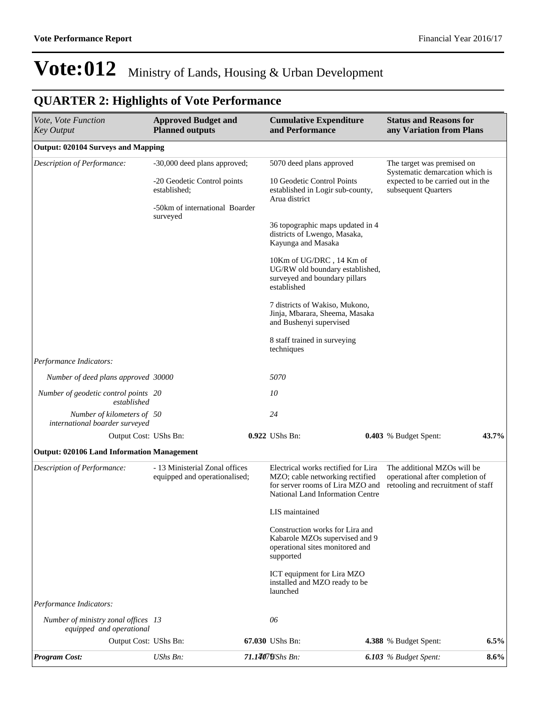| Vote, Vote Function<br><b>Key Output</b>                        | <b>Approved Budget and</b><br><b>Planned outputs</b>                        |  | <b>Cumulative Expenditure</b><br>and Performance                                                                                               | <b>Status and Reasons for</b><br>any Variation from Plans                                                                 |         |  |
|-----------------------------------------------------------------|-----------------------------------------------------------------------------|--|------------------------------------------------------------------------------------------------------------------------------------------------|---------------------------------------------------------------------------------------------------------------------------|---------|--|
| <b>Output: 020104 Surveys and Mapping</b>                       |                                                                             |  |                                                                                                                                                |                                                                                                                           |         |  |
| Description of Performance:                                     | -30,000 deed plans approved;<br>-20 Geodetic Control points<br>established; |  | 5070 deed plans approved<br>10 Geodetic Control Points<br>established in Logir sub-county,<br>Arua district                                    | The target was premised on<br>Systematic demarcation which is<br>expected to be carried out in the<br>subsequent Quarters |         |  |
|                                                                 | -50km of international Boarder<br>surveyed                                  |  | 36 topographic maps updated in 4<br>districts of Lwengo, Masaka,<br>Kayunga and Masaka                                                         |                                                                                                                           |         |  |
|                                                                 |                                                                             |  | 10Km of UG/DRC, 14 Km of<br>UG/RW old boundary established,<br>surveyed and boundary pillars<br>established                                    |                                                                                                                           |         |  |
|                                                                 |                                                                             |  | 7 districts of Wakiso, Mukono,<br>Jinja, Mbarara, Sheema, Masaka<br>and Bushenyi supervised                                                    |                                                                                                                           |         |  |
|                                                                 |                                                                             |  | 8 staff trained in surveying<br>techniques                                                                                                     |                                                                                                                           |         |  |
| Performance Indicators:                                         |                                                                             |  |                                                                                                                                                |                                                                                                                           |         |  |
| Number of deed plans approved 30000                             |                                                                             |  | 5070                                                                                                                                           |                                                                                                                           |         |  |
| Number of geodetic control points 20<br>established             |                                                                             |  | 10                                                                                                                                             |                                                                                                                           |         |  |
| Number of kilometers of 50<br>international boarder surveyed    |                                                                             |  | 24                                                                                                                                             |                                                                                                                           |         |  |
| Output Cost: UShs Bn:                                           |                                                                             |  | 0.922 UShs Bn:                                                                                                                                 | 0.403 % Budget Spent:                                                                                                     | 43.7%   |  |
| <b>Output: 020106 Land Information Management</b>               |                                                                             |  |                                                                                                                                                |                                                                                                                           |         |  |
| Description of Performance:                                     | - 13 Ministerial Zonal offices<br>equipped and operationalised;             |  | Electrical works rectified for Lira<br>MZO; cable networking rectified<br>for server rooms of Lira MZO and<br>National Land Information Centre | The additional MZOs will be<br>operational after completion of<br>retooling and recruitment of staff                      |         |  |
|                                                                 |                                                                             |  | LIS maintained                                                                                                                                 |                                                                                                                           |         |  |
|                                                                 |                                                                             |  | Construction works for Lira and<br>Kabarole MZOs supervised and 9<br>operational sites monitored and<br>supported                              |                                                                                                                           |         |  |
|                                                                 |                                                                             |  | ICT equipment for Lira MZO<br>installed and MZO ready to be<br>launched                                                                        |                                                                                                                           |         |  |
| Performance Indicators:                                         |                                                                             |  |                                                                                                                                                |                                                                                                                           |         |  |
| Number of ministry zonal offices 13<br>equipped and operational |                                                                             |  | 06                                                                                                                                             |                                                                                                                           |         |  |
| Output Cost: UShs Bn:                                           |                                                                             |  | 67.030 UShs Bn:                                                                                                                                | 4.388 % Budget Spent:                                                                                                     | 6.5%    |  |
| <b>Program Cost:</b>                                            | UShs Bn:                                                                    |  | 71.14079/Shs Bn:                                                                                                                               | 6.103 % Budget Spent:                                                                                                     | $8.6\%$ |  |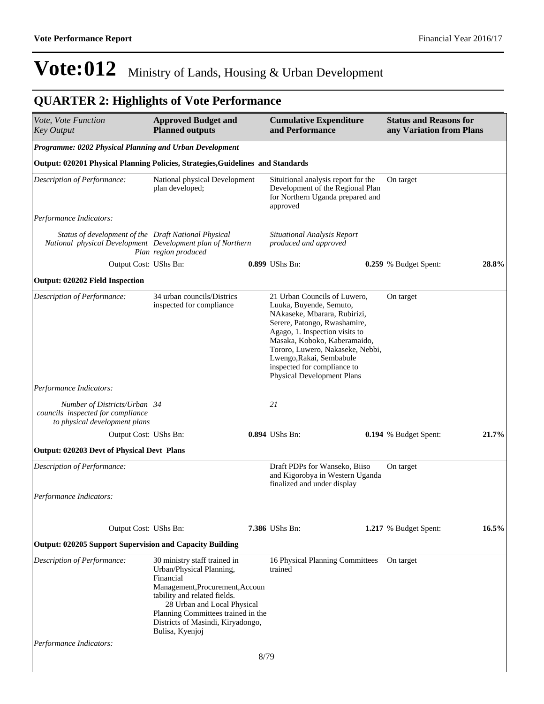| Vote, Vote Function<br><b>Key Output</b>                                                                           | <b>Approved Budget and</b><br><b>Planned outputs</b>                                                                                                                                                                                                                  |      | <b>Cumulative Expenditure</b><br>and Performance                                                                                                                                                                                                                                                                              | <b>Status and Reasons for</b><br>any Variation from Plans |       |
|--------------------------------------------------------------------------------------------------------------------|-----------------------------------------------------------------------------------------------------------------------------------------------------------------------------------------------------------------------------------------------------------------------|------|-------------------------------------------------------------------------------------------------------------------------------------------------------------------------------------------------------------------------------------------------------------------------------------------------------------------------------|-----------------------------------------------------------|-------|
| Programme: 0202 Physical Planning and Urban Development                                                            |                                                                                                                                                                                                                                                                       |      |                                                                                                                                                                                                                                                                                                                               |                                                           |       |
| Output: 020201 Physical Planning Policies, Strategies, Guidelines and Standards                                    |                                                                                                                                                                                                                                                                       |      |                                                                                                                                                                                                                                                                                                                               |                                                           |       |
| Description of Performance:                                                                                        | National physical Development<br>plan developed;                                                                                                                                                                                                                      |      | Situitional analysis report for the<br>Development of the Regional Plan<br>for Northern Uganda prepared and<br>approved                                                                                                                                                                                                       | On target                                                 |       |
| Performance Indicators:                                                                                            |                                                                                                                                                                                                                                                                       |      |                                                                                                                                                                                                                                                                                                                               |                                                           |       |
| Status of development of the Draft National Physical<br>National physical Development Development plan of Northern | Plan region produced                                                                                                                                                                                                                                                  |      | <b>Situational Analysis Report</b><br>produced and approved                                                                                                                                                                                                                                                                   |                                                           |       |
| Output Cost: UShs Bn:                                                                                              |                                                                                                                                                                                                                                                                       |      | 0.899 UShs Bn:                                                                                                                                                                                                                                                                                                                | 0.259 % Budget Spent:                                     | 28.8% |
| <b>Output: 020202 Field Inspection</b>                                                                             |                                                                                                                                                                                                                                                                       |      |                                                                                                                                                                                                                                                                                                                               |                                                           |       |
| Description of Performance:                                                                                        | 34 urban councils/Districs<br>inspected for compliance                                                                                                                                                                                                                |      | 21 Urban Councils of Luwero,<br>Luuka, Buyende, Semuto,<br>NAkaseke, Mbarara, Rubirizi,<br>Serere, Patongo, Rwashamire,<br>Agago, 1. Inspection visits to<br>Masaka, Koboko, Kaberamaido,<br>Tororo, Luwero, Nakaseke, Nebbi,<br>Lwengo, Rakai, Sembabule<br>inspected for compliance to<br><b>Physical Development Plans</b> | On target                                                 |       |
| Performance Indicators:                                                                                            |                                                                                                                                                                                                                                                                       |      |                                                                                                                                                                                                                                                                                                                               |                                                           |       |
| Number of Districts/Urban 34<br>councils inspected for compliance<br>to physical development plans                 |                                                                                                                                                                                                                                                                       |      | 21                                                                                                                                                                                                                                                                                                                            |                                                           |       |
| Output Cost: UShs Bn:                                                                                              |                                                                                                                                                                                                                                                                       |      | 0.894 UShs Bn:                                                                                                                                                                                                                                                                                                                | 0.194 % Budget Spent:                                     | 21.7% |
| Output: 020203 Devt of Physical Devt Plans                                                                         |                                                                                                                                                                                                                                                                       |      |                                                                                                                                                                                                                                                                                                                               |                                                           |       |
| Description of Performance:                                                                                        |                                                                                                                                                                                                                                                                       |      | Draft PDPs for Wanseko, Biiso<br>and Kigorobya in Western Uganda<br>finalized and under display                                                                                                                                                                                                                               | On target                                                 |       |
| Performance Indicators:                                                                                            |                                                                                                                                                                                                                                                                       |      |                                                                                                                                                                                                                                                                                                                               |                                                           |       |
| Output Cost: UShs Bn:                                                                                              |                                                                                                                                                                                                                                                                       |      | <b>7.386</b> UShs Bn:                                                                                                                                                                                                                                                                                                         | 1.217 % Budget Spent:                                     | 16.5% |
| <b>Output: 020205 Support Supervision and Capacity Building</b>                                                    |                                                                                                                                                                                                                                                                       |      |                                                                                                                                                                                                                                                                                                                               |                                                           |       |
| Description of Performance:                                                                                        | 30 ministry staff trained in<br>Urban/Physical Planning,<br>Financial<br>Management, Procurement, Accoun<br>tability and related fields.<br>28 Urban and Local Physical<br>Planning Committees trained in the<br>Districts of Masindi, Kiryadongo,<br>Bulisa, Kyenjoj |      | 16 Physical Planning Committees<br>trained                                                                                                                                                                                                                                                                                    | On target                                                 |       |
| Performance Indicators:                                                                                            |                                                                                                                                                                                                                                                                       |      |                                                                                                                                                                                                                                                                                                                               |                                                           |       |
|                                                                                                                    |                                                                                                                                                                                                                                                                       | 8/79 |                                                                                                                                                                                                                                                                                                                               |                                                           |       |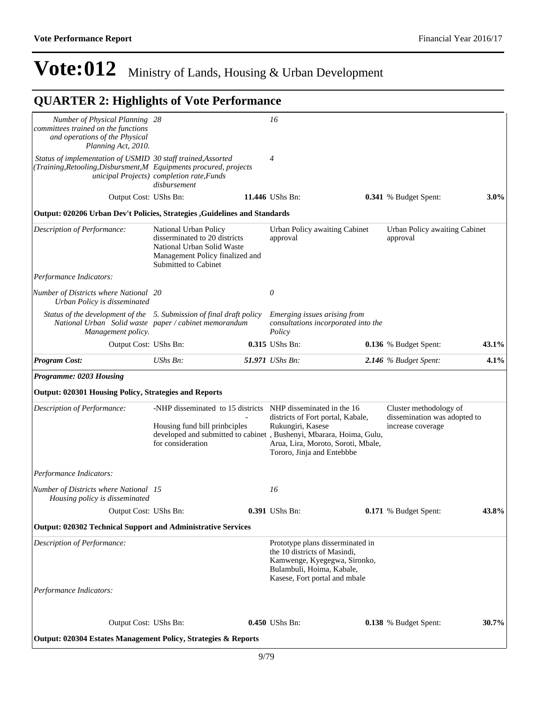*Status of the development of the 5. Submission of final draft policy National Urban Solid waste paper / cabinet memorandum*

| Description of Performance:                                               | -NHP disseminated to 15 districts<br>Housing fund bill prinbiples<br>developed and submitted to cabinet, Bushenyi, Mbarara, Hoima, Gulu,<br>for consideration | NHP disseminated in the 16<br>districts of Fort portal, Kabale,<br>Rukungiri, Kasese<br>Arua, Lira, Moroto, Soroti, Mbale,<br>Tororo, Jinja and Entebbbe       | Cluster methodology of<br>dissemination was adopted to<br>increase coverage |       |
|---------------------------------------------------------------------------|---------------------------------------------------------------------------------------------------------------------------------------------------------------|----------------------------------------------------------------------------------------------------------------------------------------------------------------|-----------------------------------------------------------------------------|-------|
| Performance Indicators:                                                   |                                                                                                                                                               |                                                                                                                                                                |                                                                             |       |
| Number of Districts where National 15<br>Housing policy is disseminated   |                                                                                                                                                               | 16                                                                                                                                                             |                                                                             |       |
| Output Cost: UShs Bn:                                                     |                                                                                                                                                               | 0.391 UShs Bn:                                                                                                                                                 | 0.171 % Budget Spent:                                                       | 43.8% |
| <b>Output: 020302 Technical Support and Administrative Services</b>       |                                                                                                                                                               |                                                                                                                                                                |                                                                             |       |
| Description of Performance:                                               |                                                                                                                                                               | Prototype plans disserminated in<br>the 10 districts of Masindi,<br>Kamwenge, Kyegegwa, Sironko,<br>Bulambuli, Hoima, Kabale,<br>Kasese, Fort portal and mbale |                                                                             |       |
| Performance Indicators:                                                   |                                                                                                                                                               |                                                                                                                                                                |                                                                             |       |
|                                                                           |                                                                                                                                                               |                                                                                                                                                                |                                                                             |       |
| Output Cost: UShs Bn:                                                     |                                                                                                                                                               | $0.450$ UShs Bn:                                                                                                                                               | <b>0.138</b> % Budget Spent:                                                | 30.7% |
| <b>Output: 020304 Estates Management Policy, Strategies &amp; Reports</b> |                                                                                                                                                               |                                                                                                                                                                |                                                                             |       |

*Performance Indicators:*

*Programme: 0203 Housing*

*Number of Districts where National Urban Policy is disseminated*

*Management policy.*

*Number of Physical Planning committees trained on the functions and operations of the Physical* 

*Planning Act, 2010.*

*Status of implementation of USMID 30 staff trained,Assorted (Training,Retooling,Disbursment,M Equipments procured, projects* 

*Description of Performance:* National Urban Policy

## **Vote:012** Ministry of Lands, Housing & Urban Development

*28 16*

disserminated to 20 districts National Urban Solid Waste Management Policy finalized and

*20 0*

Submitted to Cabinet

*4*

approval

*Policy* 

*Program Cost: UShs Bn: 51.971 UShs Bn: 2.146 % Budget Spent:* **4.1%**

Output Cost: UShs Bn: **11.446** UShs Bn: **0.341** % Budget Spent: **3.0%**

Urban Policy awaiting Cabinet

*Emerging issues arising from consultations incorporated into the* 

Output Cost: UShs Bn: **0.315** UShs Bn: **0.136** % Budget Spent: **43.1%**

### **QUARTER 2: Highlights of Vote Performance**

*unicipal Projects) completion rate,Funds disbursement*

**Output: 020206 Urban Dev't Policies, Strategies ,Guidelines and Standards**

**Output: 020304 Estates Management Policy, Strategies & Reports**

Urban Policy awaiting Cabinet

approval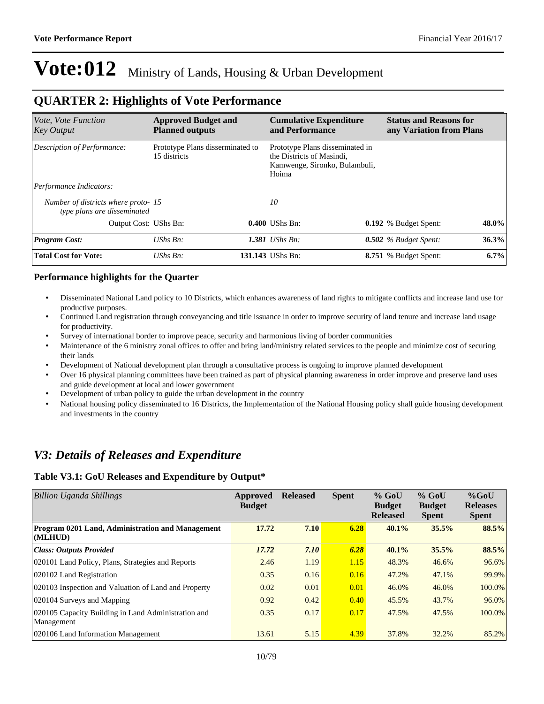### **QUARTER 2: Highlights of Vote Performance**

| Vote, Vote Function<br><b>Key Output</b>                          | <b>Approved Budget and</b><br><b>Planned outputs</b> | <b>Cumulative Expenditure</b><br>and Performance                                                       | <b>Status and Reasons for</b><br>any Variation from Plans |
|-------------------------------------------------------------------|------------------------------------------------------|--------------------------------------------------------------------------------------------------------|-----------------------------------------------------------|
| Description of Performance:                                       | Prototype Plans disserminated to<br>15 districts     | Prototype Plans disseminated in<br>the Districts of Masindi.<br>Kamwenge, Sironko, Bulambuli,<br>Hoima |                                                           |
| Performance Indicators:                                           |                                                      |                                                                                                        |                                                           |
| Number of districts where proto-15<br>type plans are disseminated |                                                      | 10                                                                                                     |                                                           |
| Output Cost: UShs Bn:                                             |                                                      | 0.400 UShs Bn:                                                                                         | 48.0%<br><b>0.192</b> % Budget Spent:                     |
| <b>Program Cost:</b>                                              | $UShs Bn$ :                                          | 1.381 UShs $B_n$ :                                                                                     | 36.3%<br>$0.502$ % Budget Spent:                          |
| <b>Total Cost for Vote:</b>                                       | $UShs Bn$ :                                          | 131.143 UShs Bn:                                                                                       | $6.7\%$<br><b>8.751</b> % Budget Spent:                   |

#### **Performance highlights for the Quarter**

- Disseminated National Land policy to 10 Districts, which enhances awareness of land rights to mitigate conflicts and increase land use for productive purposes.
- Continued Land registration through conveyancing and title issuance in order to improve security of land tenure and increase land usage for productivity.
- Survey of international border to improve peace, security and harmonious living of border communities
- Maintenance of the 6 ministry zonal offices to offer and bring land/ministry related services to the people and minimize cost of securing their lands
- Development of National development plan through a consultative process is ongoing to improve planned development
- Over 16 physical planning committees have been trained as part of physical planning awareness in order improve and preserve land uses and guide development at local and lower government
- Development of urban policy to guide the urban development in the country
- National housing policy disseminated to 16 Districts, the Implementation of the National Housing policy shall guide housing development and investments in the country

### *V3: Details of Releases and Expenditure*

#### **Table V3.1: GoU Releases and Expenditure by Output\***

| <b>Billion Uganda Shillings</b>                                   | Approved<br><b>Budget</b> | <b>Released</b> | <b>Spent</b> | $%$ GoU<br><b>Budget</b><br><b>Released</b> | $%$ GoU<br><b>Budget</b><br><b>Spent</b> | $%$ GoU<br><b>Releases</b><br><b>Spent</b> |
|-------------------------------------------------------------------|---------------------------|-----------------|--------------|---------------------------------------------|------------------------------------------|--------------------------------------------|
| Program 0201 Land, Administration and Management<br>(MLHUD)       | 17.72                     | 7.10            | 6.28         | 40.1%                                       | 35.5%                                    | 88.5%                                      |
| <b>Class: Outputs Provided</b>                                    | 17.72                     | 7.10            | 6.28         | 40.1%                                       | 35.5%                                    | 88.5%                                      |
| 020101 Land Policy, Plans, Strategies and Reports                 | 2.46                      | 1.19            | 1.15         | 48.3%                                       | 46.6%                                    | 96.6%                                      |
| 020102 Land Registration                                          | 0.35                      | 0.16            | 0.16         | 47.2%                                       | 47.1%                                    | 99.9%                                      |
| 020103 Inspection and Valuation of Land and Property              | 0.02                      | 0.01            | 0.01         | 46.0%                                       | 46.0%                                    | 100.0%                                     |
| 020104 Surveys and Mapping                                        | 0.92                      | 0.42            | 0.40         | 45.5%                                       | 43.7%                                    | 96.0%                                      |
| 020105 Capacity Building in Land Administration and<br>Management | 0.35                      | 0.17            | 0.17         | 47.5%                                       | 47.5%                                    | 100.0%                                     |
| 020106 Land Information Management                                | 13.61                     | 5.15            | 4.39         | 37.8%                                       | 32.2%                                    | 85.2%                                      |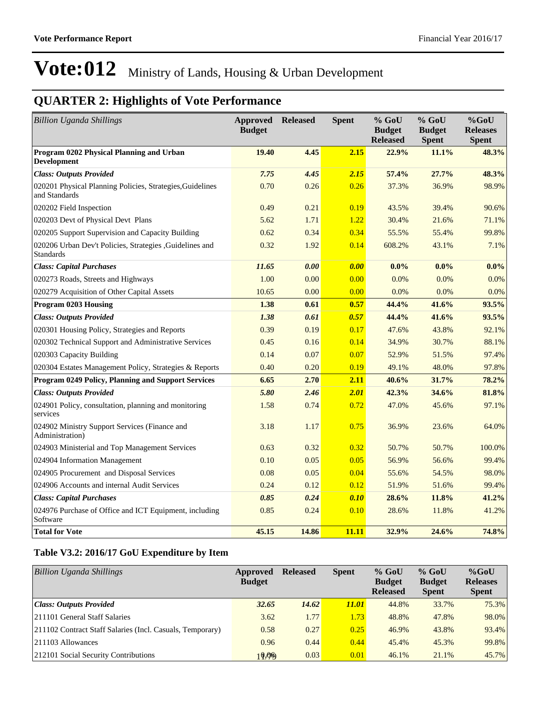## **QUARTER 2: Highlights of Vote Performance**

| <b>Billion Uganda Shillings</b>                                              | Approved<br><b>Budget</b> | <b>Released</b> | <b>Spent</b> | $%$ GoU<br><b>Budget</b><br><b>Released</b> | % GoU<br><b>Budget</b><br><b>Spent</b> | $%$ GoU<br><b>Releases</b><br><b>Spent</b> |
|------------------------------------------------------------------------------|---------------------------|-----------------|--------------|---------------------------------------------|----------------------------------------|--------------------------------------------|
| Program 0202 Physical Planning and Urban<br><b>Development</b>               | 19.40                     | 4.45            | 2.15         | 22.9%                                       | 11.1%                                  | 48.3%                                      |
| <b>Class: Outputs Provided</b>                                               | 7.75                      | 4.45            | 2.15         | 57.4%                                       | 27.7%                                  | 48.3%                                      |
| 020201 Physical Planning Policies, Strategies, Guidelines<br>and Standards   | 0.70                      | 0.26            | 0.26         | 37.3%                                       | 36.9%                                  | 98.9%                                      |
| 020202 Field Inspection                                                      | 0.49                      | 0.21            | 0.19         | 43.5%                                       | 39.4%                                  | 90.6%                                      |
| 020203 Devt of Physical Devt Plans                                           | 5.62                      | 1.71            | 1.22         | 30.4%                                       | 21.6%                                  | 71.1%                                      |
| 020205 Support Supervision and Capacity Building                             | 0.62                      | 0.34            | 0.34         | 55.5%                                       | 55.4%                                  | 99.8%                                      |
| 020206 Urban Dev't Policies, Strategies , Guidelines and<br><b>Standards</b> | 0.32                      | 1.92            | 0.14         | 608.2%                                      | 43.1%                                  | 7.1%                                       |
| <b>Class: Capital Purchases</b>                                              | 11.65                     | 0.00            | 0.00         | $0.0\%$                                     | $0.0\%$                                | $0.0\%$                                    |
| 020273 Roads, Streets and Highways                                           | 1.00                      | 0.00            | 0.00         | 0.0%                                        | 0.0%                                   | $0.0\%$                                    |
| 020279 Acquisition of Other Capital Assets                                   | 10.65                     | 0.00            | 0.00         | 0.0%                                        | 0.0%                                   | $0.0\%$                                    |
| Program 0203 Housing                                                         | 1.38                      | 0.61            | 0.57         | 44.4%                                       | 41.6%                                  | 93.5%                                      |
| <b>Class: Outputs Provided</b>                                               | 1.38                      | 0.61            | 0.57         | 44.4%                                       | 41.6%                                  | 93.5%                                      |
| 020301 Housing Policy, Strategies and Reports                                | 0.39                      | 0.19            | 0.17         | 47.6%                                       | 43.8%                                  | 92.1%                                      |
| 020302 Technical Support and Administrative Services                         | 0.45                      | 0.16            | 0.14         | 34.9%                                       | 30.7%                                  | 88.1%                                      |
| 020303 Capacity Building                                                     | 0.14                      | 0.07            | 0.07         | 52.9%                                       | 51.5%                                  | 97.4%                                      |
| 020304 Estates Management Policy, Strategies & Reports                       | 0.40                      | 0.20            | 0.19         | 49.1%                                       | 48.0%                                  | 97.8%                                      |
| Program 0249 Policy, Planning and Support Services                           | 6.65                      | 2.70            | 2.11         | 40.6%                                       | 31.7%                                  | 78.2%                                      |
| <b>Class: Outputs Provided</b>                                               | 5.80                      | 2.46            | 2.01         | 42.3%                                       | 34.6%                                  | 81.8%                                      |
| 024901 Policy, consultation, planning and monitoring<br>services             | 1.58                      | 0.74            | 0.72         | 47.0%                                       | 45.6%                                  | 97.1%                                      |
| 024902 Ministry Support Services (Finance and<br>Administration)             | 3.18                      | 1.17            | 0.75         | 36.9%                                       | 23.6%                                  | 64.0%                                      |
| 024903 Ministerial and Top Management Services                               | 0.63                      | 0.32            | 0.32         | 50.7%                                       | 50.7%                                  | 100.0%                                     |
| 024904 Information Management                                                | 0.10                      | 0.05            | 0.05         | 56.9%                                       | 56.6%                                  | 99.4%                                      |
| 024905 Procurement and Disposal Services                                     | 0.08                      | 0.05            | 0.04         | 55.6%                                       | 54.5%                                  | 98.0%                                      |
| 024906 Accounts and internal Audit Services                                  | 0.24                      | 0.12            | 0.12         | 51.9%                                       | 51.6%                                  | 99.4%                                      |
| <b>Class: Capital Purchases</b>                                              | 0.85                      | 0.24            | 0.10         | 28.6%                                       | 11.8%                                  | 41.2%                                      |
| 024976 Purchase of Office and ICT Equipment, including<br>Software           | 0.85                      | 0.24            | 0.10         | 28.6%                                       | 11.8%                                  | 41.2%                                      |
| <b>Total for Vote</b>                                                        | 45.15                     | 14.86           | 11.11        | 32.9%                                       | 24.6%                                  | 74.8%                                      |

#### **Table V3.2: 2016/17 GoU Expenditure by Item**

| <b>Billion Uganda Shillings</b>                           | Approved<br><b>Budget</b> | <b>Released</b> | <b>Spent</b> | $%$ GoU<br><b>Budget</b><br><b>Released</b> | $%$ GoU<br><b>Budget</b><br><b>Spent</b> | $%$ GoU<br><b>Releases</b><br><b>Spent</b> |
|-----------------------------------------------------------|---------------------------|-----------------|--------------|---------------------------------------------|------------------------------------------|--------------------------------------------|
| Class: Outputs Provided                                   | 32.65                     | 14.62           | <i>11.01</i> | 44.8%                                       | 33.7%                                    | 75.3%                                      |
| 211101 General Staff Salaries                             | 3.62                      | 1.77            | 1.73         | 48.8%                                       | 47.8%                                    | 98.0%                                      |
| 211102 Contract Staff Salaries (Incl. Casuals, Temporary) | 0.58                      | 0.27            | 0.25         | 46.9%                                       | 43.8%                                    | 93.4%                                      |
| $ 211103$ Allowances                                      | 0.96                      | 0.44            | 0.44         | 45.4%                                       | 45.3%                                    | 99.8%                                      |
| 212101 Social Security Contributions                      | 10,00                     | 0.03            | 0.01         | 46.1%                                       | 21.1%                                    | 45.7%                                      |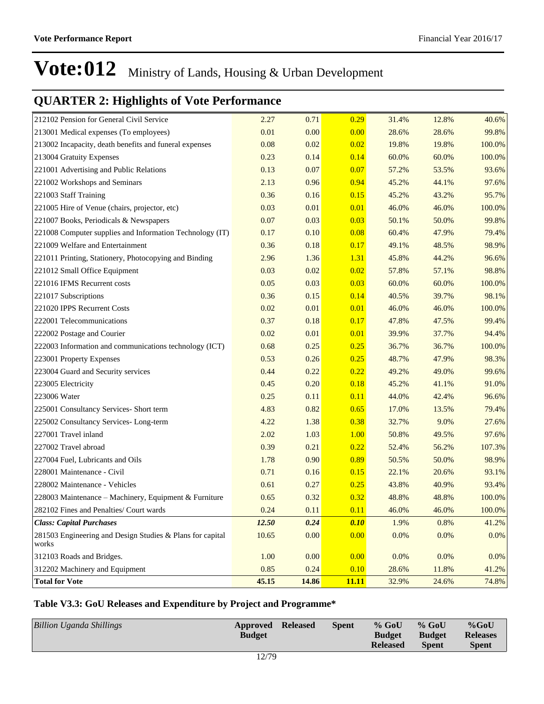## **QUARTER 2: Highlights of Vote Performance**

| 212102 Pension for General Civil Service                           | 2.27  | 0.71  | 0.29         | 31.4% | 12.8% | 40.6%  |
|--------------------------------------------------------------------|-------|-------|--------------|-------|-------|--------|
| 213001 Medical expenses (To employees)                             | 0.01  | 0.00  | 0.00         | 28.6% | 28.6% | 99.8%  |
| 213002 Incapacity, death benefits and funeral expenses             | 0.08  | 0.02  | 0.02         | 19.8% | 19.8% | 100.0% |
| 213004 Gratuity Expenses                                           | 0.23  | 0.14  | 0.14         | 60.0% | 60.0% | 100.0% |
| 221001 Advertising and Public Relations                            | 0.13  | 0.07  | 0.07         | 57.2% | 53.5% | 93.6%  |
| 221002 Workshops and Seminars                                      | 2.13  | 0.96  | 0.94         | 45.2% | 44.1% | 97.6%  |
| 221003 Staff Training                                              | 0.36  | 0.16  | 0.15         | 45.2% | 43.2% | 95.7%  |
| 221005 Hire of Venue (chairs, projector, etc)                      | 0.03  | 0.01  | 0.01         | 46.0% | 46.0% | 100.0% |
| 221007 Books, Periodicals & Newspapers                             | 0.07  | 0.03  | 0.03         | 50.1% | 50.0% | 99.8%  |
| 221008 Computer supplies and Information Technology (IT)           | 0.17  | 0.10  | 0.08         | 60.4% | 47.9% | 79.4%  |
| 221009 Welfare and Entertainment                                   | 0.36  | 0.18  | 0.17         | 49.1% | 48.5% | 98.9%  |
| 221011 Printing, Stationery, Photocopying and Binding              | 2.96  | 1.36  | 1.31         | 45.8% | 44.2% | 96.6%  |
| 221012 Small Office Equipment                                      | 0.03  | 0.02  | 0.02         | 57.8% | 57.1% | 98.8%  |
| 221016 IFMS Recurrent costs                                        | 0.05  | 0.03  | 0.03         | 60.0% | 60.0% | 100.0% |
| 221017 Subscriptions                                               | 0.36  | 0.15  | 0.14         | 40.5% | 39.7% | 98.1%  |
| 221020 IPPS Recurrent Costs                                        | 0.02  | 0.01  | 0.01         | 46.0% | 46.0% | 100.0% |
| 222001 Telecommunications                                          | 0.37  | 0.18  | 0.17         | 47.8% | 47.5% | 99.4%  |
| 222002 Postage and Courier                                         | 0.02  | 0.01  | 0.01         | 39.9% | 37.7% | 94.4%  |
| 222003 Information and communications technology (ICT)             | 0.68  | 0.25  | 0.25         | 36.7% | 36.7% | 100.0% |
| 223001 Property Expenses                                           | 0.53  | 0.26  | 0.25         | 48.7% | 47.9% | 98.3%  |
| 223004 Guard and Security services                                 | 0.44  | 0.22  | 0.22         | 49.2% | 49.0% | 99.6%  |
| 223005 Electricity                                                 | 0.45  | 0.20  | 0.18         | 45.2% | 41.1% | 91.0%  |
| 223006 Water                                                       | 0.25  | 0.11  | 0.11         | 44.0% | 42.4% | 96.6%  |
| 225001 Consultancy Services- Short term                            | 4.83  | 0.82  | 0.65         | 17.0% | 13.5% | 79.4%  |
| 225002 Consultancy Services-Long-term                              | 4.22  | 1.38  | 0.38         | 32.7% | 9.0%  | 27.6%  |
| 227001 Travel inland                                               | 2.02  | 1.03  | 1.00         | 50.8% | 49.5% | 97.6%  |
| 227002 Travel abroad                                               | 0.39  | 0.21  | 0.22         | 52.4% | 56.2% | 107.3% |
| 227004 Fuel, Lubricants and Oils                                   | 1.78  | 0.90  | 0.89         | 50.5% | 50.0% | 98.9%  |
| 228001 Maintenance - Civil                                         | 0.71  | 0.16  | 0.15         | 22.1% | 20.6% | 93.1%  |
| 228002 Maintenance - Vehicles                                      | 0.61  | 0.27  | 0.25         | 43.8% | 40.9% | 93.4%  |
| 228003 Maintenance – Machinery, Equipment & Furniture              | 0.65  | 0.32  | 0.32         | 48.8% | 48.8% | 100.0% |
| 282102 Fines and Penalties/ Court wards                            | 0.24  | 0.11  | 0.11         | 46.0% | 46.0% | 100.0% |
| <b>Class: Capital Purchases</b>                                    | 12.50 | 0.24  | 0.10         | 1.9%  | 0.8%  | 41.2%  |
| 281503 Engineering and Design Studies & Plans for capital<br>works | 10.65 | 0.00  | 0.00         | 0.0%  | 0.0%  | 0.0%   |
| 312103 Roads and Bridges.                                          | 1.00  | 0.00  | 0.00         | 0.0%  | 0.0%  | 0.0%   |
| 312202 Machinery and Equipment                                     | 0.85  | 0.24  | 0.10         | 28.6% | 11.8% | 41.2%  |
| <b>Total for Vote</b>                                              | 45.15 | 14.86 | <b>11.11</b> | 32.9% | 24.6% | 74.8%  |

#### **Table V3.3: GoU Releases and Expenditure by Project and Programme\***

| <b>Billion Uganda Shillings</b><br><b>Released</b><br><b>Spent</b><br>Approved<br><b>Budget</b> | $%$ GoU<br><b>Budget</b><br><b>Released</b> | $%$ GoU<br><b>Budget</b><br><b>Spent</b> | $%$ GoU<br><b>Releases</b><br><b>Spent</b> |
|-------------------------------------------------------------------------------------------------|---------------------------------------------|------------------------------------------|--------------------------------------------|
|-------------------------------------------------------------------------------------------------|---------------------------------------------|------------------------------------------|--------------------------------------------|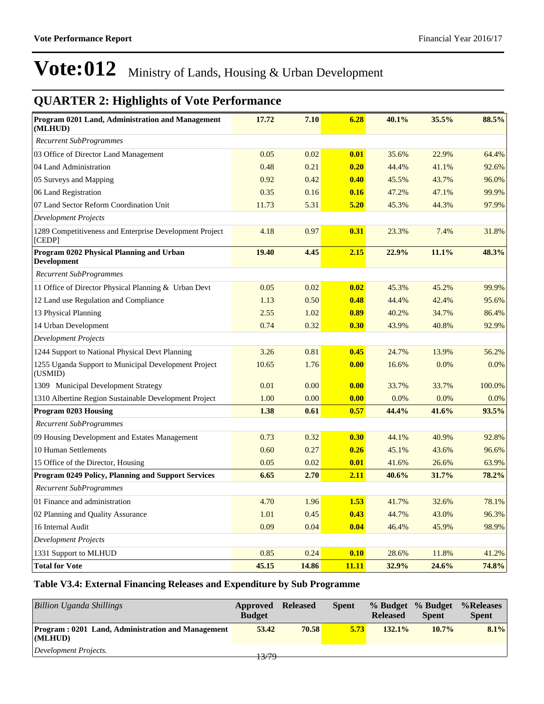### **QUARTER 2: Highlights of Vote Performance**

| Program 0201 Land, Administration and Management<br>(MLHUD)       | 17.72 | 7.10  | 6.28        | 40.1% | 35.5% | 88.5%  |
|-------------------------------------------------------------------|-------|-------|-------------|-------|-------|--------|
| <b>Recurrent SubProgrammes</b>                                    |       |       |             |       |       |        |
| 03 Office of Director Land Management                             | 0.05  | 0.02  | 0.01        | 35.6% | 22.9% | 64.4%  |
| 04 Land Administration                                            | 0.48  | 0.21  | 0.20        | 44.4% | 41.1% | 92.6%  |
| 05 Surveys and Mapping                                            | 0.92  | 0.42  | 0.40        | 45.5% | 43.7% | 96.0%  |
| 06 Land Registration                                              | 0.35  | 0.16  | 0.16        | 47.2% | 47.1% | 99.9%  |
| 07 Land Sector Reform Coordination Unit                           | 11.73 | 5.31  | 5.20        | 45.3% | 44.3% | 97.9%  |
| <b>Development Projects</b>                                       |       |       |             |       |       |        |
| 1289 Competitiveness and Enterprise Development Project<br>[CEDP] | 4.18  | 0.97  | 0.31        | 23.3% | 7.4%  | 31.8%  |
| Program 0202 Physical Planning and Urban<br><b>Development</b>    | 19.40 | 4.45  | 2.15        | 22.9% | 11.1% | 48.3%  |
| <b>Recurrent SubProgrammes</b>                                    |       |       |             |       |       |        |
| 11 Office of Director Physical Planning & Urban Devt              | 0.05  | 0.02  | 0.02        | 45.3% | 45.2% | 99.9%  |
| 12 Land use Regulation and Compliance                             | 1.13  | 0.50  | 0.48        | 44.4% | 42.4% | 95.6%  |
| 13 Physical Planning                                              | 2.55  | 1.02  | 0.89        | 40.2% | 34.7% | 86.4%  |
| 14 Urban Development                                              | 0.74  | 0.32  | 0.30        | 43.9% | 40.8% | 92.9%  |
| <b>Development Projects</b>                                       |       |       |             |       |       |        |
| 1244 Support to National Physical Devt Planning                   | 3.26  | 0.81  | 0.45        | 24.7% | 13.9% | 56.2%  |
| 1255 Uganda Support to Municipal Development Project<br>(USMID)   | 10.65 | 1.76  | 0.00        | 16.6% | 0.0%  | 0.0%   |
| 1309 Municipal Development Strategy                               | 0.01  | 0.00  | 0.00        | 33.7% | 33.7% | 100.0% |
| 1310 Albertine Region Sustainable Development Project             | 1.00  | 0.00  | 0.00        | 0.0%  | 0.0%  | 0.0%   |
| <b>Program 0203 Housing</b>                                       | 1.38  | 0.61  | 0.57        | 44.4% | 41.6% | 93.5%  |
| <b>Recurrent SubProgrammes</b>                                    |       |       |             |       |       |        |
| 09 Housing Development and Estates Management                     | 0.73  | 0.32  | 0.30        | 44.1% | 40.9% | 92.8%  |
| 10 Human Settlements                                              | 0.60  | 0.27  | 0.26        | 45.1% | 43.6% | 96.6%  |
| 15 Office of the Director, Housing                                | 0.05  | 0.02  | 0.01        | 41.6% | 26.6% | 63.9%  |
| Program 0249 Policy, Planning and Support Services                | 6.65  | 2.70  | <u>2.11</u> | 40.6% | 31.7% | 78.2%  |
| <b>Recurrent SubProgrammes</b>                                    |       |       |             |       |       |        |
| 01 Finance and administration                                     | 4.70  | 1.96  | 1.53        | 41.7% | 32.6% | 78.1%  |
| 02 Planning and Quality Assurance                                 | 1.01  | 0.45  | 0.43        | 44.7% | 43.0% | 96.3%  |
| 16 Internal Audit                                                 | 0.09  | 0.04  | 0.04        | 46.4% | 45.9% | 98.9%  |
| <b>Development Projects</b>                                       |       |       |             |       |       |        |
| 1331 Support to MLHUD                                             | 0.85  | 0.24  | 0.10        | 28.6% | 11.8% | 41.2%  |
| <b>Total for Vote</b>                                             | 45.15 | 14.86 | 11.11       | 32.9% | 24.6% | 74.8%  |

#### **Table V3.4: External Financing Releases and Expenditure by Sub Programme**

| <b>Billion Uganda Shillings</b>                                         | Approved<br><b>Budget</b> | <b>Released</b> | <b>Spent</b> | <b>Released</b> | % Budget % Budget<br><b>Spent</b> | %Releases<br><b>Spent</b> |
|-------------------------------------------------------------------------|---------------------------|-----------------|--------------|-----------------|-----------------------------------|---------------------------|
| <b>Program: 0201 Land, Administration and Management</b><br>$ $ (MLHUD) | 53.42                     | 70.58           | 5.73         | $132.1\%$       | $10.7\%$                          | $8.1\%$                   |
| Development Projects.                                                   | 13/79                     |                 |              |                 |                                   |                           |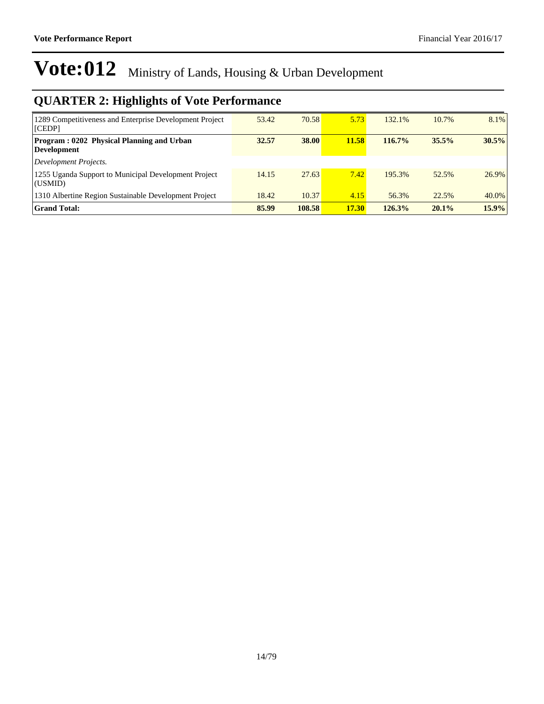| 1289 Competitiveness and Enterprise Development Project<br>[CEDP] | 53.42 | 70.58  | 5.73  | 132.1% | 10.7% | 8.1%  |
|-------------------------------------------------------------------|-------|--------|-------|--------|-------|-------|
| Program: 0202 Physical Planning and Urban<br>Development          | 32.57 | 38.00  | 11.58 | 116.7% | 35.5% | 30.5% |
| Development Projects.                                             |       |        |       |        |       |       |
| 1255 Uganda Support to Municipal Development Project<br>(USMID)   | 14.15 | 27.63  | 7.42  | 195.3% | 52.5% | 26.9% |
| 1310 Albertine Region Sustainable Development Project             | 18.42 | 10.37  | 4.15  | 56.3%  | 22.5% | 40.0% |
| <b>Grand Total:</b>                                               | 85.99 | 108.58 | 17.30 | 126.3% | 20.1% | 15.9% |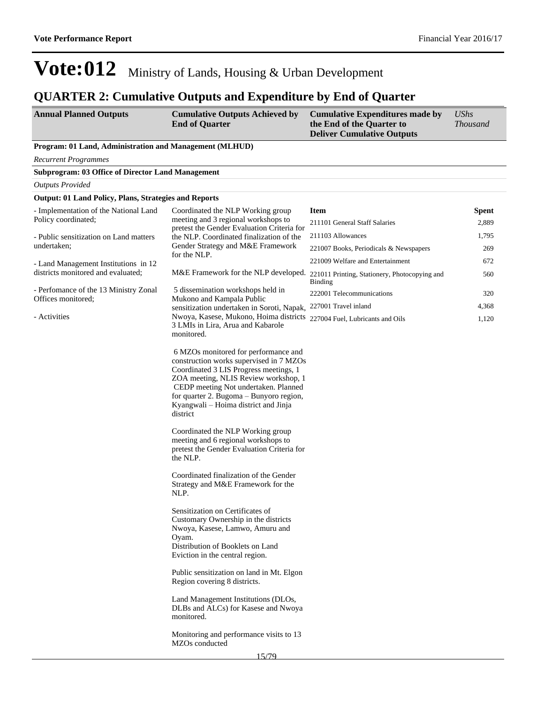### **QUARTER 2: Cumulative Outputs and Expenditure by End of Quarter**

| <b>Annual Planned Outputs</b> | <b>Cumulative Outputs Achieved by</b> | <b>Cumulative Expenditures made by</b> | <b>UShs</b>     |
|-------------------------------|---------------------------------------|----------------------------------------|-----------------|
|                               | <b>End of Quarter</b>                 | the End of the Quarter to              | <i>Thousand</i> |
|                               |                                       | <b>Deliver Cumulative Outputs</b>      |                 |

#### **Program: 01 Land, Administration and Management (MLHUD)**

| <b>Recurrent Programmes</b>                                  |                                                                                                                                                                                                                                                                                                          |                                                                                               |       |
|--------------------------------------------------------------|----------------------------------------------------------------------------------------------------------------------------------------------------------------------------------------------------------------------------------------------------------------------------------------------------------|-----------------------------------------------------------------------------------------------|-------|
| <b>Subprogram: 03 Office of Director Land Management</b>     |                                                                                                                                                                                                                                                                                                          |                                                                                               |       |
| <b>Outputs Provided</b>                                      |                                                                                                                                                                                                                                                                                                          |                                                                                               |       |
| <b>Output: 01 Land Policy, Plans, Strategies and Reports</b> |                                                                                                                                                                                                                                                                                                          |                                                                                               |       |
| - Implementation of the National Land                        | Coordinated the NLP Working group                                                                                                                                                                                                                                                                        | <b>Item</b>                                                                                   | Spent |
| Policy coordinated;                                          | meeting and 3 regional workshops to<br>pretest the Gender Evaluation Criteria for                                                                                                                                                                                                                        | 211101 General Staff Salaries                                                                 | 2,889 |
| - Public sensitization on Land matters<br>undertaken;        | the NLP. Coordinated finalization of the                                                                                                                                                                                                                                                                 | 211103 Allowances                                                                             | 1,795 |
|                                                              | Gender Strategy and M&E Framework<br>for the NLP.                                                                                                                                                                                                                                                        | 221007 Books, Periodicals & Newspapers                                                        | 269   |
| - Land Management Institutions in 12                         |                                                                                                                                                                                                                                                                                                          | 221009 Welfare and Entertainment                                                              | 672   |
| districts monitored and evaluated;                           |                                                                                                                                                                                                                                                                                                          | M&E Framework for the NLP developed. 221011 Printing, Stationery, Photocopying and<br>Binding | 560   |
| - Perfomance of the 13 Ministry Zonal<br>Offices monitored;  | 5 dissemination workshops held in<br>Mukono and Kampala Public                                                                                                                                                                                                                                           | 222001 Telecommunications                                                                     | 320   |
|                                                              | sensitization undertaken in Soroti, Napak,                                                                                                                                                                                                                                                               | 227001 Travel inland                                                                          | 4,368 |
| - Activities                                                 | Nwoya, Kasese, Mukono, Hoima districts<br>3 LMIs in Lira, Arua and Kabarole<br>monitored.                                                                                                                                                                                                                | 227004 Fuel, Lubricants and Oils                                                              | 1,120 |
|                                                              | 6 MZOs monitored for performance and<br>construction works supervised in 7 MZOs<br>Coordinated 3 LIS Progress meetings, 1<br>ZOA meeting, NLIS Review workshop, 1<br>CEDP meeting Not undertaken. Planned<br>for quarter 2. Bugoma - Bunyoro region,<br>Kyangwali – Hoima district and Jinja<br>district |                                                                                               |       |
|                                                              | Coordinated the NLP Working group<br>meeting and 6 regional workshops to<br>pretest the Gender Evaluation Criteria for<br>the NLP.                                                                                                                                                                       |                                                                                               |       |
|                                                              | Coordinated finalization of the Gender<br>Strategy and M&E Framework for the<br>NLP.                                                                                                                                                                                                                     |                                                                                               |       |
|                                                              | Sensitization on Certificates of<br>Customary Ownership in the districts<br>Nwoya, Kasese, Lamwo, Amuru and<br>Oyam.<br>Distribution of Booklets on Land                                                                                                                                                 |                                                                                               |       |

Eviction in the central region.

Public sensitization on land in Mt. Elgon Region covering 8 districts.

Land Management Institutions (DLOs, DLBs and ALCs) for Kasese and Nwoya monitored.

Monitoring and performance visits to 13 MZOs conducted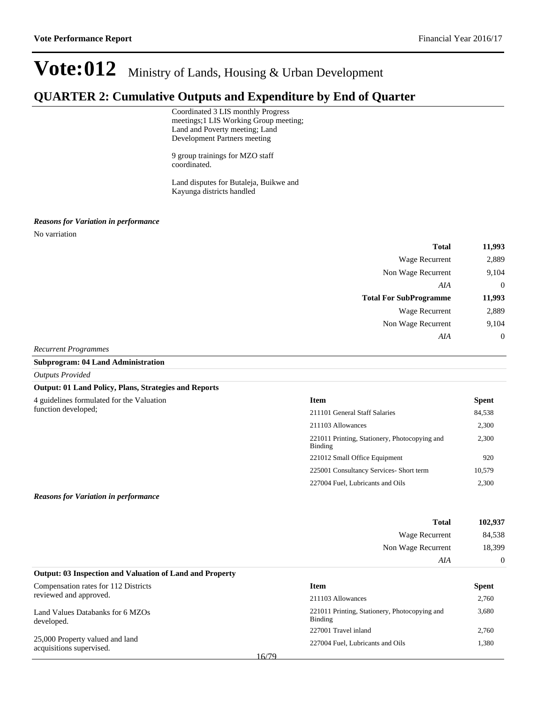### **QUARTER 2: Cumulative Outputs and Expenditure by End of Quarter**

Coordinated 3 LIS monthly Progress meetings;1 LIS Working Group meeting; Land and Poverty meeting; Land Development Partners meeting

9 group trainings for MZO staff coordinated.

Land disputes for Butaleja, Buikwe and Kayunga districts handled

#### *Reasons for Variation in performance*

No varriation

| 11,993           | <b>Total</b>                  |
|------------------|-------------------------------|
| 2,889            | Wage Recurrent                |
| 9,104            | Non Wage Recurrent            |
| $\overline{0}$   | AIA                           |
| 11,993           | <b>Total For SubProgramme</b> |
| 2,889            | <b>Wage Recurrent</b>         |
| 9,104            | Non Wage Recurrent            |
| $\boldsymbol{0}$ | AIA                           |
|                  |                               |

#### *Recurrent Programmes*

#### **Subprogram: 04 Land Administration**

*Outputs Provided*

#### **Output: 01 Land Policy, Plans, Strategies and Reports**

| <b>Item</b>                                              | <b>Spent</b> |
|----------------------------------------------------------|--------------|
| 211101 General Staff Salaries                            | 84,538       |
| 211103 Allowances                                        | 2,300        |
| 221011 Printing, Stationery, Photocopying and<br>Binding | 2,300        |
| 221012 Small Office Equipment                            | 920          |
| 225001 Consultancy Services- Short term                  | 10,579       |
| 227004 Fuel, Lubricants and Oils                         | 2,300        |
|                                                          |              |

#### *Reasons for Variation in performance*

| 102,937  | <b>Total</b>                                                    |
|----------|-----------------------------------------------------------------|
| 84,538   | Wage Recurrent                                                  |
| 18,399   | Non Wage Recurrent                                              |
| $\Omega$ | AIA                                                             |
|          | <b>Output: 03 Inspection and Valuation of Land and Property</b> |

**Item Spent** 211103 Allowances 2,760

227001 Travel inland 2,760 227004 Fuel, Lubricants and Oils 1,380

3,680

221011 Printing, Stationery, Photocopying and

Binding

| Compensation rates for 112 Districts |  |
|--------------------------------------|--|

| reviewed and approved. |  |  |  |
|------------------------|--|--|--|
|                        |  |  |  |

Land Values Databanks for 6 MZOs developed.

25,000 Property valued and land acquisitions supervised.

| M.<br>۰. |  |
|----------|--|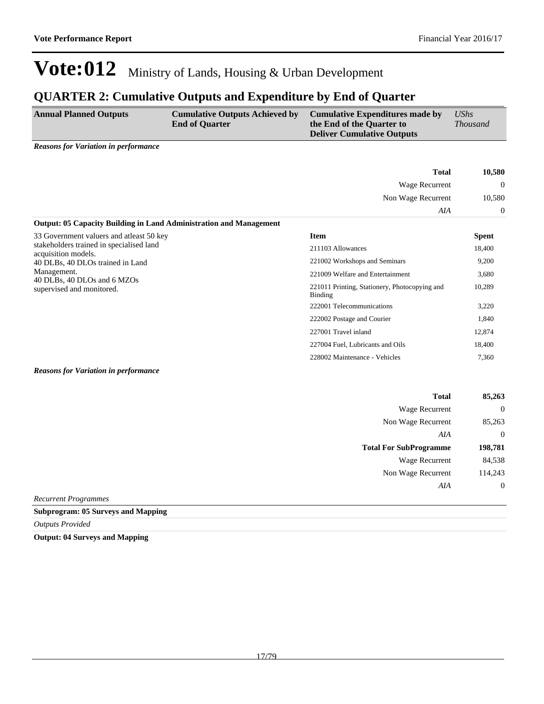### **QUARTER 2: Cumulative Outputs and Expenditure by End of Quarter**

| <b>Annual Planned Outputs</b>               | <b>Cumulative Outputs Achieved by</b> | <b>Cumulative Expenditures made by</b> | UShs            |
|---------------------------------------------|---------------------------------------|----------------------------------------|-----------------|
|                                             | <b>End of Quarter</b>                 | the End of the Quarter to              | <i>Thousand</i> |
|                                             |                                       | <b>Deliver Cumulative Outputs</b>      |                 |
| <b>Reasons for Variation in performance</b> |                                       |                                        |                 |

|                                                                           | <b>Total</b>                                                    | 10,580         |
|---------------------------------------------------------------------------|-----------------------------------------------------------------|----------------|
|                                                                           | Wage Recurrent                                                  | $\overline{0}$ |
|                                                                           | Non Wage Recurrent                                              |                |
|                                                                           | AIA                                                             | $\Omega$       |
| <b>Output: 05 Capacity Building in Land Administration and Management</b> |                                                                 |                |
| 33 Government valuers and atleast 50 key                                  | Item                                                            | <b>Spent</b>   |
| stakeholders trained in specialised land<br>acquisition models.           | 211103 Allowances                                               | 18,400         |
| 40 DLBs, 40 DLOs trained in Land                                          | 221002 Workshops and Seminars                                   | 9,200          |
| Management.                                                               | 221009 Welfare and Entertainment                                | 3,680          |
| 40 DLBs, 40 DLOs and 6 MZOs<br>supervised and monitored.                  | 221011 Printing, Stationery, Photocopying and<br><b>Binding</b> | 10,289         |
|                                                                           | 222001 Telecommunications                                       | 3,220          |
|                                                                           | 222002 Postage and Courier                                      | 1,840          |
|                                                                           | 227001 Travel inland                                            | 12,874         |
|                                                                           | 227004 Fuel, Lubricants and Oils                                | 18,400         |
|                                                                           | 228002 Maintenance - Vehicles                                   | 7,360          |

*Reasons for Variation in performance*

| 85,263           | <b>Total</b>                  |
|------------------|-------------------------------|
| $\overline{0}$   | Wage Recurrent                |
| 85,263           | Non Wage Recurrent            |
| $\overline{0}$   | AIA                           |
| 198,781          | <b>Total For SubProgramme</b> |
| 84,538           | Wage Recurrent                |
| 114,243          | Non Wage Recurrent            |
|                  |                               |
| $\boldsymbol{0}$ | AIA                           |

*Recurrent Programmes*

**Subprogram: 05 Surveys and Mapping**

*Outputs Provided*

**Output: 04 Surveys and Mapping**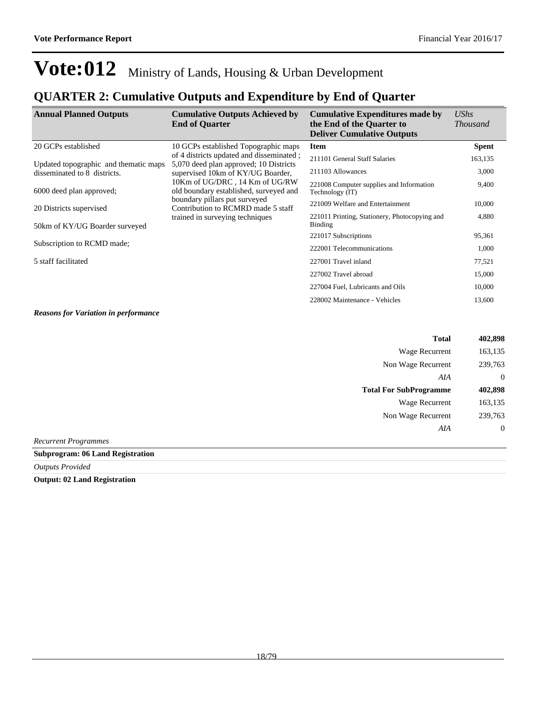### **QUARTER 2: Cumulative Outputs and Expenditure by End of Quarter**

| <b>Annual Planned Outputs</b>         | <b>Cumulative Outputs Achieved by</b><br><b>End of Quarter</b>                                                                                                                                                                                                                                                 | <b>Cumulative Expenditures made by</b><br>the End of the Quarter to<br><b>Deliver Cumulative Outputs</b> | UShs<br><i>Thousand</i> |
|---------------------------------------|----------------------------------------------------------------------------------------------------------------------------------------------------------------------------------------------------------------------------------------------------------------------------------------------------------------|----------------------------------------------------------------------------------------------------------|-------------------------|
| 20 GCPs established                   | 10 GCPs established Topographic maps                                                                                                                                                                                                                                                                           | <b>Item</b>                                                                                              | <b>Spent</b>            |
| Updated topographic and thematic maps | of 4 districts updated and disseminated ;<br>5,070 deed plan approved; 10 Districts<br>supervised 10km of KY/UG Boarder,<br>10Km of UG/DRC, 14 Km of UG/RW<br>old boundary established, surveyed and<br>boundary pillars put surveyed<br>Contribution to RCMRD made 5 staff<br>trained in surveying techniques | 211101 General Staff Salaries                                                                            | 163,135                 |
| disseminated to 8 districts.          |                                                                                                                                                                                                                                                                                                                | 211103 Allowances                                                                                        | 3,000                   |
| 6000 deed plan approved;              |                                                                                                                                                                                                                                                                                                                | 221008 Computer supplies and Information<br>Technology (IT)                                              | 9,400                   |
| 20 Districts supervised               |                                                                                                                                                                                                                                                                                                                | 221009 Welfare and Entertainment                                                                         | 10,000                  |
| 50km of KY/UG Boarder surveyed        |                                                                                                                                                                                                                                                                                                                | 221011 Printing, Stationery, Photocopying and<br><b>Binding</b>                                          | 4,880                   |
|                                       |                                                                                                                                                                                                                                                                                                                | 221017 Subscriptions                                                                                     | 95,361                  |
| Subscription to RCMD made;            |                                                                                                                                                                                                                                                                                                                | 222001 Telecommunications                                                                                | 1,000                   |
| 5 staff facilitated                   |                                                                                                                                                                                                                                                                                                                | 227001 Travel inland                                                                                     | 77,521                  |
|                                       | 227002 Travel abroad                                                                                                                                                                                                                                                                                           | 15,000                                                                                                   |                         |
|                                       |                                                                                                                                                                                                                                                                                                                | 227004 Fuel, Lubricants and Oils                                                                         | 10,000                  |
|                                       |                                                                                                                                                                                                                                                                                                                | 228002 Maintenance - Vehicles                                                                            | 13,600                  |

*Reasons for Variation in performance*

|                             | <b>Total</b>                  | 402,898          |
|-----------------------------|-------------------------------|------------------|
|                             | <b>Wage Recurrent</b>         | 163,135          |
|                             | Non Wage Recurrent            | 239,763          |
|                             | AIA                           | $\theta$         |
|                             | <b>Total For SubProgramme</b> | 402,898          |
|                             | Wage Recurrent                | 163,135          |
|                             | Non Wage Recurrent            | 239,763          |
|                             | AIA                           | $\boldsymbol{0}$ |
| <b>Recurrent Programmes</b> |                               |                  |

**Subprogram: 06 Land Registration**

*Outputs Provided*

**Output: 02 Land Registration**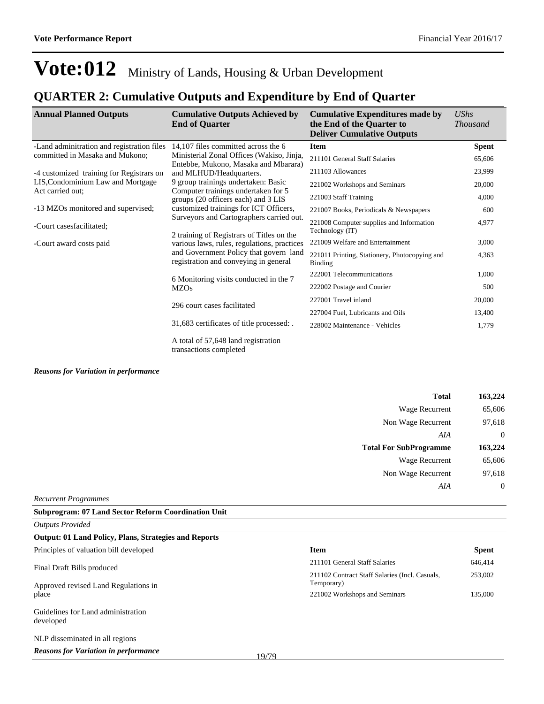### **QUARTER 2: Cumulative Outputs and Expenditure by End of Quarter**

| <b>Annual Planned Outputs</b>              | <b>Cumulative Outputs Achieved by</b><br><b>End of Quarter</b>                                                                                                                                                          | <b>Cumulative Expenditures made by</b><br>the End of the Quarter to<br><b>Deliver Cumulative Outputs</b> | <b>UShs</b><br><i>Thousand</i> |
|--------------------------------------------|-------------------------------------------------------------------------------------------------------------------------------------------------------------------------------------------------------------------------|----------------------------------------------------------------------------------------------------------|--------------------------------|
| -Land adminitration and registration files | 14,107 files committed across the 6                                                                                                                                                                                     | <b>Item</b>                                                                                              | <b>Spent</b>                   |
| committed in Masaka and Mukono;            | Ministerial Zonal Offices (Wakiso, Jinja,                                                                                                                                                                               | 211101 General Staff Salaries                                                                            | 65,606                         |
| -4 customized training for Registrars on   | Entebbe, Mukono, Masaka and Mbarara)<br>and MLHUD/Headquarters.<br>9 group trainings undertaken: Basic<br>Computer trainings undertaken for 5<br>groups (20 officers each) and 3 LIS                                    | 211103 Allowances                                                                                        | 23,999                         |
| LIS, Condominium Law and Mortgage          |                                                                                                                                                                                                                         | 221002 Workshops and Seminars                                                                            | 20,000                         |
| Act carried out;                           |                                                                                                                                                                                                                         | 221003 Staff Training                                                                                    | 4,000                          |
| -13 MZOs monitored and supervised;         | customized trainings for ICT Officers,                                                                                                                                                                                  | 221007 Books, Periodicals & Newspapers                                                                   | 600                            |
| -Court casesfacilitated;                   | Surveyors and Cartographers carried out.<br>2 training of Registrars of Titles on the<br>various laws, rules, regulations, practices<br>and Government Policy that govern land<br>registration and conveying in general | 221008 Computer supplies and Information<br>Technology (IT)                                              | 4,977                          |
| -Court award costs paid                    |                                                                                                                                                                                                                         | 221009 Welfare and Entertainment                                                                         | 3,000                          |
|                                            |                                                                                                                                                                                                                         | 221011 Printing, Stationery, Photocopying and<br>Binding                                                 | 4,363                          |
|                                            | 6 Monitoring visits conducted in the 7                                                                                                                                                                                  | 222001 Telecommunications                                                                                | 1,000                          |
|                                            | <b>MZOs</b>                                                                                                                                                                                                             | 222002 Postage and Courier                                                                               | 500                            |
|                                            |                                                                                                                                                                                                                         | 227001 Travel inland                                                                                     | 20,000                         |
| 296 court cases facilitated                |                                                                                                                                                                                                                         | 227004 Fuel, Lubricants and Oils                                                                         | 13,400                         |
|                                            | 31,683 certificates of title processed: .                                                                                                                                                                               | 228002 Maintenance - Vehicles                                                                            | 1,779                          |
|                                            | A total of 57,648 land registration<br>transactions completed                                                                                                                                                           |                                                                                                          |                                |

*Reasons for Variation in performance*

| 163,224  |
|----------|
| 65,606   |
| 97,618   |
| 0        |
| 163,224  |
| 65,606   |
| 97,618   |
| $\theta$ |
|          |

*Recurrent Programmes*

**Subprogram: 07 Land Sector Reform Coordination Unit**

| <b>Outputs Provided</b>                                                     |       |                                                              |              |
|-----------------------------------------------------------------------------|-------|--------------------------------------------------------------|--------------|
| Output: 01 Land Policy, Plans, Strategies and Reports                       |       |                                                              |              |
| Principles of valuation bill developed                                      |       | <b>Item</b>                                                  | <b>Spent</b> |
| Final Draft Bills produced<br>Approved revised Land Regulations in<br>place |       | 211101 General Staff Salaries                                | 646,414      |
|                                                                             |       | 211102 Contract Staff Salaries (Incl. Casuals,<br>Temporary) | 253,002      |
|                                                                             |       | 221002 Workshops and Seminars                                | 135,000      |
| Guidelines for Land administration<br>developed                             |       |                                                              |              |
| NLP disseminated in all regions                                             |       |                                                              |              |
| <b>Reasons for Variation in performance</b>                                 | 10/70 |                                                              |              |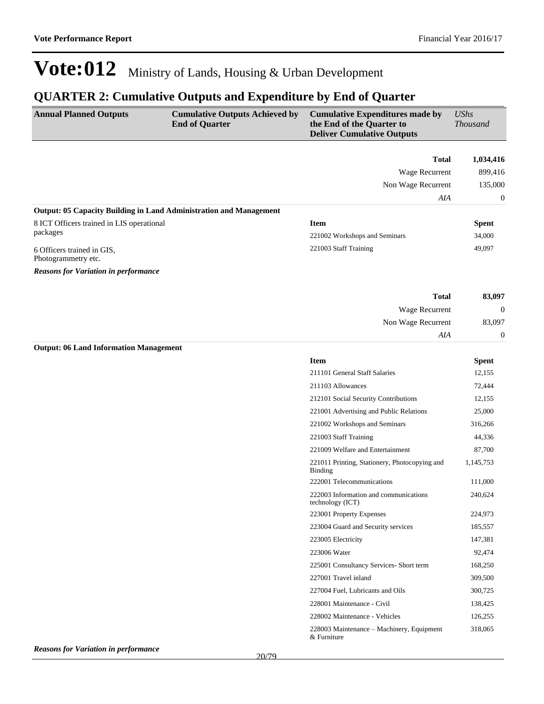### **QUARTER 2: Cumulative Outputs and Expenditure by End of Quarter**

| <b>Annual Planned Outputs</b>                                      | <b>Cumulative Outputs Achieved by</b><br><b>End of Quarter</b> | <b>Cumulative Expenditures made by</b><br>the End of the Quarter to<br><b>Deliver Cumulative Outputs</b> | <b>UShs</b><br><b>Thousand</b> |
|--------------------------------------------------------------------|----------------------------------------------------------------|----------------------------------------------------------------------------------------------------------|--------------------------------|
|                                                                    |                                                                | <b>Total</b>                                                                                             | 1,034,416                      |
|                                                                    |                                                                | Wage Recurrent                                                                                           | 899,416                        |
|                                                                    |                                                                | Non Wage Recurrent                                                                                       | 135,000                        |
|                                                                    |                                                                | AIA                                                                                                      | $\boldsymbol{0}$               |
| Output: 05 Capacity Building in Land Administration and Management |                                                                |                                                                                                          |                                |
| 8 ICT Officers trained in LIS operational                          |                                                                | <b>Item</b>                                                                                              | <b>Spent</b>                   |
| packages                                                           |                                                                | 221002 Workshops and Seminars                                                                            | 34,000                         |
| 6 Officers trained in GIS,                                         |                                                                | 221003 Staff Training                                                                                    | 49,097                         |
| Photogrammetry etc.                                                |                                                                |                                                                                                          |                                |
| <b>Reasons for Variation in performance</b>                        |                                                                |                                                                                                          |                                |
|                                                                    |                                                                | <b>Total</b>                                                                                             | 83,097                         |
|                                                                    |                                                                | Wage Recurrent                                                                                           | $\boldsymbol{0}$               |
|                                                                    |                                                                | Non Wage Recurrent                                                                                       | 83,097                         |
|                                                                    |                                                                | AIA                                                                                                      | $\boldsymbol{0}$               |
| <b>Output: 06 Land Information Management</b>                      |                                                                |                                                                                                          |                                |
|                                                                    |                                                                | <b>Item</b>                                                                                              | <b>Spent</b>                   |
|                                                                    |                                                                | 211101 General Staff Salaries                                                                            | 12,155                         |
|                                                                    |                                                                | 211103 Allowances                                                                                        | 72,444                         |
|                                                                    |                                                                | 212101 Social Security Contributions                                                                     | 12,155                         |
|                                                                    |                                                                | 221001 Advertising and Public Relations                                                                  | 25,000                         |
|                                                                    |                                                                | 221002 Workshops and Seminars                                                                            | 316,266                        |
|                                                                    |                                                                | 221003 Staff Training                                                                                    | 44,336                         |
|                                                                    |                                                                | 221009 Welfare and Entertainment                                                                         | 87,700                         |
|                                                                    |                                                                | 221011 Printing, Stationery, Photocopying and<br><b>Binding</b>                                          | 1,145,753                      |
|                                                                    |                                                                | 222001 Telecommunications                                                                                | 111,000                        |
|                                                                    |                                                                | 222003 Information and communications<br>technology (ICT)                                                | 240,624                        |
|                                                                    |                                                                | 223001 Property Expenses                                                                                 | 224,973                        |
|                                                                    |                                                                | 223004 Guard and Security services                                                                       | 185,557                        |
|                                                                    |                                                                | 223005 Electricity                                                                                       | 147,381                        |
|                                                                    |                                                                | 223006 Water                                                                                             | 92,474                         |
|                                                                    |                                                                | 225001 Consultancy Services- Short term                                                                  | 168,250                        |
|                                                                    |                                                                | 227001 Travel inland                                                                                     | 309,500                        |
|                                                                    |                                                                | 227004 Fuel, Lubricants and Oils                                                                         | 300,725                        |
|                                                                    |                                                                | 228001 Maintenance - Civil                                                                               | 138,425                        |
|                                                                    |                                                                | 228002 Maintenance - Vehicles                                                                            | 126,255                        |

228003 Maintenance - Machinery, Equipment

318,065

& Furniture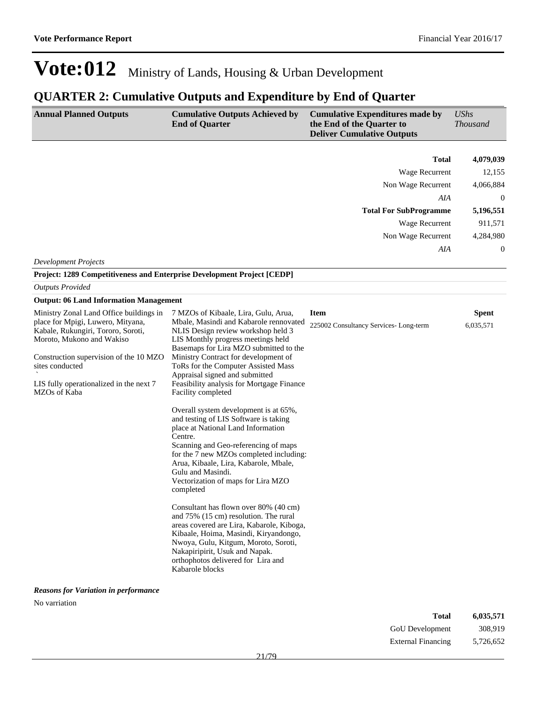## **QUARTER 2: Cumulative Outputs and Expenditure by End of Quarter**

| <b>Annual Planned Outputs</b>                                                                                                                                                                                                                                           | <b>Cumulative Outputs Achieved by</b><br><b>End of Quarter</b>                                                                                                                                                                                                                                                                                                                                                                                                                                                                                                                                                                                                                                                                                                                                                                                                 | <b>Cumulative Expenditures made by</b><br>the End of the Quarter to<br><b>Deliver Cumulative Outputs</b> | <b>UShs</b><br><b>Thousand</b> |
|-------------------------------------------------------------------------------------------------------------------------------------------------------------------------------------------------------------------------------------------------------------------------|----------------------------------------------------------------------------------------------------------------------------------------------------------------------------------------------------------------------------------------------------------------------------------------------------------------------------------------------------------------------------------------------------------------------------------------------------------------------------------------------------------------------------------------------------------------------------------------------------------------------------------------------------------------------------------------------------------------------------------------------------------------------------------------------------------------------------------------------------------------|----------------------------------------------------------------------------------------------------------|--------------------------------|
|                                                                                                                                                                                                                                                                         |                                                                                                                                                                                                                                                                                                                                                                                                                                                                                                                                                                                                                                                                                                                                                                                                                                                                |                                                                                                          |                                |
|                                                                                                                                                                                                                                                                         |                                                                                                                                                                                                                                                                                                                                                                                                                                                                                                                                                                                                                                                                                                                                                                                                                                                                | Total                                                                                                    | 4,079,039                      |
|                                                                                                                                                                                                                                                                         |                                                                                                                                                                                                                                                                                                                                                                                                                                                                                                                                                                                                                                                                                                                                                                                                                                                                | Wage Recurrent                                                                                           | 12,155                         |
|                                                                                                                                                                                                                                                                         |                                                                                                                                                                                                                                                                                                                                                                                                                                                                                                                                                                                                                                                                                                                                                                                                                                                                | Non Wage Recurrent                                                                                       | 4,066,884                      |
|                                                                                                                                                                                                                                                                         |                                                                                                                                                                                                                                                                                                                                                                                                                                                                                                                                                                                                                                                                                                                                                                                                                                                                | AIA                                                                                                      | $\boldsymbol{0}$               |
|                                                                                                                                                                                                                                                                         |                                                                                                                                                                                                                                                                                                                                                                                                                                                                                                                                                                                                                                                                                                                                                                                                                                                                | <b>Total For SubProgramme</b>                                                                            | 5,196,551                      |
|                                                                                                                                                                                                                                                                         |                                                                                                                                                                                                                                                                                                                                                                                                                                                                                                                                                                                                                                                                                                                                                                                                                                                                | Wage Recurrent                                                                                           | 911,571                        |
|                                                                                                                                                                                                                                                                         |                                                                                                                                                                                                                                                                                                                                                                                                                                                                                                                                                                                                                                                                                                                                                                                                                                                                | Non Wage Recurrent                                                                                       | 4,284,980                      |
|                                                                                                                                                                                                                                                                         |                                                                                                                                                                                                                                                                                                                                                                                                                                                                                                                                                                                                                                                                                                                                                                                                                                                                | AIA                                                                                                      | 0                              |
| <b>Development Projects</b>                                                                                                                                                                                                                                             |                                                                                                                                                                                                                                                                                                                                                                                                                                                                                                                                                                                                                                                                                                                                                                                                                                                                |                                                                                                          |                                |
| <b>Project: 1289 Competitiveness and Enterprise Development Project [CEDP]</b>                                                                                                                                                                                          |                                                                                                                                                                                                                                                                                                                                                                                                                                                                                                                                                                                                                                                                                                                                                                                                                                                                |                                                                                                          |                                |
| <b>Outputs Provided</b>                                                                                                                                                                                                                                                 |                                                                                                                                                                                                                                                                                                                                                                                                                                                                                                                                                                                                                                                                                                                                                                                                                                                                |                                                                                                          |                                |
| <b>Output: 06 Land Information Management</b>                                                                                                                                                                                                                           |                                                                                                                                                                                                                                                                                                                                                                                                                                                                                                                                                                                                                                                                                                                                                                                                                                                                |                                                                                                          |                                |
| Ministry Zonal Land Office buildings in<br>place for Mpigi, Luwero, Mityana,<br>Kabale, Rukungiri, Tororo, Soroti,<br>Moroto, Mukono and Wakiso<br>Construction supervision of the 10 MZO<br>sites conducted<br>LIS fully operationalized in the next 7<br>MZOs of Kaba | 7 MZOs of Kibaale, Lira, Gulu, Arua,<br>Mbale, Masindi and Kabarole rennovated<br>NLIS Design review workshop held 3<br>LIS Monthly progress meetings held<br>Basemaps for Lira MZO submitted to the<br>Ministry Contract for development of<br>ToRs for the Computer Assisted Mass<br>Appraisal signed and submitted<br>Feasibility analysis for Mortgage Finance<br>Facility completed<br>Overall system development is at 65%,<br>and testing of LIS Software is taking<br>place at National Land Information<br>Centre.<br>Scanning and Geo-referencing of maps<br>for the 7 new MZOs completed including:<br>Arua, Kibaale, Lira, Kabarole, Mbale,<br>Gulu and Masindi.<br>Vectorization of maps for Lira MZO<br>completed<br>Consultant has flown over 80% (40 cm)<br>and 75% (15 cm) resolution. The rural<br>areas covered are Lira, Kabarole, Kiboga, | <b>Item</b><br>225002 Consultancy Services-Long-term                                                     | <b>Spent</b><br>6,035,571      |
| <b>Reasons for Variation in performance</b>                                                                                                                                                                                                                             | Kibaale, Hoima, Masindi, Kiryandongo,<br>Nwoya, Gulu, Kitgum, Moroto, Soroti,<br>Nakapiripirit, Usuk and Napak.<br>orthophotos delivered for Lira and<br>Kabarole blocks                                                                                                                                                                                                                                                                                                                                                                                                                                                                                                                                                                                                                                                                                       |                                                                                                          |                                |

No varriation

| Total              | 6,035,571 |
|--------------------|-----------|
| GoU Development    | 308.919   |
| External Financing | 5,726,652 |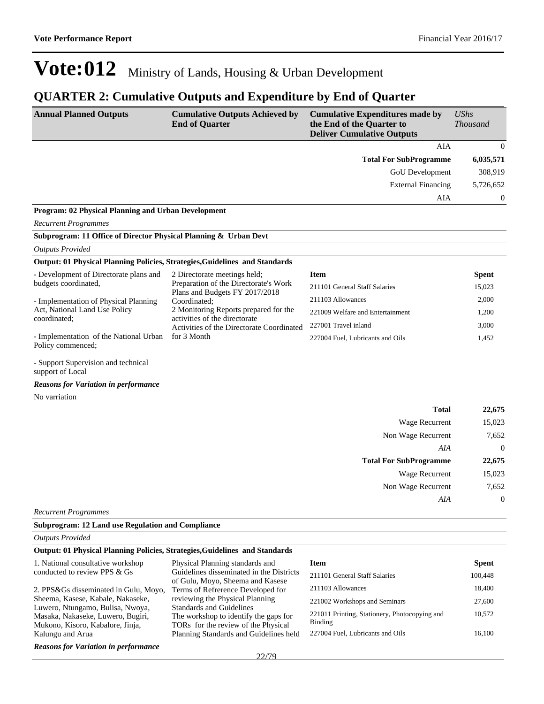### **QUARTER 2: Cumulative Outputs and Expenditure by End of Quarter**

| <b>Annual Planned Outputs</b>                                               | <b>Cumulative Outputs Achieved by</b><br><b>End of Quarter</b>                         | <b>Cumulative Expenditures made by</b><br>the End of the Quarter to<br><b>Deliver Cumulative Outputs</b> | <b>UShs</b><br><b>Thousand</b> |
|-----------------------------------------------------------------------------|----------------------------------------------------------------------------------------|----------------------------------------------------------------------------------------------------------|--------------------------------|
|                                                                             |                                                                                        | AIA                                                                                                      | $\mathbf{0}$                   |
|                                                                             |                                                                                        | <b>Total For SubProgramme</b>                                                                            | 6,035,571                      |
|                                                                             |                                                                                        | GoU Development                                                                                          | 308,919                        |
|                                                                             |                                                                                        | <b>External Financing</b>                                                                                | 5,726,652                      |
|                                                                             |                                                                                        | AIA                                                                                                      | 0                              |
| Program: 02 Physical Planning and Urban Development                         |                                                                                        |                                                                                                          |                                |
| <b>Recurrent Programmes</b>                                                 |                                                                                        |                                                                                                          |                                |
| Subprogram: 11 Office of Director Physical Planning & Urban Devt            |                                                                                        |                                                                                                          |                                |
| <b>Outputs Provided</b>                                                     |                                                                                        |                                                                                                          |                                |
| Output: 01 Physical Planning Policies, Strategies, Guidelines and Standards |                                                                                        |                                                                                                          |                                |
| - Development of Directorate plans and                                      | 2 Directorate meetings held;                                                           | <b>Item</b>                                                                                              | <b>Spent</b>                   |
| budgets coordinated,                                                        | Preparation of the Directorate's Work<br>Plans and Budgets FY 2017/2018                | 211101 General Staff Salaries                                                                            | 15,023                         |
| - Implementation of Physical Planning                                       | Coordinated:                                                                           | 211103 Allowances                                                                                        | 2,000                          |
| Act, National Land Use Policy<br>coordinated:                               | 2 Monitoring Reports prepared for the<br>activities of the directorate                 | 221009 Welfare and Entertainment                                                                         | 1,200                          |
|                                                                             | Activities of the Directorate Coordinated                                              | 227001 Travel inland                                                                                     | 3,000                          |
| - Implementation of the National Urban<br>Policy commenced;                 | for 3 Month                                                                            | 227004 Fuel, Lubricants and Oils                                                                         | 1,452                          |
| - Support Supervision and technical<br>support of Local                     |                                                                                        |                                                                                                          |                                |
| <b>Reasons for Variation in performance</b>                                 |                                                                                        |                                                                                                          |                                |
| No varriation                                                               |                                                                                        |                                                                                                          |                                |
|                                                                             |                                                                                        | <b>Total</b>                                                                                             | 22,675                         |
|                                                                             |                                                                                        | Wage Recurrent                                                                                           | 15,023                         |
|                                                                             |                                                                                        | Non Wage Recurrent                                                                                       | 7,652                          |
|                                                                             |                                                                                        | AIA                                                                                                      | $\theta$                       |
|                                                                             |                                                                                        | <b>Total For SubProgramme</b>                                                                            | 22,675                         |
|                                                                             |                                                                                        | Wage Recurrent                                                                                           | 15,023                         |
|                                                                             |                                                                                        | Non Wage Recurrent                                                                                       | 7,652                          |
|                                                                             |                                                                                        | AIA                                                                                                      | $\boldsymbol{0}$               |
| <b>Recurrent Programmes</b>                                                 |                                                                                        |                                                                                                          |                                |
| <b>Subprogram: 12 Land use Regulation and Compliance</b>                    |                                                                                        |                                                                                                          |                                |
| <b>Outputs Provided</b>                                                     |                                                                                        |                                                                                                          |                                |
| Output: 01 Physical Planning Policies, Strategies, Guidelines and Standards |                                                                                        |                                                                                                          |                                |
| 1. National consultative workshop<br>$\ldots$ DDC $\ell$ $\alpha$           | Physical Planning standards and<br>Cuidelines disseminated in<br>$D_{\text{infinite}}$ | <b>Item</b>                                                                                              | <b>Spent</b>                   |

| 1. National consultative workshop                                     | Physical Planning standards and                                              | ntem                                          | <b>Spent</b> |
|-----------------------------------------------------------------------|------------------------------------------------------------------------------|-----------------------------------------------|--------------|
| conducted to review PPS & Gs                                          | Guidelines disseminated in the Districts<br>of Gulu, Moyo, Sheema and Kasese | 211101 General Staff Salaries                 | 100,448      |
| 2. PPS&Gs disseminated in Gulu, Moyo,                                 | Terms of Refrerence Developed for                                            | 211103 Allowances                             | 18,400       |
| Sheema, Kasese, Kabale, Nakaseke,                                     | reviewing the Physical Planning                                              | 221002 Workshops and Seminars                 | 27,600       |
| Luwero, Ntungamo, Bulisa, Nwoya,<br>Masaka, Nakaseke, Luwero, Bugiri, | <b>Standards and Guidelines</b><br>The workshop to identify the gaps for     | 221011 Printing, Stationery, Photocopying and | 10,572       |
| Mukono, Kisoro, Kabalore, Jinja,                                      | TORs for the review of the Physical                                          | Binding                                       |              |
| Kalungu and Arua                                                      | Planning Standards and Guidelines held                                       | 227004 Fuel, Lubricants and Oils              | 16.100       |
| <b>Reasons for Variation in performance</b>                           |                                                                              |                                               |              |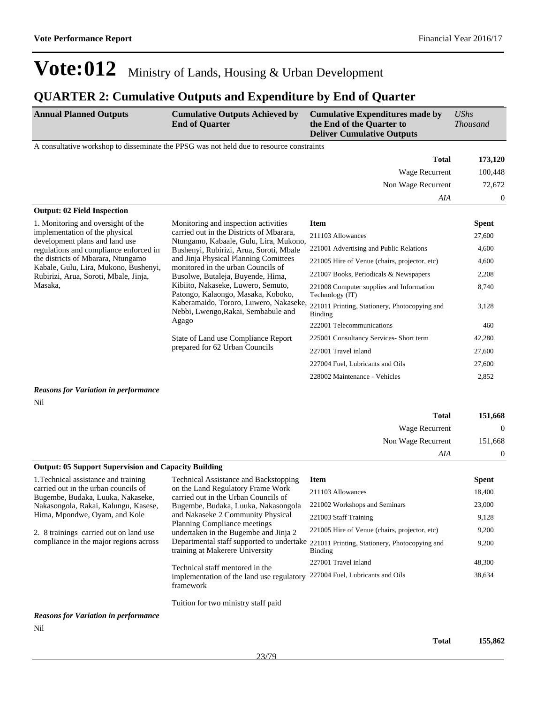### **QUARTER 2: Cumulative Outputs and Expenditure by End of Quarter**

| <b>Annual Planned Outputs</b>                                                                                                   | <b>Cumulative Outputs Achieved by</b><br><b>End of Quarter</b>                                                                                                                                                                                                                                                                                                                                                                                                  | <b>Cumulative Expenditures made by</b><br>the End of the Quarter to<br><b>Deliver Cumulative Outputs</b> | $\mathit{UShs}$<br><b>Thousand</b> |
|---------------------------------------------------------------------------------------------------------------------------------|-----------------------------------------------------------------------------------------------------------------------------------------------------------------------------------------------------------------------------------------------------------------------------------------------------------------------------------------------------------------------------------------------------------------------------------------------------------------|----------------------------------------------------------------------------------------------------------|------------------------------------|
|                                                                                                                                 | A consultative workshop to disseminate the PPSG was not held due to resource constraints                                                                                                                                                                                                                                                                                                                                                                        |                                                                                                          |                                    |
|                                                                                                                                 |                                                                                                                                                                                                                                                                                                                                                                                                                                                                 | <b>Total</b>                                                                                             | 173,120                            |
|                                                                                                                                 |                                                                                                                                                                                                                                                                                                                                                                                                                                                                 | Wage Recurrent                                                                                           | 100,448                            |
|                                                                                                                                 |                                                                                                                                                                                                                                                                                                                                                                                                                                                                 | Non Wage Recurrent                                                                                       | 72,672                             |
|                                                                                                                                 |                                                                                                                                                                                                                                                                                                                                                                                                                                                                 | AIA                                                                                                      | $\overline{0}$                     |
| <b>Output: 02 Field Inspection</b>                                                                                              |                                                                                                                                                                                                                                                                                                                                                                                                                                                                 |                                                                                                          |                                    |
| 1. Monitoring and oversight of the                                                                                              | Monitoring and inspection activities<br>carried out in the Districts of Mbarara,<br>Ntungamo, Kabaale, Gulu, Lira, Mukono,<br>Bushenyi, Rubirizi, Arua, Soroti, Mbale<br>and Jinja Physical Planning Comittees<br>monitored in the urban Councils of<br>Busolwe, Butaleja, Buyende, Hima,<br>Kibiito, Nakaseke, Luwero, Semuto,<br>Patongo, Kalaongo, Masaka, Koboko,<br>Kaberamaido, Tororo, Luwero, Nakaseke,<br>Nebbi, Lwengo, Rakai, Sembabule and<br>Agago | <b>Item</b>                                                                                              | <b>Spent</b>                       |
| implementation of the physical<br>development plans and land use                                                                |                                                                                                                                                                                                                                                                                                                                                                                                                                                                 | 211103 Allowances                                                                                        | 27,600                             |
| regulations and compliance enforced in                                                                                          |                                                                                                                                                                                                                                                                                                                                                                                                                                                                 | 221001 Advertising and Public Relations                                                                  | 4,600                              |
| the districts of Mbarara, Ntungamo<br>Kabale, Gulu, Lira, Mukono, Bushenyi,<br>Rubirizi, Arua, Soroti, Mbale, Jinja,<br>Masaka. |                                                                                                                                                                                                                                                                                                                                                                                                                                                                 | 221005 Hire of Venue (chairs, projector, etc)                                                            | 4,600                              |
|                                                                                                                                 |                                                                                                                                                                                                                                                                                                                                                                                                                                                                 | 221007 Books, Periodicals & Newspapers                                                                   | 2,208                              |
|                                                                                                                                 |                                                                                                                                                                                                                                                                                                                                                                                                                                                                 | 221008 Computer supplies and Information<br>Technology (IT)                                              | 8,740                              |
|                                                                                                                                 |                                                                                                                                                                                                                                                                                                                                                                                                                                                                 | 221011 Printing, Stationery, Photocopying and<br>Binding                                                 | 3,128                              |
|                                                                                                                                 |                                                                                                                                                                                                                                                                                                                                                                                                                                                                 | 222001 Telecommunications                                                                                | 460                                |
|                                                                                                                                 | State of Land use Compliance Report                                                                                                                                                                                                                                                                                                                                                                                                                             | 225001 Consultancy Services- Short term                                                                  | 42,280                             |
|                                                                                                                                 | prepared for 62 Urban Councils                                                                                                                                                                                                                                                                                                                                                                                                                                  | 227001 Travel inland                                                                                     | 27,600                             |
|                                                                                                                                 |                                                                                                                                                                                                                                                                                                                                                                                                                                                                 | 227004 Fuel, Lubricants and Oils                                                                         | 27,600                             |
|                                                                                                                                 |                                                                                                                                                                                                                                                                                                                                                                                                                                                                 | 228002 Maintenance - Vehicles                                                                            | 2,852                              |
| <b>Reasons for Variation in performance</b>                                                                                     |                                                                                                                                                                                                                                                                                                                                                                                                                                                                 |                                                                                                          |                                    |

Nil

| <b>Total</b>                                                | 151,668 |
|-------------------------------------------------------------|---------|
| Wage Recurrent                                              |         |
| Non Wage Recurrent                                          | 151,668 |
| AIA                                                         |         |
| <b>Output: 05 Support Supervision and Capacity Building</b> |         |

| 1. Technical assistance and training                                      | <b>Technical Assistance and Backstopping</b>                              | <b>Item</b>                                                                                        | <b>Spent</b> |
|---------------------------------------------------------------------------|---------------------------------------------------------------------------|----------------------------------------------------------------------------------------------------|--------------|
| carried out in the urban councils of<br>Bugembe, Budaka, Luuka, Nakaseke, | on the Land Regulatory Frame Work<br>carried out in the Urban Councils of | 211103 Allowances                                                                                  | 18,400       |
| Nakasongola, Rakai, Kalungu, Kasese,                                      | Bugembe, Budaka, Luuka, Nakasongola                                       | 221002 Workshops and Seminars                                                                      | 23,000       |
| Hima, Mpondwe, Oyam, and Kole                                             | and Nakaseke 2 Community Physical<br><b>Planning Compliance meetings</b>  | 221003 Staff Training                                                                              | 9,128        |
| 2. 8 trainings carried out on land use                                    | undertaken in the Bugembe and Jinja 2                                     | 221005 Hire of Venue (chairs, projector, etc)                                                      | 9,200        |
| compliance in the major regions across                                    | training at Makerere University                                           | Departmental staff supported to undertake 221011 Printing, Stationery, Photocopying and<br>Binding | 9,200        |
|                                                                           | Technical staff mentored in the                                           | 227001 Travel inland                                                                               | 48,300       |
|                                                                           | implementation of the land use regulatory<br>framework                    | 227004 Fuel, Lubricants and Oils                                                                   | 38.634       |
|                                                                           | Tuition for two ministry staff paid                                       |                                                                                                    |              |

#### *Reasons for Variation in performance*

Nil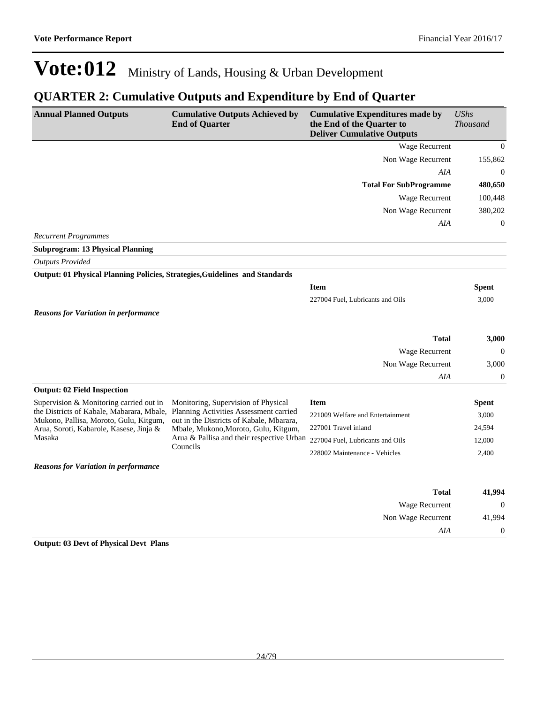### **QUARTER 2: Cumulative Outputs and Expenditure by End of Quarter**

| <b>Annual Planned Outputs</b>                                                     | <b>Cumulative Outputs Achieved by</b><br><b>End of Quarter</b>                                                                | <b>Cumulative Expenditures made by</b><br>the End of the Quarter to<br><b>Deliver Cumulative Outputs</b> | <b>UShs</b><br><b>Thousand</b> |
|-----------------------------------------------------------------------------------|-------------------------------------------------------------------------------------------------------------------------------|----------------------------------------------------------------------------------------------------------|--------------------------------|
|                                                                                   |                                                                                                                               | Wage Recurrent                                                                                           | $\mathbf{0}$                   |
|                                                                                   |                                                                                                                               | Non Wage Recurrent                                                                                       | 155,862                        |
|                                                                                   |                                                                                                                               | AIA                                                                                                      | $\mathbf{0}$                   |
|                                                                                   |                                                                                                                               | <b>Total For SubProgramme</b>                                                                            | 480,650                        |
|                                                                                   |                                                                                                                               | Wage Recurrent                                                                                           | 100,448                        |
|                                                                                   |                                                                                                                               | Non Wage Recurrent                                                                                       | 380,202                        |
|                                                                                   |                                                                                                                               | AIA                                                                                                      | $\mathbf{0}$                   |
| <b>Recurrent Programmes</b>                                                       |                                                                                                                               |                                                                                                          |                                |
| <b>Subprogram: 13 Physical Planning</b>                                           |                                                                                                                               |                                                                                                          |                                |
| <b>Outputs Provided</b>                                                           |                                                                                                                               |                                                                                                          |                                |
| Output: 01 Physical Planning Policies, Strategies, Guidelines and Standards       |                                                                                                                               |                                                                                                          |                                |
|                                                                                   |                                                                                                                               | <b>Item</b>                                                                                              | <b>Spent</b>                   |
|                                                                                   |                                                                                                                               | 227004 Fuel, Lubricants and Oils                                                                         | 3,000                          |
| <b>Reasons for Variation in performance</b>                                       |                                                                                                                               |                                                                                                          |                                |
|                                                                                   |                                                                                                                               |                                                                                                          |                                |
|                                                                                   |                                                                                                                               | <b>Total</b>                                                                                             | 3,000                          |
|                                                                                   |                                                                                                                               | Wage Recurrent                                                                                           | $\overline{0}$                 |
|                                                                                   |                                                                                                                               | Non Wage Recurrent<br>AIA                                                                                | 3,000<br>$\mathbf{0}$          |
| <b>Output: 02 Field Inspection</b>                                                |                                                                                                                               |                                                                                                          |                                |
| Supervision & Monitoring carried out in                                           | Monitoring, Supervision of Physical                                                                                           | <b>Item</b>                                                                                              | <b>Spent</b>                   |
| the Districts of Kabale, Mabarara, Mbale,                                         | Planning Activities Assessment carried                                                                                        | 221009 Welfare and Entertainment                                                                         | 3,000                          |
| Mukono, Pallisa, Moroto, Gulu, Kitgum,<br>Arua, Soroti, Kabarole, Kasese, Jinja & | out in the Districts of Kabale, Mbarara,<br>Mbale, Mukono, Moroto, Gulu, Kitgum,<br>Arua & Pallisa and their respective Urban | 227001 Travel inland                                                                                     | 24,594                         |
| Masaka                                                                            |                                                                                                                               | 227004 Fuel, Lubricants and Oils                                                                         | 12,000                         |
|                                                                                   | Councils                                                                                                                      | 228002 Maintenance - Vehicles                                                                            | 2,400                          |
| <b>Reasons for Variation in performance</b>                                       |                                                                                                                               |                                                                                                          |                                |
|                                                                                   |                                                                                                                               | <b>Total</b>                                                                                             | 41,994                         |
|                                                                                   |                                                                                                                               | Wage Recurrent                                                                                           | $\boldsymbol{0}$               |
|                                                                                   |                                                                                                                               | Non Wage Recurrent                                                                                       | 41,994                         |
|                                                                                   |                                                                                                                               | AIA                                                                                                      | $\boldsymbol{0}$               |
| <b>Output: 03 Devt of Physical Devt Plans</b>                                     |                                                                                                                               |                                                                                                          |                                |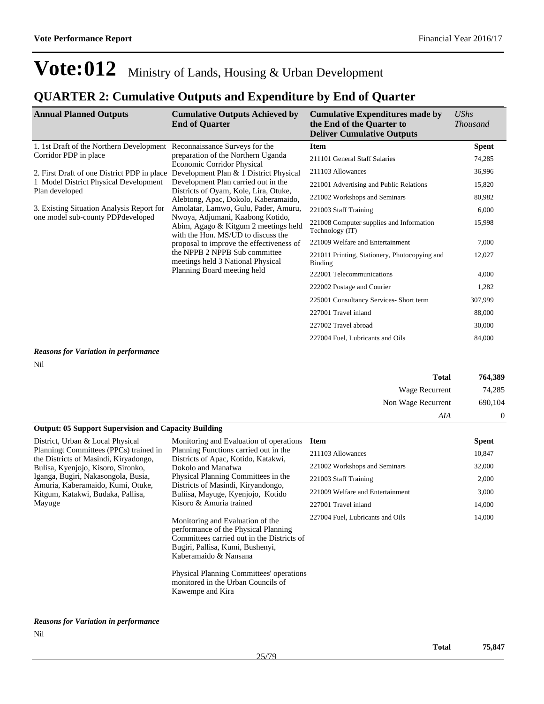### **QUARTER 2: Cumulative Outputs and Expenditure by End of Quarter**

| <b>Annual Planned Outputs</b>                           | <b>Cumulative Outputs Achieved by</b><br><b>End of Quarter</b>                                                                                                                                                                                                                                        | <b>Cumulative Expenditures made by</b><br>the End of the Quarter to<br><b>Deliver Cumulative Outputs</b> | <b>UShs</b><br><b>Thousand</b> |
|---------------------------------------------------------|-------------------------------------------------------------------------------------------------------------------------------------------------------------------------------------------------------------------------------------------------------------------------------------------------------|----------------------------------------------------------------------------------------------------------|--------------------------------|
| 1. 1st Draft of the Northern Development                | Reconnaissance Surveys for the                                                                                                                                                                                                                                                                        | <b>Item</b>                                                                                              | <b>Spent</b>                   |
| Corridor PDP in place                                   | preparation of the Northern Uganda<br><b>Economic Corridor Physical</b>                                                                                                                                                                                                                               | 211101 General Staff Salaries                                                                            | 74,285                         |
| 2. First Draft of one District PDP in place             | Development Plan & 1 District Physical                                                                                                                                                                                                                                                                | 211103 Allowances                                                                                        | 36,996                         |
| 1 Model District Physical Development<br>Plan developed | Development Plan carried out in the<br>Districts of Oyam, Kole, Lira, Otuke,                                                                                                                                                                                                                          | 221001 Advertising and Public Relations                                                                  | 15,820                         |
|                                                         | Alebtong, Apac, Dokolo, Kaberamaido,                                                                                                                                                                                                                                                                  | 221002 Workshops and Seminars                                                                            | 80,982                         |
| 3. Existing Situation Analysis Report for               | Amolatar, Lamwo, Gulu, Pader, Amuru,                                                                                                                                                                                                                                                                  | 221003 Staff Training                                                                                    | 6,000                          |
|                                                         | one model sub-county PDP developed<br>Nwoya, Adjumani, Kaabong Kotido,<br>Abim, Agago & Kitgum 2 meetings held<br>with the Hon. MS/UD to discuss the<br>proposal to improve the effectiveness of<br>the NPPB 2 NPPB Sub committee<br>meetings held 3 National Physical<br>Planning Board meeting held | 221008 Computer supplies and Information<br>Technology (IT)                                              | 15,998                         |
|                                                         |                                                                                                                                                                                                                                                                                                       | 221009 Welfare and Entertainment                                                                         | 7,000                          |
|                                                         |                                                                                                                                                                                                                                                                                                       | 221011 Printing, Stationery, Photocopying and<br>Binding                                                 | 12,027                         |
|                                                         |                                                                                                                                                                                                                                                                                                       | 222001 Telecommunications                                                                                | 4,000                          |
|                                                         |                                                                                                                                                                                                                                                                                                       | 222002 Postage and Courier                                                                               | 1,282                          |
|                                                         | 225001 Consultancy Services-Short term                                                                                                                                                                                                                                                                | 307,999                                                                                                  |                                |
|                                                         |                                                                                                                                                                                                                                                                                                       | 227001 Travel inland                                                                                     | 88,000                         |
|                                                         |                                                                                                                                                                                                                                                                                                       | 227002 Travel abroad                                                                                     | 30,000                         |
|                                                         |                                                                                                                                                                                                                                                                                                       | 227004 Fuel. Lubricants and Oils                                                                         | 84,000                         |

### *Reasons for Variation in performance*

Nil

| 764,389        | <b>Total</b>       |
|----------------|--------------------|
| 74,285         | Wage Recurrent     |
| 690,104        | Non Wage Recurrent |
| $\overline{0}$ | AIA                |

#### **Output: 05 Support Supervision and Capacity Building**

District, Urban & Local Physical Planningt Committees (PPCs) trained in the Districts of Masindi, Kiryadongo, Bulisa, Kyenjojo, Kisoro, Sironko, Iganga, Bugiri, Nakasongola, Busia, Amuria, Kaberamaido, Kumi, Otuke, Kitgum, Katakwi, Budaka, Pallisa, Mayuge

#### Monitoring and Evaluation of operations Planning Functions carried out in the Districts of Apac, Kotido, Katakwi, Dokolo and Manafwa Physical Planning Committees in the Districts of Masindi, Kiryandongo, Buliisa, Mayuge, Kyenjojo, Kotido Kisoro & Amuria trained

Monitoring and Evaluation of the performance of the Physical Planning Committees carried out in the Districts of Bugiri, Pallisa, Kumi, Bushenyi, Kaberamaido & Nansana

Physical Planning Committees' operations monitored in the Urban Councils of Kawempe and Kira

| <b>Item</b>                      | <b>Spent</b> |
|----------------------------------|--------------|
| 211103 Allowances                | 10,847       |
| 221002 Workshops and Seminars    | 32,000       |
| 221003 Staff Training            | 2,000        |
| 221009 Welfare and Entertainment | 3,000        |
| 227001 Travel inland             | 14,000       |
| 227004 Fuel, Lubricants and Oils | 14,000       |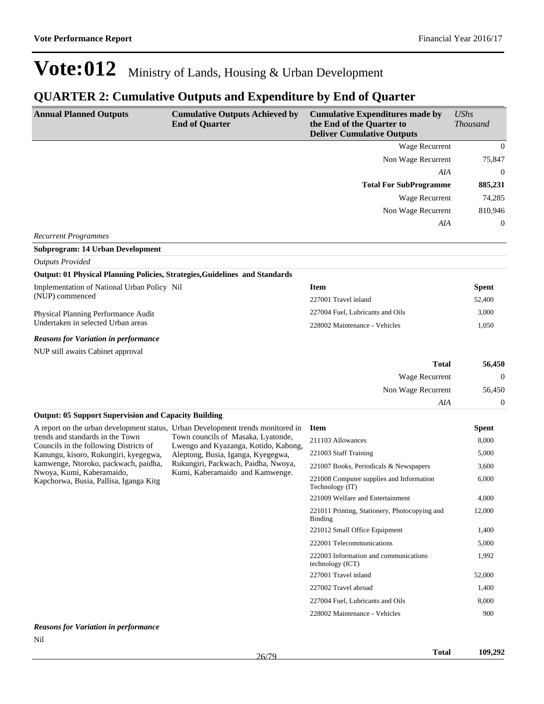### **QUARTER 2: Cumulative Outputs and Expenditure by End of Quarter**

| <b>Annual Planned Outputs</b>                                                                               | <b>Cumulative Outputs Achieved by</b><br><b>End of Quarter</b>             | <b>Cumulative Expenditures made by</b><br>the End of the Quarter to<br><b>Deliver Cumulative Outputs</b> | <b>UShs</b><br><b>Thousand</b> |
|-------------------------------------------------------------------------------------------------------------|----------------------------------------------------------------------------|----------------------------------------------------------------------------------------------------------|--------------------------------|
|                                                                                                             |                                                                            | Wage Recurrent                                                                                           | $\Omega$                       |
|                                                                                                             |                                                                            | Non Wage Recurrent                                                                                       | 75,847                         |
|                                                                                                             |                                                                            | <b>AIA</b>                                                                                               | $\Omega$                       |
|                                                                                                             |                                                                            | <b>Total For SubProgramme</b>                                                                            | 885,231                        |
|                                                                                                             |                                                                            | Wage Recurrent                                                                                           | 74,285                         |
|                                                                                                             |                                                                            | Non Wage Recurrent                                                                                       | 810,946                        |
|                                                                                                             |                                                                            | AIA                                                                                                      | $\theta$                       |
| <b>Recurrent Programmes</b>                                                                                 |                                                                            |                                                                                                          |                                |
| <b>Subprogram: 14 Urban Development</b>                                                                     |                                                                            |                                                                                                          |                                |
| <b>Outputs Provided</b>                                                                                     |                                                                            |                                                                                                          |                                |
| Output: 01 Physical Planning Policies, Strategies, Guidelines and Standards                                 |                                                                            |                                                                                                          |                                |
| Implementation of National Urban Policy Nil                                                                 |                                                                            | <b>Item</b>                                                                                              | <b>Spent</b>                   |
| (NUP) commenced                                                                                             |                                                                            | 227001 Travel inland                                                                                     | 52,400                         |
| Physical Planning Performance Audit                                                                         |                                                                            | 227004 Fuel, Lubricants and Oils                                                                         | 3,000                          |
| Undertaken in selected Urban areas                                                                          |                                                                            | 228002 Maintenance - Vehicles                                                                            | 1,050                          |
| <b>Reasons for Variation in performance</b>                                                                 |                                                                            |                                                                                                          |                                |
| NUP still awaits Cabinet approval                                                                           |                                                                            |                                                                                                          |                                |
|                                                                                                             |                                                                            | <b>Total</b>                                                                                             | 56,450                         |
|                                                                                                             |                                                                            | Wage Recurrent                                                                                           | $\mathbf{0}$                   |
|                                                                                                             |                                                                            | Non Wage Recurrent                                                                                       | 56,450                         |
|                                                                                                             |                                                                            | AIA                                                                                                      | $\theta$                       |
| <b>Output: 05 Support Supervision and Capacity Building</b>                                                 |                                                                            |                                                                                                          |                                |
| A report on the urban development status, Urban Development trends monitored in                             |                                                                            | <b>Item</b>                                                                                              | <b>Spent</b>                   |
| trends and standards in the Town<br>Councils in the following Districts of                                  | Town councils of Masaka, Lyatonde,<br>Lwengo and Kyazanga, Kotido, Kabong, | 211103 Allowances                                                                                        | 8,000                          |
| Kanungu, kisoro, Rukungiri, kyegegwa,                                                                       | Aleptong, Busia, Iganga, Kyegegwa,                                         | 221003 Staff Training                                                                                    | 5,000                          |
| kamwenge, Ntoroko, packwach, paidha,<br>Nwoya, Kumi, Kaberamaido,<br>Kapchorwa, Busia, Pallisa, Iganga Kitg | Rukungiri, Packwach, Paidha, Nwoya,                                        | 221007 Books, Periodicals & Newspapers                                                                   | 3,600                          |
|                                                                                                             | Kumi, Kaberamaido and Kamwenge.                                            | 221008 Computer supplies and Information<br>Technology (IT)                                              | 6,000                          |
|                                                                                                             |                                                                            | 221009 Welfare and Entertainment                                                                         | 4,000                          |
|                                                                                                             |                                                                            | 221011 Printing, Stationery, Photocopying and                                                            | 12,000                         |

#### *Reasons for Variation in performance* Nil

Binding

technology (ICT)

221012 Small Office Equipment 1,400 222001 Telecommunications 5,000

227001 Travel inland 52,000 227002 Travel abroad 1,400 227004 Fuel, Lubricants and Oils 8,000 228002 Maintenance - Vehicles 900

222003 Information and communications

1,992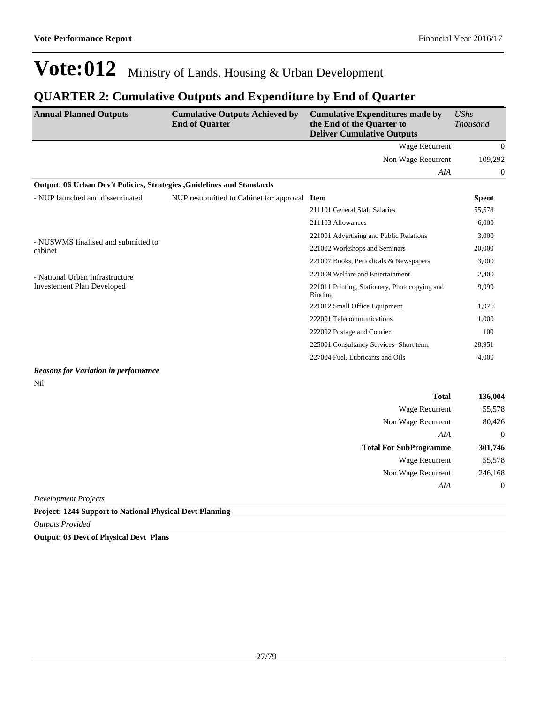## **QUARTER 2: Cumulative Outputs and Expenditure by End of Quarter**

| <b>Annual Planned Outputs</b>                                         | <b>Cumulative Outputs Achieved by</b><br><b>End of Quarter</b> | <b>Cumulative Expenditures made by</b><br>the End of the Quarter to<br><b>Deliver Cumulative Outputs</b> | <b>UShs</b><br><b>Thousand</b> |
|-----------------------------------------------------------------------|----------------------------------------------------------------|----------------------------------------------------------------------------------------------------------|--------------------------------|
|                                                                       |                                                                | Wage Recurrent                                                                                           | $\mathbf{0}$                   |
|                                                                       |                                                                | Non Wage Recurrent                                                                                       | 109,292                        |
|                                                                       |                                                                | AIA                                                                                                      | $\boldsymbol{0}$               |
| Output: 06 Urban Dev't Policies, Strategies, Guidelines and Standards |                                                                |                                                                                                          |                                |
| - NUP launched and disseminated                                       | NUP resubmitted to Cabinet for approval Item                   |                                                                                                          | <b>Spent</b>                   |
|                                                                       |                                                                | 211101 General Staff Salaries                                                                            | 55,578                         |
|                                                                       |                                                                | 211103 Allowances                                                                                        | 6,000                          |
| - NUSWMS finalised and submitted to                                   |                                                                | 221001 Advertising and Public Relations                                                                  | 3,000                          |
| cabinet                                                               |                                                                | 221002 Workshops and Seminars                                                                            | 20,000                         |
|                                                                       |                                                                | 221007 Books, Periodicals & Newspapers                                                                   | 3,000                          |
| - National Urban Infrastructure                                       |                                                                | 221009 Welfare and Entertainment                                                                         | 2,400                          |
| <b>Investement Plan Developed</b>                                     |                                                                | 221011 Printing, Stationery, Photocopying and<br>Binding                                                 | 9,999                          |
|                                                                       |                                                                | 221012 Small Office Equipment                                                                            | 1,976                          |
|                                                                       |                                                                | 222001 Telecommunications                                                                                | 1,000                          |
|                                                                       |                                                                | 222002 Postage and Courier                                                                               | 100                            |
|                                                                       |                                                                | 225001 Consultancy Services- Short term                                                                  | 28,951                         |
|                                                                       |                                                                | 227004 Fuel, Lubricants and Oils                                                                         | 4,000                          |
| <b>Reasons for Variation in performance</b><br>Nil                    |                                                                |                                                                                                          |                                |
|                                                                       |                                                                | <b>Total</b>                                                                                             | 136,004                        |
|                                                                       |                                                                | Wage Recurrent                                                                                           | 55,578                         |
|                                                                       |                                                                | Non Wage Recurrent                                                                                       | 80,426                         |
|                                                                       |                                                                | AIA                                                                                                      | $\overline{0}$                 |
|                                                                       |                                                                | <b>Total For SubProgramme</b>                                                                            | 301,746                        |
|                                                                       |                                                                | <b>Wage Recurrent</b>                                                                                    | 55,578                         |
|                                                                       |                                                                | Non Wage Recurrent                                                                                       | 246,168                        |
|                                                                       |                                                                | AIA                                                                                                      | $\mathbf{0}$                   |
| <b>Development Projects</b>                                           |                                                                |                                                                                                          |                                |

**Project: 1244 Support to National Physical Devt Planning**

*Outputs Provided*

**Output: 03 Devt of Physical Devt Plans**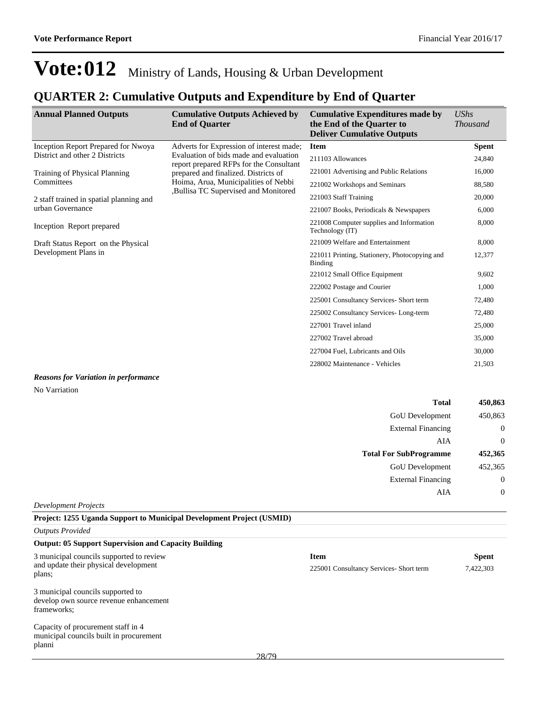### **QUARTER 2: Cumulative Outputs and Expenditure by End of Quarter**

| <b>Annual Planned Outputs</b>                                                                 | <b>Cumulative Outputs Achieved by</b><br><b>End of Quarter</b>                    | <b>Cumulative Expenditures made by</b><br>the End of the Quarter to<br><b>Deliver Cumulative Outputs</b> | <b>UShs</b><br><b>Thousand</b> |
|-----------------------------------------------------------------------------------------------|-----------------------------------------------------------------------------------|----------------------------------------------------------------------------------------------------------|--------------------------------|
| Inception Report Prepared for Nwoya                                                           | Adverts for Expression of interest made;                                          | <b>Item</b>                                                                                              | <b>Spent</b>                   |
| District and other 2 Districts                                                                | Evaluation of bids made and evaluation<br>report prepared RFPs for the Consultant | 211103 Allowances                                                                                        | 24,840                         |
| Training of Physical Planning                                                                 | prepared and finalized. Districts of                                              | 221001 Advertising and Public Relations                                                                  | 16,000                         |
| Committees                                                                                    | Hoima, Arua, Municipalities of Nebbi<br>,Bullisa TC Supervised and Monitored      | 221002 Workshops and Seminars                                                                            | 88,580                         |
| 2 staff trained in spatial planning and                                                       |                                                                                   | 221003 Staff Training                                                                                    | 20,000                         |
| urban Governance                                                                              |                                                                                   | 221007 Books, Periodicals & Newspapers                                                                   | 6,000                          |
| Inception Report prepared                                                                     |                                                                                   | 221008 Computer supplies and Information<br>Technology (IT)                                              | 8,000                          |
| Draft Status Report on the Physical<br>Development Plans in                                   |                                                                                   | 221009 Welfare and Entertainment                                                                         | 8,000                          |
|                                                                                               |                                                                                   | 221011 Printing, Stationery, Photocopying and<br>Binding                                                 | 12,377                         |
|                                                                                               |                                                                                   | 221012 Small Office Equipment                                                                            | 9,602                          |
|                                                                                               |                                                                                   | 222002 Postage and Courier                                                                               | 1,000                          |
|                                                                                               |                                                                                   | 225001 Consultancy Services- Short term                                                                  | 72,480                         |
|                                                                                               |                                                                                   | 225002 Consultancy Services-Long-term                                                                    | 72,480                         |
|                                                                                               |                                                                                   | 227001 Travel inland                                                                                     | 25,000                         |
|                                                                                               |                                                                                   | 227002 Travel abroad                                                                                     | 35,000                         |
|                                                                                               |                                                                                   | 227004 Fuel, Lubricants and Oils                                                                         | 30,000                         |
|                                                                                               |                                                                                   | 228002 Maintenance - Vehicles                                                                            | 21,503                         |
| $\bf{D}$ , and so the $\bf{C}$ and $\bf{D}$ and $\bf{A}$ are defined as $\bf{C}$ and $\bf{C}$ |                                                                                   |                                                                                                          |                                |

#### *Reasons for Variation in performance* No Varriation

| 450,863      | <b>Total</b>                  |
|--------------|-------------------------------|
| 450,863      | GoU Development               |
| $\mathbf{0}$ | <b>External Financing</b>     |
| $\mathbf{0}$ | AIA                           |
| 452,365      | <b>Total For SubProgramme</b> |
| 452,365      | GoU Development               |
| $\mathbf{0}$ | <b>External Financing</b>     |
| $\mathbf{0}$ | AIA                           |
|              |                               |

#### *Development Projects*

#### **Project: 1255 Uganda Support to Municipal Development Project (USMID)**

*Outputs Provided*

#### **Output: 05 Support Supervision and Capacity Building**

| 3 municipal councils supported to review |
|------------------------------------------|
| and update their physical development    |
| plans;                                   |

#### 3 municipal councils supported to develop own source revenue enhancement frameworks;

Capacity of procurement staff in 4 municipal councils built in procurement planni

| Item                                   | <b>Spent</b> |
|----------------------------------------|--------------|
| 225001 Consultancy Services-Short term | 7.422.303    |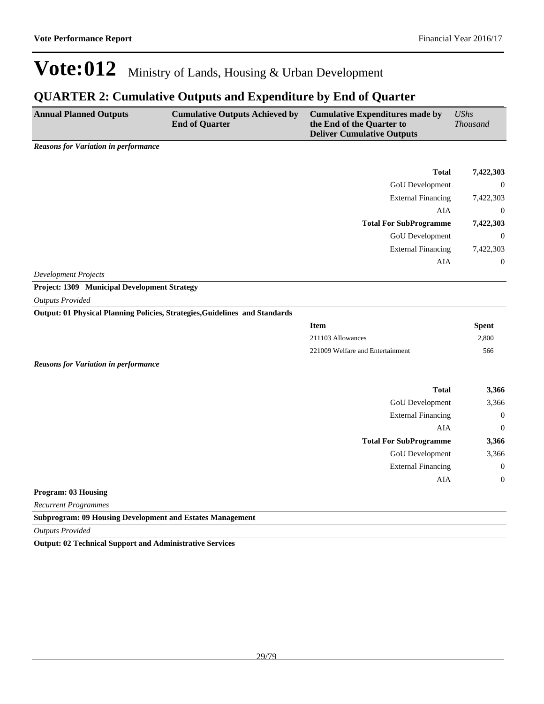### **QUARTER 2: Cumulative Outputs and Expenditure by End of Quarter**

| <b>Annual Planned Outputs</b>                            | <b>Cumulative Outputs Achieved by</b><br><b>End of Quarter</b> | <b>Cumulative Expenditures made by</b><br>the End of the Quarter to<br><b>Deliver Cumulative Outputs</b> | <i>UShs</i><br><i>Thousand</i> |
|----------------------------------------------------------|----------------------------------------------------------------|----------------------------------------------------------------------------------------------------------|--------------------------------|
| $\mathbf{p}$ and $\mathbf{r}$ is the set of $\mathbf{r}$ |                                                                |                                                                                                          |                                |

*Reasons for Variation in performance*

| 7,422,303      | <b>Total</b>                  |
|----------------|-------------------------------|
| $\overline{0}$ | GoU Development               |
| 7,422,303      | <b>External Financing</b>     |
| $\overline{0}$ | AIA                           |
| 7,422,303      | <b>Total For SubProgramme</b> |
|                |                               |
| $\overline{0}$ | GoU Development               |
| 7,422,303      | <b>External Financing</b>     |
| $\mathbf{0}$   | AIA                           |

*Development Projects*

**Project: 1309 Municipal Development Strategy**

*Outputs Provided*

#### **Output: 01 Physical Planning Policies, Strategies,Guidelines and Standards**

| <b>Item</b>                      | <b>Spent</b> |
|----------------------------------|--------------|
| 211103 Allowances                | 2,800        |
| 221009 Welfare and Entertainment | 566          |

*Reasons for Variation in performance*

| <b>Total</b>                  | 3,366            |
|-------------------------------|------------------|
| GoU Development               | 3,366            |
| <b>External Financing</b>     | $\boldsymbol{0}$ |
| AIA                           | $\overline{0}$   |
| <b>Total For SubProgramme</b> | 3,366            |
| GoU Development               | 3,366            |
| <b>External Financing</b>     | $\boldsymbol{0}$ |
| AIA                           | $\overline{0}$   |
| $1.1.11$ $0.2.11$ $1.1.11$    |                  |

#### **Program: 03 Housing**

*Recurrent Programmes*

**Subprogram: 09 Housing Development and Estates Management**

*Outputs Provided*

**Output: 02 Technical Support and Administrative Services**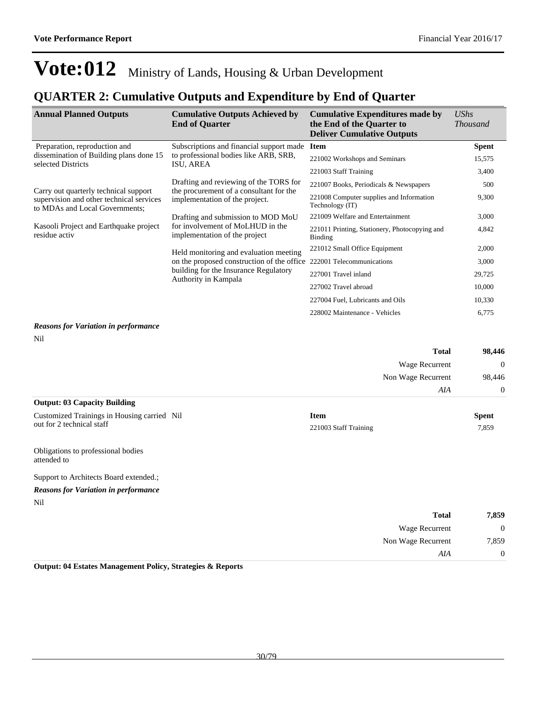### **QUARTER 2: Cumulative Outputs and Expenditure by End of Quarter**

| <b>Annual Planned Outputs</b>                                                                                       | <b>Cumulative Outputs Achieved by</b><br><b>End of Quarter</b>                    | <b>Cumulative Expenditures made by</b><br>the End of the Quarter to<br><b>Deliver Cumulative Outputs</b> | UShs<br><i>Thousand</i> |
|---------------------------------------------------------------------------------------------------------------------|-----------------------------------------------------------------------------------|----------------------------------------------------------------------------------------------------------|-------------------------|
| Preparation, reproduction and                                                                                       | Subscriptions and financial support made                                          | <b>Item</b>                                                                                              | <b>Spent</b>            |
| dissemination of Building plans done 15<br>selected Districts                                                       | to professional bodies like ARB, SRB,<br>ISU, AREA                                | 221002 Workshops and Seminars                                                                            | 15,575                  |
|                                                                                                                     |                                                                                   | 221003 Staff Training                                                                                    | 3,400                   |
|                                                                                                                     | Drafting and reviewing of the TORS for<br>the procurement of a consultant for the | 221007 Books, Periodicals & Newspapers                                                                   | 500                     |
| Carry out quarterly technical support<br>supervision and other technical services<br>to MDAs and Local Governments; | implementation of the project.                                                    | 221008 Computer supplies and Information<br>Technology (IT)                                              | 9,300                   |
|                                                                                                                     | Drafting and submission to MOD MoU                                                | 221009 Welfare and Entertainment                                                                         | 3,000                   |
| Kasooli Project and Earthquake project<br>residue activ                                                             | for involvement of MoLHUD in the<br>implementation of the project                 | 221011 Printing, Stationery, Photocopying and<br>Binding                                                 | 4,842                   |
|                                                                                                                     | Held monitoring and evaluation meeting                                            | 221012 Small Office Equipment                                                                            | 2,000                   |
|                                                                                                                     | on the proposed construction of the office                                        | 222001 Telecommunications                                                                                | 3,000                   |
|                                                                                                                     | building for the Insurance Regulatory<br>Authority in Kampala                     | 227001 Travel inland                                                                                     | 29,725                  |
|                                                                                                                     |                                                                                   | 227002 Travel abroad                                                                                     | 10,000                  |
|                                                                                                                     |                                                                                   | 227004 Fuel, Lubricants and Oils                                                                         | 10,330                  |
|                                                                                                                     |                                                                                   | 228002 Maintenance - Vehicles                                                                            | 6,775                   |
| Reasons for Variation in performance                                                                                |                                                                                   |                                                                                                          |                         |

#### *Reasons for Variation in performance* Nil

|                                                   | <b>Total</b>          | 98,446         |
|---------------------------------------------------|-----------------------|----------------|
|                                                   | Wage Recurrent        | $\Omega$       |
|                                                   | Non Wage Recurrent    | 98,446         |
|                                                   | AIA                   | $\overline{0}$ |
| <b>Output: 03 Capacity Building</b>               |                       |                |
| Customized Trainings in Housing carried Nil       | <b>Item</b>           | <b>Spent</b>   |
| out for 2 technical staff                         | 221003 Staff Training | 7,859          |
| Obligations to professional bodies<br>attended to |                       |                |

Support to Architects Board extended.;

#### *Reasons for Variation in performance* Nil

| 7,859          | <b>Total</b>       |
|----------------|--------------------|
| $\overline{0}$ | Wage Recurrent     |
| 7,859          | Non Wage Recurrent |
| $\overline{0}$ | AIA                |
|                |                    |

**Output: 04 Estates Management Policy, Strategies & Reports**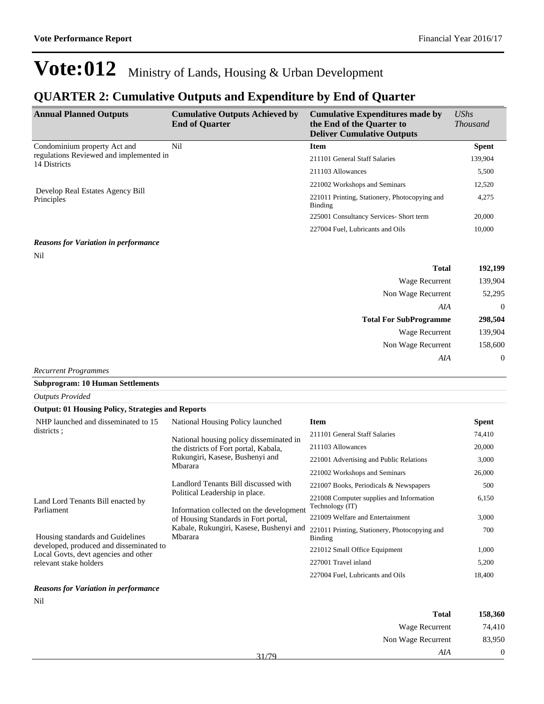### **QUARTER 2: Cumulative Outputs and Expenditure by End of Quarter**

| <b>Annual Planned Outputs</b>                                                           | <b>Cumulative Outputs Achieved by</b><br><b>End of Quarter</b> | <b>Cumulative Expenditures made by</b><br>the End of the Quarter to<br><b>Deliver Cumulative Outputs</b> | $\mathit{UShs}$<br><i>Thousand</i> |
|-----------------------------------------------------------------------------------------|----------------------------------------------------------------|----------------------------------------------------------------------------------------------------------|------------------------------------|
| Condominium property Act and<br>regulations Reviewed and implemented in<br>14 Districts | Nil                                                            | <b>Item</b>                                                                                              | <b>Spent</b>                       |
|                                                                                         |                                                                | 211101 General Staff Salaries                                                                            | 139,904                            |
|                                                                                         |                                                                | 211103 Allowances                                                                                        | 5,500                              |
| Develop Real Estates Agency Bill<br>Principles                                          |                                                                | 221002 Workshops and Seminars                                                                            | 12,520                             |
|                                                                                         |                                                                | 221011 Printing, Stationery, Photocopying and<br>Binding                                                 | 4,275                              |
|                                                                                         |                                                                | 225001 Consultancy Services- Short term                                                                  | 20,000                             |
|                                                                                         |                                                                | 227004 Fuel, Lubricants and Oils                                                                         | 10,000                             |
| <b>Reasons for Variation in performance</b>                                             |                                                                |                                                                                                          |                                    |

#### Nil

| 192,199        | <b>Total</b>                  |
|----------------|-------------------------------|
| 139,904        | <b>Wage Recurrent</b>         |
| 52,295         | Non Wage Recurrent            |
| $\overline{0}$ | AIA                           |
| 298,504        | <b>Total For SubProgramme</b> |
| 139,904        | <b>Wage Recurrent</b>         |
| 158,600        | Non Wage Recurrent            |
| $\overline{0}$ | AIA                           |
|                |                               |

*Recurrent Programmes*

**Subprogram: 10 Human Settlements**

*Outputs Provided*

| <b>Output: 01 Housing Policy, Strategies and Reports</b>                                                                                                              |                                                                                  |                                                                 |              |
|-----------------------------------------------------------------------------------------------------------------------------------------------------------------------|----------------------------------------------------------------------------------|-----------------------------------------------------------------|--------------|
| NHP launched and disseminated to 15                                                                                                                                   | National Housing Policy launched                                                 | <b>Item</b>                                                     | <b>Spent</b> |
| districts:                                                                                                                                                            | National housing policy disseminated in<br>the districts of Fort portal, Kabala, | 211101 General Staff Salaries                                   | 74,410       |
|                                                                                                                                                                       |                                                                                  | 211103 Allowances                                               | 20,000       |
|                                                                                                                                                                       | Rukungiri, Kasese, Bushenyi and<br>Mbarara                                       | 221001 Advertising and Public Relations                         | 3,000        |
|                                                                                                                                                                       |                                                                                  | 221002 Workshops and Seminars                                   | 26,000       |
|                                                                                                                                                                       | Landlord Tenants Bill discussed with                                             | 221007 Books, Periodicals & Newspapers                          | 500          |
| Political Leadership in place.<br>Land Lord Tenants Bill enacted by<br>Parliament<br>Information collected on the development<br>of Housing Standards in Fort portal, | 221008 Computer supplies and Information<br>Technology (IT)                      | 6,150                                                           |              |
|                                                                                                                                                                       |                                                                                  | 221009 Welfare and Entertainment                                | 3,000        |
| Housing standards and Guidelines                                                                                                                                      | Kabale, Rukungiri, Kasese, Bushenyi and<br><b>Mbarara</b>                        | 221011 Printing, Stationery, Photocopying and<br><b>Binding</b> | 700          |
| developed, produced and disseminated to<br>Local Govts, devt agencies and other                                                                                       |                                                                                  | 221012 Small Office Equipment                                   | 1,000        |
| relevant stake holders                                                                                                                                                |                                                                                  | 227001 Travel inland                                            | 5,200        |
|                                                                                                                                                                       |                                                                                  | 227004 Fuel, Lubricants and Oils                                | 18,400       |
|                                                                                                                                                                       |                                                                                  |                                                                 |              |

#### *Reasons for Variation in performance* Nil

|                    | $\sim$ $\sim$ |
|--------------------|---------------|
| <b>Total</b>       |               |
| Wage Recurrent     |               |
| Non Wage Recurrent |               |
| AIA                | 31/79         |
|                    |               |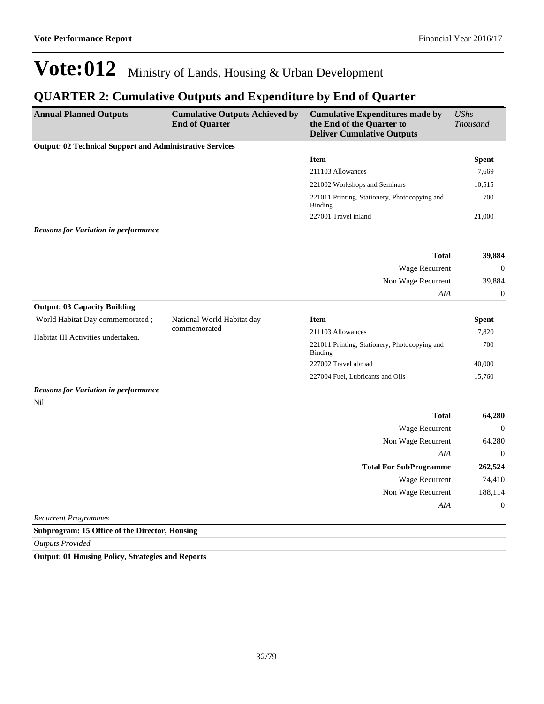## **QUARTER 2: Cumulative Outputs and Expenditure by End of Quarter**

| <b>Annual Planned Outputs</b>                                   | <b>Cumulative Outputs Achieved by</b><br><b>End of Quarter</b> | <b>Cumulative Expenditures made by</b><br>the End of the Quarter to<br><b>Deliver Cumulative Outputs</b> | <b>UShs</b><br><b>Thousand</b> |
|-----------------------------------------------------------------|----------------------------------------------------------------|----------------------------------------------------------------------------------------------------------|--------------------------------|
| <b>Output: 02 Technical Support and Administrative Services</b> |                                                                |                                                                                                          |                                |
|                                                                 |                                                                | <b>Item</b>                                                                                              | <b>Spent</b>                   |
|                                                                 |                                                                | 211103 Allowances                                                                                        | 7,669                          |
|                                                                 |                                                                | 221002 Workshops and Seminars                                                                            | 10,515                         |
|                                                                 |                                                                | 221011 Printing, Stationery, Photocopying and<br><b>Binding</b>                                          | 700                            |
|                                                                 |                                                                | 227001 Travel inland                                                                                     | 21,000                         |
| <b>Reasons for Variation in performance</b>                     |                                                                |                                                                                                          |                                |
|                                                                 |                                                                | <b>Total</b>                                                                                             | 39,884                         |
|                                                                 |                                                                | Wage Recurrent                                                                                           | $\boldsymbol{0}$               |
|                                                                 |                                                                | Non Wage Recurrent                                                                                       | 39,884                         |
|                                                                 |                                                                | AIA                                                                                                      | $\mathbf{0}$                   |
| <b>Output: 03 Capacity Building</b>                             |                                                                |                                                                                                          |                                |
| World Habitat Day commemorated;                                 | National World Habitat day                                     | <b>Item</b>                                                                                              | <b>Spent</b>                   |
| Habitat III Activities undertaken.                              | commemorated                                                   | 211103 Allowances                                                                                        | 7,820                          |
|                                                                 |                                                                | 221011 Printing, Stationery, Photocopying and<br>Binding                                                 | 700                            |
|                                                                 |                                                                | 227002 Travel abroad                                                                                     | 40,000                         |
|                                                                 |                                                                | 227004 Fuel, Lubricants and Oils                                                                         | 15,760                         |
| <b>Reasons for Variation in performance</b><br>Nil              |                                                                |                                                                                                          |                                |
|                                                                 |                                                                | <b>Total</b>                                                                                             | 64,280                         |
|                                                                 |                                                                | Wage Recurrent                                                                                           | $\boldsymbol{0}$               |
|                                                                 |                                                                | Non Wage Recurrent                                                                                       | 64,280                         |
|                                                                 |                                                                | AIA                                                                                                      | $\overline{0}$                 |
|                                                                 |                                                                | <b>Total For SubProgramme</b>                                                                            | 262,524                        |
|                                                                 |                                                                | Wage Recurrent                                                                                           | 74,410                         |
|                                                                 |                                                                | Non Wage Recurrent                                                                                       | 188,114                        |
|                                                                 |                                                                | AIA                                                                                                      | $\mathbf{0}$                   |
| <b>Recurrent Programmes</b>                                     |                                                                |                                                                                                          |                                |
| Subprogram: 15 Office of the Director, Housing                  |                                                                |                                                                                                          |                                |

*Outputs Provided*

**Output: 01 Housing Policy, Strategies and Reports**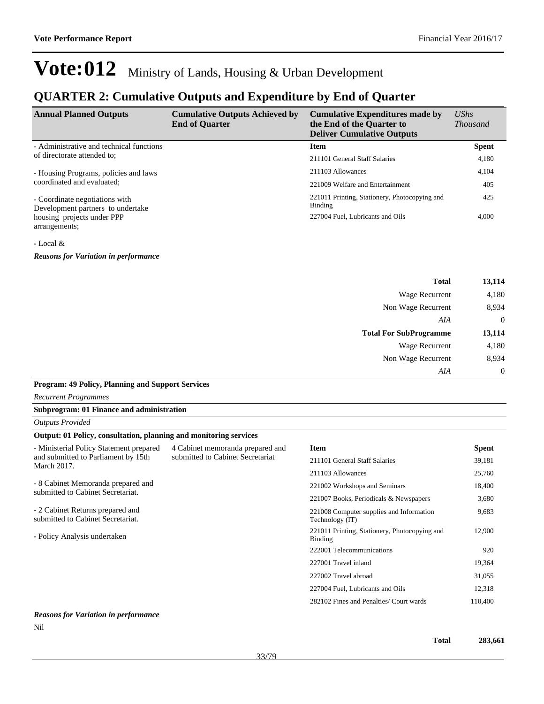### **QUARTER 2: Cumulative Outputs and Expenditure by End of Quarter**

| <b>Annual Planned Outputs</b>                                       | <b>Cumulative Outputs Achieved by</b><br><b>End of Quarter</b> | <b>Cumulative Expenditures made by</b><br>the End of the Quarter to<br><b>Deliver Cumulative Outputs</b> | $\mathit{UShs}$<br><i>Thousand</i> |
|---------------------------------------------------------------------|----------------------------------------------------------------|----------------------------------------------------------------------------------------------------------|------------------------------------|
| - Administrative and technical functions                            |                                                                | <b>Item</b>                                                                                              | <b>Spent</b>                       |
| of directorate attended to:                                         |                                                                | 211101 General Staff Salaries                                                                            | 4,180                              |
| - Housing Programs, policies and laws<br>coordinated and evaluated; |                                                                | 211103 Allowances                                                                                        | 4,104                              |
|                                                                     |                                                                | 221009 Welfare and Entertainment                                                                         | 405                                |
| - Coordinate negotiations with<br>Development partners to undertake |                                                                | 221011 Printing, Stationery, Photocopying and<br>Binding                                                 | 425                                |
| housing projects under PPP<br>arrangements;                         |                                                                | 227004 Fuel, Lubricants and Oils                                                                         | 4,000                              |

#### - Local &

*Reasons for Variation in performance*

| <b>Total</b>                  | 13,114         |
|-------------------------------|----------------|
| Wage Recurrent                | 4,180          |
| Non Wage Recurrent            | 8,934          |
| AIA                           | $\overline{0}$ |
| <b>Total For SubProgramme</b> | 13,114         |
| Wage Recurrent                | 4,180          |
| Non Wage Recurrent            | 8,934          |
| AIA                           | $\theta$       |

#### **Program: 49 Policy, Planning and Support Services**

*Recurrent Programmes*

#### **Subprogram: 01 Finance and administration**

#### **Output: 01 Policy, consultation, planning and monitoring services**

| - Ministerial Policy Statement prepared<br>and submitted to Parliament by 15th<br><b>March 2017.</b> | 4 Cabinet memoranda prepared and<br>submitted to Cabinet Secretariat | <b>Item</b>                                                 | <b>Spent</b> |
|------------------------------------------------------------------------------------------------------|----------------------------------------------------------------------|-------------------------------------------------------------|--------------|
|                                                                                                      |                                                                      | 211101 General Staff Salaries                               | 39,181       |
|                                                                                                      |                                                                      | 211103 Allowances                                           | 25,760       |
| - 8 Cabinet Memoranda prepared and<br>submitted to Cabinet Secretariat.                              |                                                                      | 221002 Workshops and Seminars                               | 18,400       |
|                                                                                                      |                                                                      | 221007 Books, Periodicals & Newspapers                      | 3,680        |
| - 2 Cabinet Returns prepared and<br>submitted to Cabinet Secretariat.                                |                                                                      | 221008 Computer supplies and Information<br>Technology (IT) | 9,683        |
| - Policy Analysis undertaken                                                                         |                                                                      | 221011 Printing, Stationery, Photocopying and<br>Binding    | 12,900       |
|                                                                                                      |                                                                      | 222001 Telecommunications                                   | 920          |
|                                                                                                      |                                                                      | 227001 Travel inland                                        | 19,364       |
|                                                                                                      |                                                                      | 227002 Travel abroad                                        | 31,055       |
|                                                                                                      |                                                                      | 227004 Fuel, Lubricants and Oils                            | 12,318       |
|                                                                                                      |                                                                      | 282102 Fines and Penalties/ Court wards                     | 110,400      |
| $\mathbf{p}$ and $\mathbf{r}$ is the state of $\mathbf{r}$                                           |                                                                      |                                                             |              |

#### *Reasons for Variation in performance*

Nil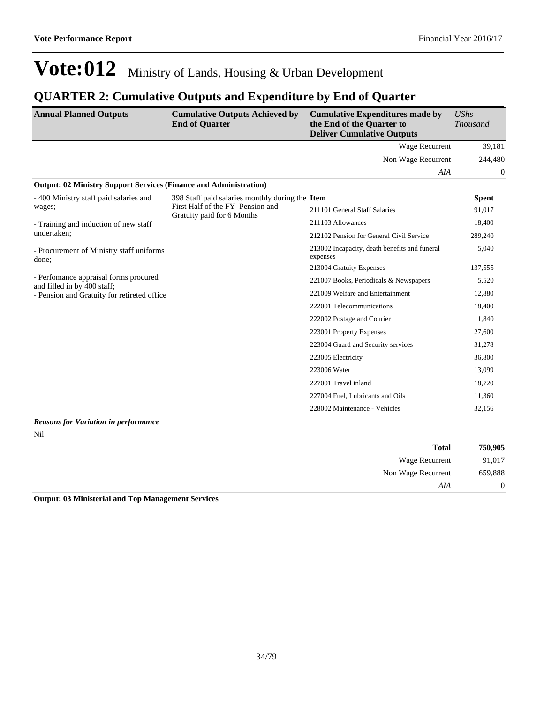### **QUARTER 2: Cumulative Outputs and Expenditure by End of Quarter**

| <b>Annual Planned Outputs</b>                                            | <b>Cumulative Outputs Achieved by</b><br><b>End of Quarter</b> | <b>Cumulative Expenditures made by</b><br>the End of the Quarter to<br><b>Deliver Cumulative Outputs</b> | <b>UShs</b><br><b>Thousand</b> |
|--------------------------------------------------------------------------|----------------------------------------------------------------|----------------------------------------------------------------------------------------------------------|--------------------------------|
|                                                                          |                                                                | <b>Wage Recurrent</b>                                                                                    | 39,181                         |
|                                                                          |                                                                | Non Wage Recurrent                                                                                       | 244,480                        |
|                                                                          |                                                                | AIA                                                                                                      | $\Omega$                       |
| <b>Output: 02 Ministry Support Services (Finance and Administration)</b> |                                                                |                                                                                                          |                                |
| - 400 Ministry staff paid salaries and                                   | 398 Staff paid salaries monthly during the Item                |                                                                                                          | <b>Spent</b>                   |
| wages;                                                                   | First Half of the FY Pension and<br>Gratuity paid for 6 Months | 211101 General Staff Salaries                                                                            | 91,017                         |
| - Training and induction of new staff                                    |                                                                | 211103 Allowances                                                                                        | 18,400                         |
| undertaken;                                                              |                                                                | 212102 Pension for General Civil Service                                                                 | 289,240                        |
| - Procurement of Ministry staff uniforms<br>done:                        |                                                                | 213002 Incapacity, death benefits and funeral<br>expenses                                                | 5,040                          |
|                                                                          |                                                                | 213004 Gratuity Expenses                                                                                 | 137,555                        |
| - Perfomance appraisal forms procured<br>and filled in by 400 staff;     |                                                                | 221007 Books, Periodicals & Newspapers                                                                   | 5,520                          |
| - Pension and Gratuity for retireted office                              |                                                                | 221009 Welfare and Entertainment                                                                         | 12,880                         |
|                                                                          |                                                                | 222001 Telecommunications                                                                                | 18,400                         |
|                                                                          |                                                                | 222002 Postage and Courier                                                                               | 1,840                          |
|                                                                          |                                                                | 223001 Property Expenses                                                                                 | 27,600                         |
|                                                                          |                                                                | 223004 Guard and Security services                                                                       | 31,278                         |
|                                                                          |                                                                | 223005 Electricity                                                                                       | 36,800                         |
|                                                                          |                                                                | 223006 Water                                                                                             | 13,099                         |
|                                                                          |                                                                | 227001 Travel inland                                                                                     | 18,720                         |
|                                                                          |                                                                | 227004 Fuel, Lubricants and Oils                                                                         | 11,360                         |
|                                                                          |                                                                | 228002 Maintenance - Vehicles                                                                            | 32,156                         |
| <b>Reasons for Variation in performance</b>                              |                                                                |                                                                                                          |                                |

Nil

| 750,905        | <b>Total</b>       |
|----------------|--------------------|
| 91,017         | Wage Recurrent     |
| 659,888        | Non Wage Recurrent |
| $\overline{0}$ | AIA                |

**Output: 03 Ministerial and Top Management Services**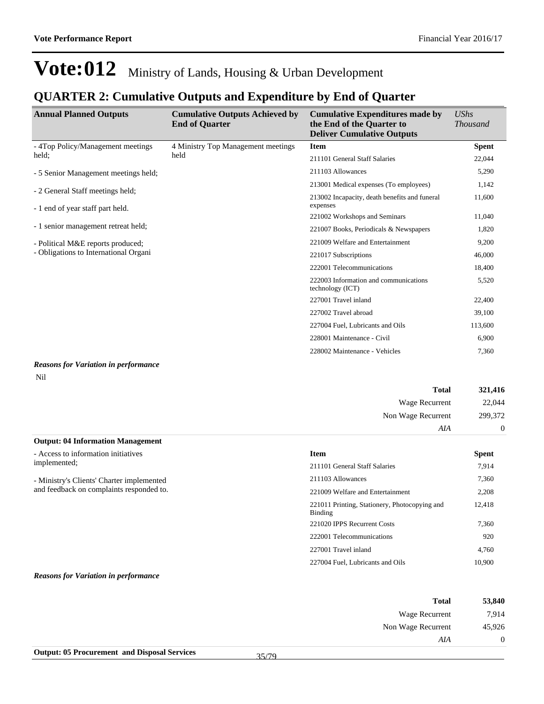### **QUARTER 2: Cumulative Outputs and Expenditure by End of Quarter**

| <b>Annual Planned Outputs</b>         | <b>Cumulative Outputs Achieved by</b><br><b>End of Quarter</b> | <b>Cumulative Expenditures made by</b><br>the End of the Quarter to<br><b>Deliver Cumulative Outputs</b> | <b>UShs</b><br><i>Thousand</i> |
|---------------------------------------|----------------------------------------------------------------|----------------------------------------------------------------------------------------------------------|--------------------------------|
| - 4Top Policy/Management meetings     | 4 Ministry Top Management meetings                             | <b>Item</b>                                                                                              | <b>Spent</b>                   |
| held;                                 | held                                                           | 211101 General Staff Salaries                                                                            | 22,044                         |
| - 5 Senior Management meetings held;  |                                                                | 211103 Allowances                                                                                        | 5,290                          |
| - 2 General Staff meetings held;      |                                                                | 213001 Medical expenses (To employees)                                                                   | 1,142                          |
| - 1 end of year staff part held.      |                                                                | 213002 Incapacity, death benefits and funeral<br>expenses                                                | 11,600                         |
|                                       |                                                                | 221002 Workshops and Seminars                                                                            | 11,040                         |
| - 1 senior management retreat held;   |                                                                | 221007 Books, Periodicals & Newspapers                                                                   | 1,820                          |
| - Political M&E reports produced;     |                                                                | 221009 Welfare and Entertainment                                                                         | 9,200                          |
| - Obligations to International Organi |                                                                | 221017 Subscriptions                                                                                     | 46,000                         |
|                                       |                                                                | 222001 Telecommunications                                                                                | 18,400                         |
|                                       |                                                                | 222003 Information and communications<br>technology (ICT)                                                | 5,520                          |
|                                       |                                                                | 227001 Travel inland                                                                                     | 22,400                         |
|                                       |                                                                | 227002 Travel abroad                                                                                     | 39,100                         |
|                                       |                                                                | 227004 Fuel, Lubricants and Oils                                                                         | 113,600                        |
|                                       |                                                                | 228001 Maintenance - Civil                                                                               | 6,900                          |
|                                       |                                                                | 228002 Maintenance - Vehicles                                                                            | 7,360                          |

#### *Reasons for Variation in performance*

Nil

| <b>Total</b>                             | 321,416  |
|------------------------------------------|----------|
| Wage Recurrent                           | 22,044   |
| Non Wage Recurrent                       | 299,372  |
| AIA                                      | $\Omega$ |
| <b>Output: 04 Information Management</b> |          |

| ourput, or annotance on maning can  |  |
|-------------------------------------|--|
| - Access to information initiatives |  |

implemented;

- Ministry's Clients' Charter implemented and feedback on complaints responded to.

| <b>Item</b>                                              | Spent  |
|----------------------------------------------------------|--------|
| 211101 General Staff Salaries                            | 7,914  |
| 211103 Allowances                                        | 7,360  |
| 221009 Welfare and Entertainment                         | 2,208  |
| 221011 Printing, Stationery, Photocopying and<br>Binding | 12.418 |
| 221020 IPPS Recurrent Costs                              | 7,360  |
| 222001 Telecommunications                                | 920    |
| 227001 Travel inland                                     | 4.760  |
| 227004 Fuel, Lubricants and Oils                         | 10.900 |

*Reasons for Variation in performance*

| <b>Total</b>       | 53,840       |
|--------------------|--------------|
| Wage Recurrent     | 7,914        |
| Non Wage Recurrent | 45,926       |
| AIA                | $\mathbf{0}$ |
|                    |              |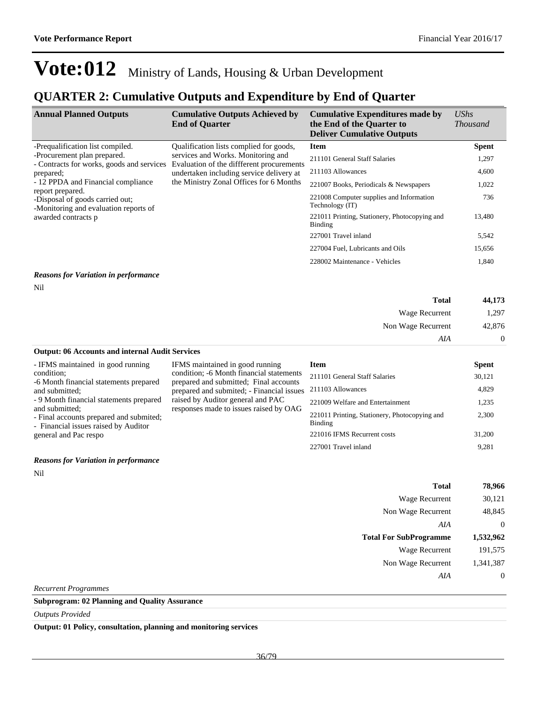### **QUARTER 2: Cumulative Outputs and Expenditure by End of Quarter**

| <b>Annual Planned Outputs</b>                                                                | <b>Cumulative Outputs Achieved by</b><br><b>End of Quarter</b>                 | <b>Cumulative Expenditures made by</b><br>the End of the Quarter to<br><b>Deliver Cumulative Outputs</b> | $\mathit{UShs}$<br><i>Thousand</i> |
|----------------------------------------------------------------------------------------------|--------------------------------------------------------------------------------|----------------------------------------------------------------------------------------------------------|------------------------------------|
| -Prequalification list compiled.                                                             | Qualification lists complied for goods,                                        | <b>Item</b>                                                                                              | <b>Spent</b>                       |
| -Procurement plan prepared.<br>- Contracts for works, goods and services                     | services and Works. Monitoring and<br>Evaluation of the different procurements | 211101 General Staff Salaries                                                                            | 1,297                              |
| prepared;                                                                                    | undertaken including service delivery at                                       | 211103 Allowances                                                                                        | 4,600                              |
| - 12 PPDA and Financial compliance                                                           | the Ministry Zonal Offices for 6 Months                                        | 221007 Books, Periodicals & Newspapers                                                                   | 1,022                              |
| report prepared.<br>-Disposal of goods carried out:<br>-Monitoring and evaluation reports of |                                                                                | 221008 Computer supplies and Information<br>Technology (IT)                                              | 736                                |
| awarded contracts p                                                                          | 221011 Printing, Stationery, Photocopying and<br>Binding                       | 13,480                                                                                                   |                                    |
|                                                                                              |                                                                                | 227001 Travel inland                                                                                     | 5,542                              |
|                                                                                              |                                                                                | 227004 Fuel, Lubricants and Oils                                                                         | 15,656                             |
|                                                                                              |                                                                                | 228002 Maintenance - Vehicles                                                                            | 1,840                              |
|                                                                                              |                                                                                |                                                                                                          |                                    |

#### *Reasons for Variation in performance*

Nil

| 44,173         | <b>Total</b>          |
|----------------|-----------------------|
| 1,297          | <b>Wage Recurrent</b> |
| 42,876         | Non Wage Recurrent    |
| $\overline{0}$ | AIA                   |

**Output: 06 Accounts and internal Audit Services** - IFMS maintained in good running condition; -6 Month financial statements prepared IFMS maintained in good running condition; -6 Month financial statements prepared and submitted; Final accounts

prepared and submited; - Financial issues raised by Auditor general and PAC responses made to issues raised by OAG

and submitted; - 9 Month financial statements prepared and submitted;

- Final accounts prepared and submited; - Financial issues raised by Auditor

general and Pac respo

#### *Reasons for Variation in performance*

Nil

| <b>Item</b>                                              | <b>Spent</b> |
|----------------------------------------------------------|--------------|
| 211101 General Staff Salaries                            | 30,121       |
| 211103 Allowances                                        | 4,829        |
| 221009 Welfare and Entertainment                         | 1,235        |
| 221011 Printing, Stationery, Photocopying and<br>Binding | 2.300        |
| 221016 IFMS Recurrent costs                              | 31,200       |
| 227001 Travel inland                                     | 9.281        |

| <b>Total</b>                  | 78,966    |
|-------------------------------|-----------|
| Wage Recurrent                | 30,121    |
| Non Wage Recurrent            | 48,845    |
| AIA                           | 0         |
|                               |           |
| <b>Total For SubProgramme</b> | 1,532,962 |
| Wage Recurrent                | 191,575   |
| Non Wage Recurrent            | 1,341,387 |
| AIA                           |           |

*Recurrent Programmes*

**Subprogram: 02 Planning and Quality Assurance**

*Outputs Provided*

**Output: 01 Policy, consultation, planning and monitoring services**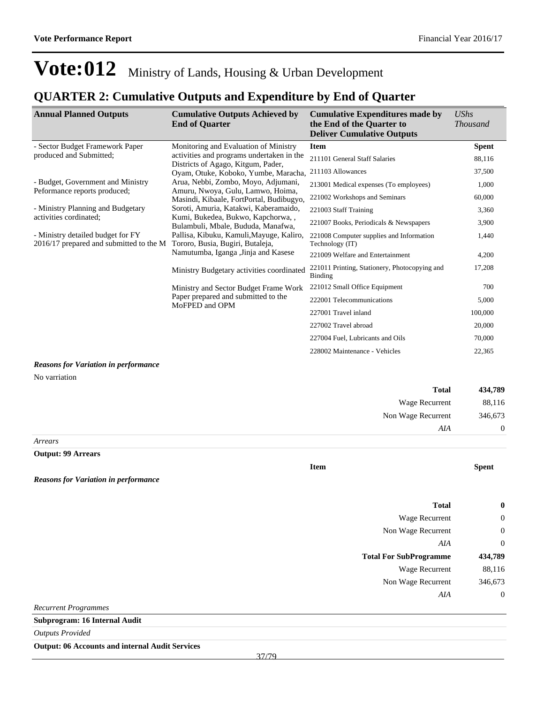### **QUARTER 2: Cumulative Outputs and Expenditure by End of Quarter**

| <b>Annual Planned Outputs</b>                                                | <b>Cumulative Outputs Achieved by</b><br><b>End of Quarter</b>                                                       | <b>Cumulative Expenditures made by</b><br>the End of the Quarter to<br><b>Deliver Cumulative Outputs</b> | <b>UShs</b><br><b>Thousand</b> |
|------------------------------------------------------------------------------|----------------------------------------------------------------------------------------------------------------------|----------------------------------------------------------------------------------------------------------|--------------------------------|
| - Sector Budget Framework Paper                                              | Monitoring and Evaluation of Ministry                                                                                | <b>Item</b>                                                                                              | <b>Spent</b>                   |
| produced and Submitted;                                                      | activities and programs undertaken in the                                                                            | 211101 General Staff Salaries                                                                            | 88,116                         |
|                                                                              | Districts of Agago, Kitgum, Pader,<br>Oyam, Otuke, Koboko, Yumbe, Maracha,                                           | 211103 Allowances                                                                                        | 37,500                         |
| - Budget, Government and Ministry<br>Peformance reports produced;            | Arua, Nebbi, Zombo, Moyo, Adjumani,<br>Amuru, Nwoya, Gulu, Lamwo, Hoima,                                             | 213001 Medical expenses (To employees)                                                                   | 1,000                          |
|                                                                              | Masindi, Kibaale, FortPortal, Budibugyo,                                                                             | 221002 Workshops and Seminars                                                                            | 60,000                         |
| - Ministry Planning and Budgetary                                            | Soroti, Amuria, Katakwi, Kaberamaido,                                                                                | 221003 Staff Training                                                                                    | 3,360                          |
| activities cordinated;                                                       | Kumi, Bukedea, Bukwo, Kapchorwa,,<br>Bulambuli, Mbale, Bududa, Manafwa,                                              | 221007 Books, Periodicals & Newspapers                                                                   | 3,900                          |
| - Ministry detailed budget for FY<br>2016/17 prepared and submitted to the M | Pallisa, Kibuku, Kamuli, Mayuge, Kaliro,<br>Tororo, Busia, Bugiri, Butaleja,<br>Namutumba, Iganga , Jinja and Kasese | 221008 Computer supplies and Information<br>Technology (IT)                                              | 1,440                          |
|                                                                              |                                                                                                                      | 221009 Welfare and Entertainment                                                                         | 4,200                          |
|                                                                              | Ministry Budgetary activities coordinated                                                                            | 221011 Printing, Stationery, Photocopying and<br><b>Binding</b>                                          | 17,208                         |
|                                                                              | Ministry and Sector Budget Frame Work<br>Paper prepared and submitted to the<br>MoFPED and OPM                       | 221012 Small Office Equipment                                                                            | 700                            |
|                                                                              |                                                                                                                      | 222001 Telecommunications                                                                                | 5,000                          |
|                                                                              |                                                                                                                      | 227001 Travel inland                                                                                     | 100,000                        |
|                                                                              |                                                                                                                      | 227002 Travel abroad                                                                                     | 20,000                         |
|                                                                              |                                                                                                                      | 227004 Fuel, Lubricants and Oils                                                                         | 70,000                         |
|                                                                              |                                                                                                                      | 228002 Maintenance - Vehicles                                                                            | 22,365                         |
| <b>Degraps for Variation in performance</b>                                  |                                                                                                                      |                                                                                                          |                                |

#### *Reasons for Variation in performance*

No varriation

| <b>Total</b>       | 434,789        |
|--------------------|----------------|
| Wage Recurrent     | 88,116         |
| Non Wage Recurrent | 346,673        |
| AIA                | $\overline{0}$ |

*Arrears*

**Output: 99 Arrears**

*Reasons for Variation in performance*

|                                                  | <b>Total</b>                  | $\boldsymbol{0}$ |
|--------------------------------------------------|-------------------------------|------------------|
|                                                  | Wage Recurrent                | $\boldsymbol{0}$ |
|                                                  | Non Wage Recurrent            | $\boldsymbol{0}$ |
|                                                  | AIA                           | $\boldsymbol{0}$ |
|                                                  | <b>Total For SubProgramme</b> | 434,789          |
|                                                  | Wage Recurrent                | 88,116           |
|                                                  | Non Wage Recurrent            | 346,673          |
|                                                  | AIA                           | $\boldsymbol{0}$ |
| Recurrent Programmes                             |                               |                  |
| Subprogram: 16 Internal Audit                    |                               |                  |
| $\sim$ $\sim$ $\sim$ $\sim$ $\sim$ $\sim$ $\sim$ |                               |                  |

**Item Spent**

*Outputs Provided*

**Output: 06 Accounts and internal Audit Services**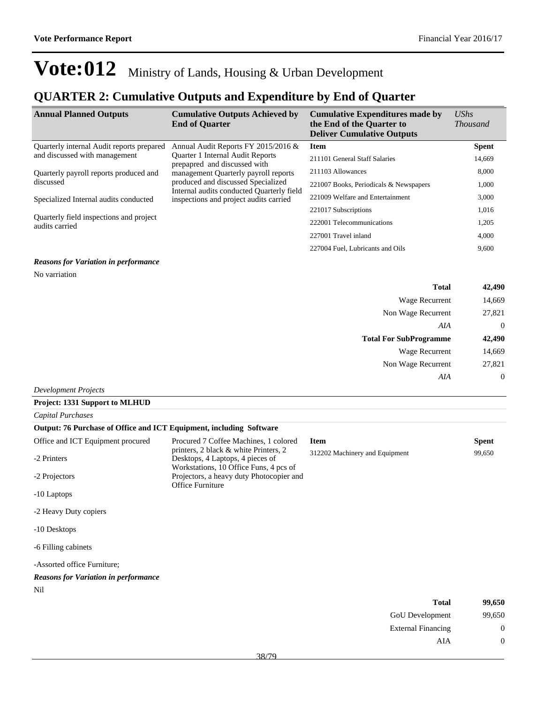## **QUARTER 2: Cumulative Outputs and Expenditure by End of Quarter**

| <b>Annual Planned Outputs</b>                             | <b>Cumulative Outputs Achieved by</b><br><b>End of Quarter</b>                                           | <b>Cumulative Expenditures made by</b><br>the End of the Quarter to<br><b>Deliver Cumulative Outputs</b> | UShs<br><i>Thousand</i> |
|-----------------------------------------------------------|----------------------------------------------------------------------------------------------------------|----------------------------------------------------------------------------------------------------------|-------------------------|
| Quarterly internal Audit reports prepared                 | Annual Audit Reports FY 2015/2016 &                                                                      | <b>Item</b>                                                                                              | <b>Spent</b>            |
| and discussed with management                             | Quarter 1 Internal Audit Reports<br>prepapred and discussed with<br>management Quarterly payroll reports | 211101 General Staff Salaries                                                                            | 14,669                  |
| Quarterly payroll reports produced and                    |                                                                                                          | 211103 Allowances                                                                                        | 8,000                   |
| discussed                                                 | produced and discussed Specialized                                                                       | 221007 Books, Periodicals & Newspapers                                                                   | 1,000                   |
| Specialized Internal audits conducted                     | Internal audits conducted Quarterly field<br>inspections and project audits carried                      | 221009 Welfare and Entertainment                                                                         | 3,000                   |
|                                                           |                                                                                                          | 221017 Subscriptions                                                                                     | 1,016                   |
| Quarterly field inspections and project<br>audits carried | 222001 Telecommunications                                                                                | 1,205                                                                                                    |                         |
|                                                           |                                                                                                          | 227001 Travel inland                                                                                     | 4,000                   |
|                                                           |                                                                                                          | 227004 Fuel, Lubricants and Oils                                                                         | 9,600                   |

#### *Reasons for Variation in performance*

No varriation

| 42,490         | <b>Total</b>                  |
|----------------|-------------------------------|
| 14,669         | <b>Wage Recurrent</b>         |
| 27,821         | Non Wage Recurrent            |
| $\overline{0}$ | AIA                           |
| 42,490         | <b>Total For SubProgramme</b> |
| 14,669         | <b>Wage Recurrent</b>         |
| 27,821         | Non Wage Recurrent            |
| $\overline{0}$ | AIA                           |
|                | $ -$                          |

#### *Development Projects*

| <b>Project: 1331 Support to MLHUD</b>                               |                                                                                                                     |                                |              |
|---------------------------------------------------------------------|---------------------------------------------------------------------------------------------------------------------|--------------------------------|--------------|
| Capital Purchases                                                   |                                                                                                                     |                                |              |
| Output: 76 Purchase of Office and ICT Equipment, including Software |                                                                                                                     |                                |              |
| Office and ICT Equipment procured                                   | Procured 7 Coffee Machines, 1 colored                                                                               | <b>Item</b>                    | <b>Spent</b> |
| -2 Printers                                                         | printers, 2 black & white Printers, 2<br>Desktops, 4 Laptops, 4 pieces of<br>Workstations, 10 Office Funs, 4 pcs of | 312202 Machinery and Equipment | 99,650       |
| -2 Projectors                                                       | Projectors, a heavy duty Photocopier and<br>Office Furniture                                                        |                                |              |
| -10 Laptops                                                         |                                                                                                                     |                                |              |
| -2 Heavy Duty copiers                                               |                                                                                                                     |                                |              |
| -10 Desktops                                                        |                                                                                                                     |                                |              |
| -6 Filling cabinets                                                 |                                                                                                                     |                                |              |
| -Assorted office Furniture;                                         |                                                                                                                     |                                |              |
| <b>Reasons for Variation in performance</b>                         |                                                                                                                     |                                |              |
| Nil                                                                 |                                                                                                                     |                                |              |
|                                                                     |                                                                                                                     | <b>Total</b>                   | 99,650       |
|                                                                     |                                                                                                                     | <b>GoU</b> Development         | 99,650       |

| Total                     | 99,650 |
|---------------------------|--------|
| <b>GoU</b> Development    | 99,650 |
| <b>External Financing</b> | 0      |
| AIA                       | 0      |
|                           |        |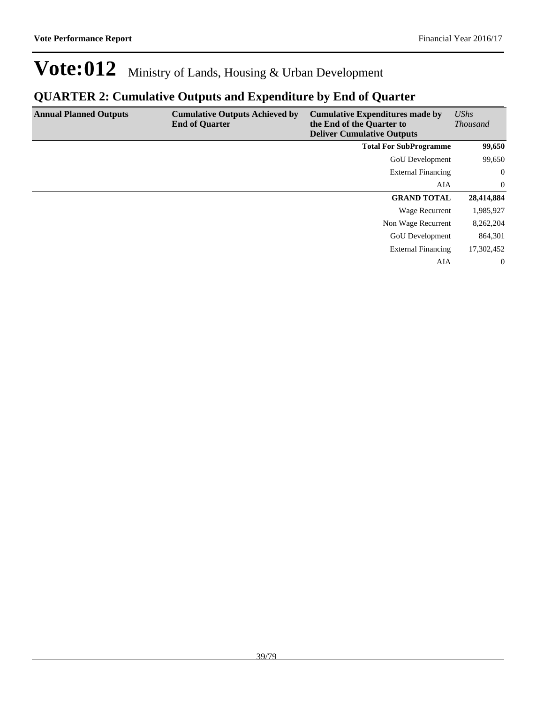### **QUARTER 2: Cumulative Outputs and Expenditure by End of Quarter**

| <b>Annual Planned Outputs</b> | <b>Cumulative Outputs Achieved by</b><br><b>End of Quarter</b> | <b>Cumulative Expenditures made by</b><br>the End of the Quarter to<br><b>Deliver Cumulative Outputs</b> | UShs<br><b>Thousand</b> |
|-------------------------------|----------------------------------------------------------------|----------------------------------------------------------------------------------------------------------|-------------------------|
|                               |                                                                | <b>Total For SubProgramme</b>                                                                            | 99,650                  |
|                               |                                                                | GoU Development                                                                                          | 99,650                  |
|                               |                                                                | <b>External Financing</b>                                                                                | $\mathbf{0}$            |
|                               |                                                                | AIA                                                                                                      | $\mathbf{0}$            |
|                               |                                                                | <b>GRAND TOTAL</b>                                                                                       | 28,414,884              |
|                               |                                                                | Wage Recurrent                                                                                           | 1,985,927               |
|                               |                                                                | Non Wage Recurrent                                                                                       | 8,262,204               |
|                               |                                                                | <b>GoU</b> Development                                                                                   | 864,301                 |
|                               |                                                                | <b>External Financing</b>                                                                                | 17,302,452              |
|                               |                                                                | AIA                                                                                                      | $\overline{0}$          |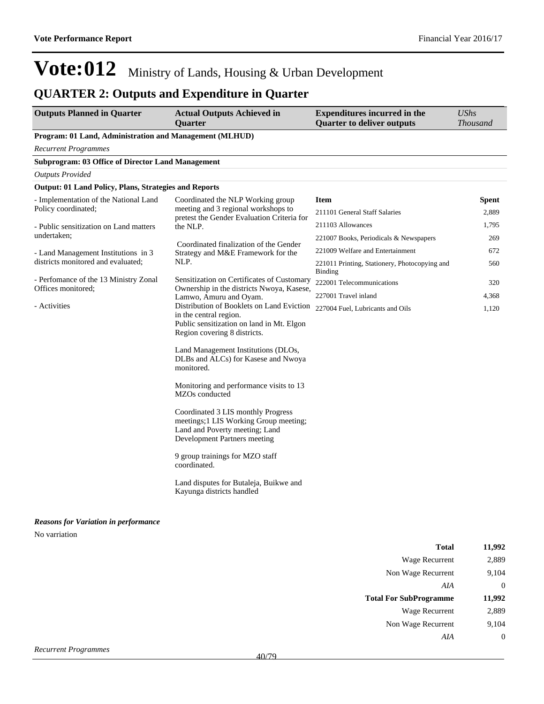## **QUARTER 2: Outputs and Expenditure in Quarter**

| <b>Outputs Planned in Quarter</b>                                                                                                                                                                                                              | <b>Actual Outputs Achieved in</b><br><b>Quarter</b>                                                           | <b>Expenditures incurred in the</b><br><b>Quarter to deliver outputs</b> | <b>UShs</b><br><b>Thousand</b> |
|------------------------------------------------------------------------------------------------------------------------------------------------------------------------------------------------------------------------------------------------|---------------------------------------------------------------------------------------------------------------|--------------------------------------------------------------------------|--------------------------------|
| Program: 01 Land, Administration and Management (MLHUD)                                                                                                                                                                                        |                                                                                                               |                                                                          |                                |
| <b>Recurrent Programmes</b>                                                                                                                                                                                                                    |                                                                                                               |                                                                          |                                |
| <b>Subprogram: 03 Office of Director Land Management</b>                                                                                                                                                                                       |                                                                                                               |                                                                          |                                |
| <b>Outputs Provided</b>                                                                                                                                                                                                                        |                                                                                                               |                                                                          |                                |
| <b>Output: 01 Land Policy, Plans, Strategies and Reports</b>                                                                                                                                                                                   |                                                                                                               |                                                                          |                                |
| - Implementation of the National Land                                                                                                                                                                                                          | Coordinated the NLP Working group                                                                             | <b>Item</b>                                                              | <b>Spent</b>                   |
| Policy coordinated;                                                                                                                                                                                                                            | meeting and 3 regional workshops to<br>pretest the Gender Evaluation Criteria for                             | 211101 General Staff Salaries                                            | 2,889                          |
| - Public sensitization on Land matters                                                                                                                                                                                                         | the NLP.                                                                                                      | 211103 Allowances                                                        | 1,795                          |
| undertaken:                                                                                                                                                                                                                                    |                                                                                                               | 221007 Books, Periodicals & Newspapers                                   | 269                            |
| - Land Management Institutions in 3                                                                                                                                                                                                            | Coordinated finalization of the Gender<br>Strategy and M&E Framework for the                                  | 221009 Welfare and Entertainment                                         | 672                            |
| districts monitored and evaluated;                                                                                                                                                                                                             | NLP.                                                                                                          | 221011 Printing, Stationery, Photocopying and<br><b>Binding</b>          | 560                            |
| - Perfomance of the 13 Ministry Zonal                                                                                                                                                                                                          | Sensitization on Certificates of Customary                                                                    | 222001 Telecommunications                                                | 320                            |
| Offices monitored:                                                                                                                                                                                                                             | Ownership in the districts Nwoya, Kasese,<br>Lamwo, Amuru and Oyam.                                           | 227001 Travel inland                                                     | 4,368                          |
| - Activities<br>Distribution of Booklets on Land Eviction<br>in the central region.<br>Public sensitization on land in Mt. Elgon<br>Region covering 8 districts.<br>Land Management Institutions (DLOs,<br>DLBs and ALCs) for Kasese and Nwoya | 227004 Fuel, Lubricants and Oils                                                                              | 1,120                                                                    |                                |
|                                                                                                                                                                                                                                                | monitored.<br>Monitoring and performance visits to 13<br>MZOs conducted<br>Coordinated 3 LIS monthly Progress |                                                                          |                                |
|                                                                                                                                                                                                                                                | meetings;1 LIS Working Group meeting;<br>Land and Poverty meeting; Land<br>Development Partners meeting       |                                                                          |                                |
|                                                                                                                                                                                                                                                | 9 group trainings for MZO staff<br>coordinated.                                                               |                                                                          |                                |
|                                                                                                                                                                                                                                                | Land disputes for Butaleja, Buikwe and<br>Kayunga districts handled                                           |                                                                          |                                |
| <b>Reasons for Variation in performance</b>                                                                                                                                                                                                    |                                                                                                               |                                                                          |                                |
| No varriation                                                                                                                                                                                                                                  |                                                                                                               |                                                                          |                                |

| <b>Total</b>                  | 11,992         |
|-------------------------------|----------------|
| <b>Wage Recurrent</b>         | 2,889          |
| Non Wage Recurrent            | 9,104          |
| AIA                           | $\overline{0}$ |
| <b>Total For SubProgramme</b> | 11,992         |
| <b>Wage Recurrent</b>         | 2,889          |
| Non Wage Recurrent            | 9,104          |
| AIA                           | $\overline{0}$ |
| current Programmes            |                |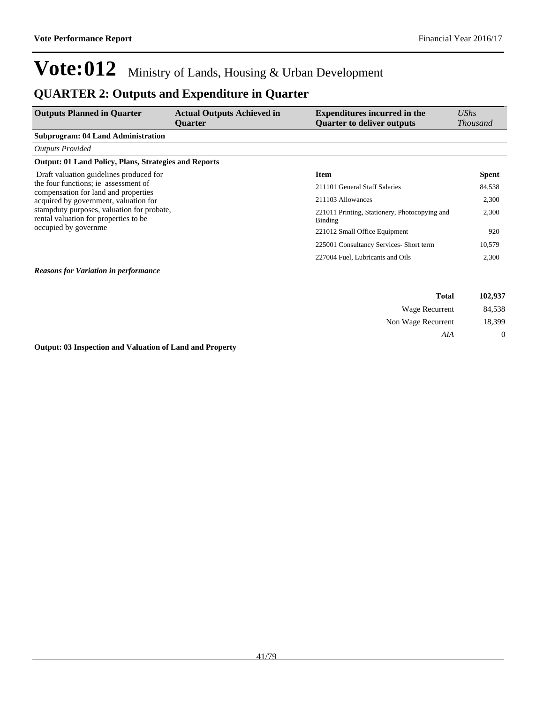Non Wage Recurrent 18,399

*AIA* 0

# **Vote:012** Ministry of Lands, Housing & Urban Development

### **QUARTER 2: Outputs and Expenditure in Quarter**

| <b>Outputs Planned in Quarter</b>                                                   | <b>Actual Outputs Achieved in</b><br><b>Ouarter</b> | <b>Expenditures incurred in the</b><br><b>Quarter to deliver outputs</b> | UShs<br><i>Thousand</i> |
|-------------------------------------------------------------------------------------|-----------------------------------------------------|--------------------------------------------------------------------------|-------------------------|
| <b>Subprogram: 04 Land Administration</b>                                           |                                                     |                                                                          |                         |
| <b>Outputs Provided</b>                                                             |                                                     |                                                                          |                         |
| <b>Output: 01 Land Policy, Plans, Strategies and Reports</b>                        |                                                     |                                                                          |                         |
| Draft valuation guidelines produced for                                             |                                                     | <b>Item</b>                                                              | <b>Spent</b>            |
| the four functions; ie assessment of<br>compensation for land and properties        |                                                     | 211101 General Staff Salaries                                            | 84,538                  |
| acquired by government, valuation for                                               |                                                     | 211103 Allowances                                                        | 2,300                   |
| stampduty purposes, valuation for probate,<br>rental valuation for properties to be |                                                     | 221011 Printing, Stationery, Photocopying and<br>Binding                 | 2,300                   |
| occupied by governme                                                                |                                                     | 221012 Small Office Equipment                                            | 920                     |
|                                                                                     |                                                     | 225001 Consultancy Services- Short term                                  | 10,579                  |
|                                                                                     |                                                     | 227004 Fuel, Lubricants and Oils                                         | 2,300                   |
| <b>Reasons for Variation in performance</b>                                         |                                                     |                                                                          |                         |
|                                                                                     |                                                     | <b>Total</b>                                                             | 102,937                 |
|                                                                                     |                                                     | Wage Recurrent                                                           | 84,538                  |

**Output: 03 Inspection and Valuation of Land and Property**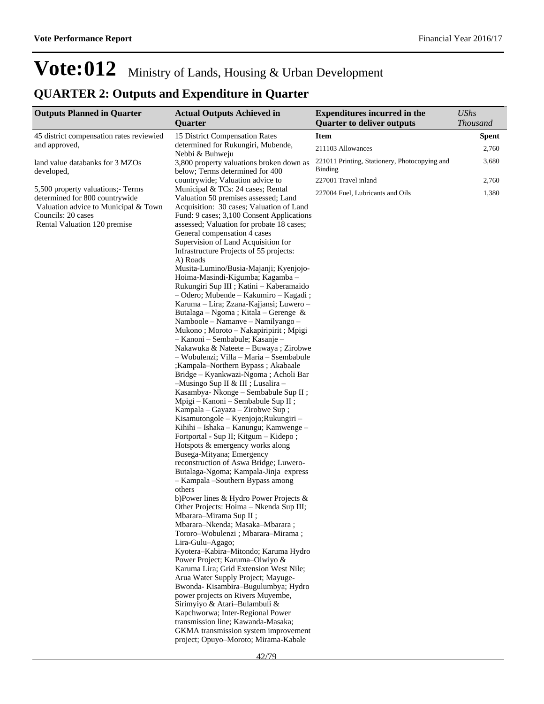## **QUARTER 2: Outputs and Expenditure in Quarter**

| <b>Outputs Planned in Quarter</b>                                                                                                                                | <b>Actual Outputs Achieved in</b>                                                                                                                                                                                                                                                                                                                                                                                                                                                                                                                                                                                                                                                                                                                                                                                                                                                                                                                                                                                                                                                                                                                                         | <b>Expenditures incurred in the</b>                      | <b>UShs</b>     |
|------------------------------------------------------------------------------------------------------------------------------------------------------------------|---------------------------------------------------------------------------------------------------------------------------------------------------------------------------------------------------------------------------------------------------------------------------------------------------------------------------------------------------------------------------------------------------------------------------------------------------------------------------------------------------------------------------------------------------------------------------------------------------------------------------------------------------------------------------------------------------------------------------------------------------------------------------------------------------------------------------------------------------------------------------------------------------------------------------------------------------------------------------------------------------------------------------------------------------------------------------------------------------------------------------------------------------------------------------|----------------------------------------------------------|-----------------|
|                                                                                                                                                                  | Quarter                                                                                                                                                                                                                                                                                                                                                                                                                                                                                                                                                                                                                                                                                                                                                                                                                                                                                                                                                                                                                                                                                                                                                                   | <b>Quarter to deliver outputs</b>                        | <b>Thousand</b> |
| 45 district compensation rates reviewied                                                                                                                         | 15 District Compensation Rates                                                                                                                                                                                                                                                                                                                                                                                                                                                                                                                                                                                                                                                                                                                                                                                                                                                                                                                                                                                                                                                                                                                                            | <b>Item</b>                                              | <b>Spent</b>    |
| and approved,                                                                                                                                                    | determined for Rukungiri, Mubende,<br>Nebbi & Buhweju                                                                                                                                                                                                                                                                                                                                                                                                                                                                                                                                                                                                                                                                                                                                                                                                                                                                                                                                                                                                                                                                                                                     | 211103 Allowances                                        | 2,760           |
| land value databanks for 3 MZOs<br>developed,                                                                                                                    | 3,800 property valuations broken down as<br>below; Terms determined for 400                                                                                                                                                                                                                                                                                                                                                                                                                                                                                                                                                                                                                                                                                                                                                                                                                                                                                                                                                                                                                                                                                               | 221011 Printing, Stationery, Photocopying and<br>Binding | 3,680           |
|                                                                                                                                                                  | countrywide; Valuation advice to                                                                                                                                                                                                                                                                                                                                                                                                                                                                                                                                                                                                                                                                                                                                                                                                                                                                                                                                                                                                                                                                                                                                          | 227001 Travel inland                                     | 2,760           |
| 5,500 property valuations; Terms<br>determined for 800 countrywide<br>Valuation advice to Municipal & Town<br>Councils: 20 cases<br>Rental Valuation 120 premise | Municipal & TCs: 24 cases; Rental<br>Valuation 50 premises assessed; Land<br>Acquisition: 30 cases; Valuation of Land<br>Fund: 9 cases; 3,100 Consent Applications<br>assessed; Valuation for probate 18 cases;<br>General compensation 4 cases<br>Supervision of Land Acquisition for<br>Infrastructure Projects of 55 projects:<br>A) Roads<br>Musita-Lumino/Busia-Majanji; Kyenjojo-<br>Hoima-Masindi-Kigumba; Kagamba -<br>Rukungiri Sup III ; Katini - Kaberamaido<br>- Odero; Mubende – Kakumiro – Kagadi;<br>Karuma – Lira; Zzana-Kajjansi; Luwero –<br>Butalaga - Ngoma ; Kitala - Gerenge &<br>Namboole – Namanye – Namilyango –<br>Mukono; Moroto - Nakapiripirit; Mpigi<br>- Kanoni - Sembabule; Kasanje -<br>Nakawuka & Nateete – Buwaya ; Zirobwe<br>- Wobulenzi; Villa - Maria - Ssembabule<br>;Kampala-Northern Bypass; Akabaale<br>Bridge - Kyankwazi-Ngoma ; Acholi Bar<br>-Musingo Sup II & III ; Lusalira -<br>Kasambya- Nkonge – Sembabule Sup II;<br>Mpigi – Kanoni – Sembabule Sup II;<br>Kampala – Gayaza – Zirobwe Sup;<br>Kisamutongole – Kyenjojo;Rukungiri –<br>Kihihi - Ishaka - Kanungu; Kamwenge -<br>Fortportal - Sup II; Kitgum - Kidepo; | 227004 Fuel, Lubricants and Oils                         | 1,380           |
|                                                                                                                                                                  | Hotspots & emergency works along<br>Busega-Mityana; Emergency<br>reconstruction of Aswa Bridge; Luwero-<br>Butalaga-Ngoma; Kampala-Jinja express<br>- Kampala - Southern Bypass among<br>others<br>b) Power lines & Hydro Power Projects $\&$<br>Other Projects: Hoima – Nkenda Sup III;<br>Mbarara-Mirama Sup II;<br>Mbarara-Nkenda; Masaka-Mbarara;<br>Tororo-Wobulenzi; Mbarara-Mirama;<br>Lira-Gulu-Agago;<br>Kyotera-Kabira-Mitondo; Karuma Hydro<br>Power Project; Karuma-Olwiyo &<br>Karuma Lira; Grid Extension West Nile;<br>Arua Water Supply Project; Mayuge-<br>Bwonda-Kisambira-Bugulumbya; Hydro<br>power projects on Rivers Muyembe,<br>Sirimyiyo & Atari-Bulambuli &<br>Kapchworwa; Inter-Regional Power<br>transmission line; Kawanda-Masaka;<br>GKMA transmission system improvement<br>project; Opuyo-Moroto; Mirama-Kabale                                                                                                                                                                                                                                                                                                                            |                                                          |                 |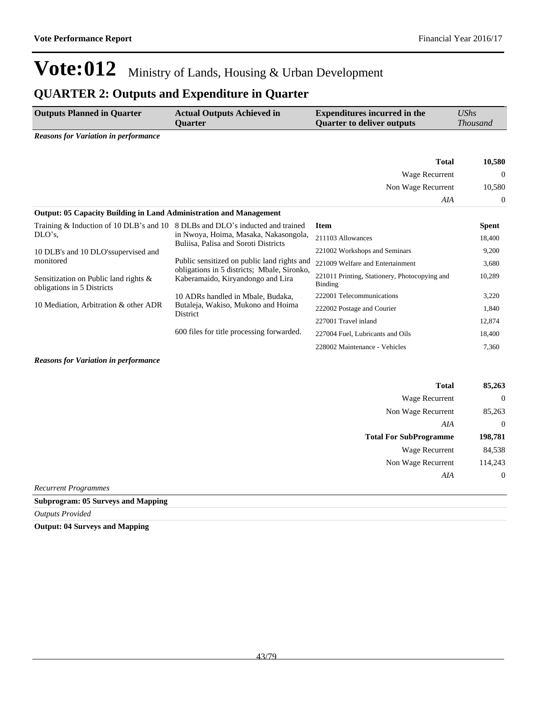### **QUARTER 2: Outputs and Expenditure in Quarter**

| <b>Outputs Planned in Quarter</b>                                             | <b>Actual Outputs Achieved in</b><br><b>Quarter</b>                                        | <b>Expenditures incurred in the</b><br><b>Quarter to deliver outputs</b> | UShs<br><b>Thousand</b> |
|-------------------------------------------------------------------------------|--------------------------------------------------------------------------------------------|--------------------------------------------------------------------------|-------------------------|
| <b>Reasons for Variation in performance</b>                                   |                                                                                            |                                                                          |                         |
|                                                                               |                                                                                            | <b>Total</b>                                                             | 10,580                  |
|                                                                               |                                                                                            | Wage Recurrent                                                           | $\mathbf{0}$            |
|                                                                               |                                                                                            | Non Wage Recurrent                                                       | 10,580                  |
|                                                                               |                                                                                            | AIA                                                                      | $\overline{0}$          |
| <b>Output: 05 Capacity Building in Land Administration and Management</b>     |                                                                                            |                                                                          |                         |
| Training & Induction of 10 DLB's and 10 8 DLBs and DLO's inducted and trained |                                                                                            | <b>Item</b>                                                              | <b>Spent</b>            |
| $DLO's$ .                                                                     | in Nwoya, Hoima, Masaka, Nakasongola,<br>Buliisa, Palisa and Soroti Districts              | 211103 Allowances                                                        | 18,400                  |
| 10 DLB's and 10 DLO's supervised and                                          |                                                                                            | 221002 Workshops and Seminars                                            | 9,200                   |
| monitored                                                                     | Public sensitized on public land rights and<br>obligations in 5 districts; Mbale, Sironko, | 221009 Welfare and Entertainment                                         | 3,680                   |
| Sensitization on Public land rights &<br>obligations in 5 Districts           | Kaberamaido, Kiryandongo and Lira                                                          | 221011 Printing, Stationery, Photocopying and<br>Binding                 | 10,289                  |
|                                                                               | 10 ADRs handled in Mbale, Budaka,                                                          | 222001 Telecommunications                                                | 3,220                   |
| 10 Mediation, Arbitration & other ADR                                         | Butaleja, Wakiso, Mukono and Hoima<br>District                                             | 222002 Postage and Courier                                               | 1,840                   |
|                                                                               |                                                                                            | 227001 Travel inland                                                     | 12,874                  |
|                                                                               | 600 files for title processing forwarded.                                                  | 227004 Fuel, Lubricants and Oils                                         | 18,400                  |
|                                                                               |                                                                                            | 228002 Maintenance - Vehicles                                            | 7,360                   |
|                                                                               |                                                                                            |                                                                          |                         |

#### *Reasons for Variation in performance*

|                             | <b>Total</b>                  | 85,263           |
|-----------------------------|-------------------------------|------------------|
|                             | <b>Wage Recurrent</b>         | $\theta$         |
|                             | Non Wage Recurrent            | 85,263           |
|                             | AIA                           | $\theta$         |
|                             | <b>Total For SubProgramme</b> | 198,781          |
|                             | <b>Wage Recurrent</b>         | 84,538           |
|                             | Non Wage Recurrent            | 114,243          |
|                             | AIA                           | $\boldsymbol{0}$ |
| <b>Recurrent Programmes</b> |                               |                  |

**Subprogram: 05 Surveys and Mapping**

*Outputs Provided*

**Output: 04 Surveys and Mapping**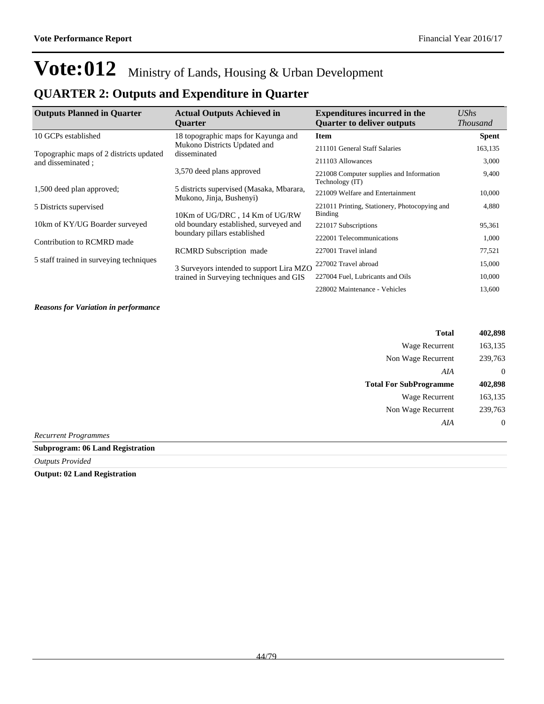## **QUARTER 2: Outputs and Expenditure in Quarter**

| <b>Outputs Planned in Quarter</b>       | <b>Actual Outputs Achieved in</b><br><b>Ouarter</b>                  | <b>Expenditures incurred in the</b><br><b>Quarter to deliver outputs</b> | $\mathit{UShs}$<br><b>Thousand</b> |
|-----------------------------------------|----------------------------------------------------------------------|--------------------------------------------------------------------------|------------------------------------|
| 10 GCPs established                     | 18 topographic maps for Kayunga and                                  | <b>Item</b>                                                              | <b>Spent</b>                       |
| Topographic maps of 2 districts updated | Mukono Districts Updated and<br>disseminated                         | 211101 General Staff Salaries                                            | 163,135                            |
| and disseminated ;                      |                                                                      | 211103 Allowances                                                        | 3,000                              |
|                                         | 3,570 deed plans approved                                            | 221008 Computer supplies and Information<br>Technology (IT)              | 9,400                              |
| 1,500 deed plan approved;               | 5 districts supervised (Masaka, Mbarara,<br>Mukono, Jinja, Bushenyi) | 221009 Welfare and Entertainment                                         | 10,000                             |
| 5 Districts supervised                  | 10Km of UG/DRC, 14 Km of UG/RW                                       | 221011 Printing, Stationery, Photocopying and<br><b>Binding</b>          | 4,880                              |
| 10km of KY/UG Boarder surveyed          | old boundary established, surveyed and                               | 221017 Subscriptions                                                     | 95,361                             |
| Contribution to RCMRD made              | boundary pillars established                                         | 222001 Telecommunications                                                | 1,000                              |
|                                         | <b>RCMRD</b> Subscription made                                       | 227001 Travel inland                                                     | 77,521                             |
| 5 staff trained in surveying techniques | 3 Surveyors intended to support Lira MZO                             | 227002 Travel abroad                                                     | 15,000                             |
|                                         | trained in Surveying techniques and GIS                              | 227004 Fuel, Lubricants and Oils                                         | 10,000                             |
|                                         |                                                                      | 228002 Maintenance - Vehicles                                            | 13,600                             |

#### *Reasons for Variation in performance*

| <b>Total</b>                  | 402,898        |
|-------------------------------|----------------|
| <b>Wage Recurrent</b>         | 163,135        |
| Non Wage Recurrent            | 239,763        |
| AIA                           | $\overline{0}$ |
| <b>Total For SubProgramme</b> | 402,898        |
| <b>Wage Recurrent</b>         | 163,135        |
| Non Wage Recurrent            | 239,763        |
| AIA                           | $\overline{0}$ |
| Recurrent Programmes          |                |

### **Subprogram: 06 Land Registration**

*Outputs Provided*

**Output: 02 Land Registration**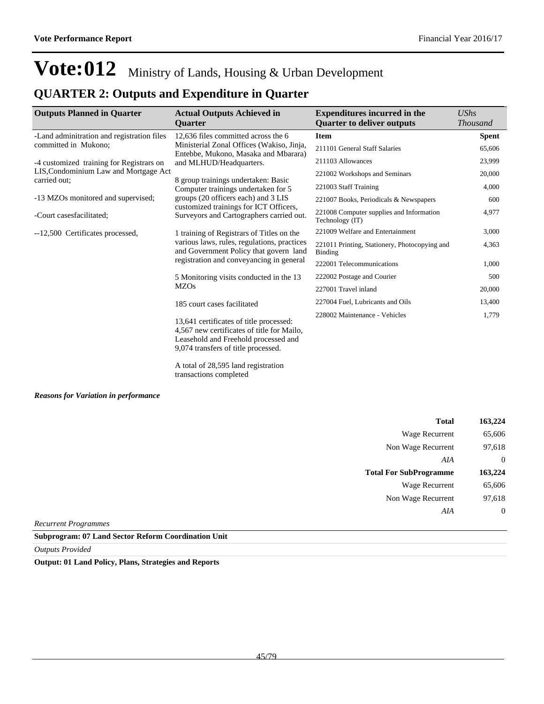### **QUARTER 2: Outputs and Expenditure in Quarter**

| <b>Outputs Planned in Quarter</b>          | <b>Actual Outputs Achieved in</b>                                                                                                                                    | <b>Expenditures incurred in the</b>                         | UShs            |
|--------------------------------------------|----------------------------------------------------------------------------------------------------------------------------------------------------------------------|-------------------------------------------------------------|-----------------|
|                                            | <b>Ouarter</b>                                                                                                                                                       | <b>Quarter to deliver outputs</b>                           | <b>Thousand</b> |
| -Land adminitration and registration files | 12,636 files committed across the 6                                                                                                                                  | <b>Item</b>                                                 | <b>Spent</b>    |
| committed in Mukono;                       | Ministerial Zonal Offices (Wakiso, Jinja,<br>Entebbe, Mukono, Masaka and Mbarara)                                                                                    | 211101 General Staff Salaries                               | 65,606          |
| -4 customized training for Registrars on   | and MLHUD/Headquarters.                                                                                                                                              | 211103 Allowances                                           | 23,999          |
| LIS, Condominium Law and Mortgage Act      |                                                                                                                                                                      | 221002 Workshops and Seminars                               | 20,000          |
| carried out:                               | 8 group trainings undertaken: Basic<br>Computer trainings undertaken for 5                                                                                           | 221003 Staff Training                                       | 4,000           |
| -13 MZOs monitored and supervised;         | groups (20 officers each) and 3 LIS                                                                                                                                  | 221007 Books, Periodicals & Newspapers                      | 600             |
| -Court casesfacilitated;                   | customized trainings for ICT Officers,<br>Surveyors and Cartographers carried out.                                                                                   | 221008 Computer supplies and Information<br>Technology (IT) | 4,977           |
| --12,500 Certificates processed,           | 1 training of Registrars of Titles on the                                                                                                                            | 221009 Welfare and Entertainment                            | 3,000           |
|                                            | various laws, rules, regulations, practices<br>and Government Policy that govern land                                                                                | 221011 Printing, Stationery, Photocopying and<br>Binding    | 4,363           |
|                                            | registration and conveyancing in general                                                                                                                             | 222001 Telecommunications                                   | 1,000           |
|                                            | 5 Monitoring visits conducted in the 13                                                                                                                              | 222002 Postage and Courier                                  | 500             |
|                                            | <b>MZOs</b>                                                                                                                                                          | 227001 Travel inland                                        | 20,000          |
|                                            | 185 court cases facilitated                                                                                                                                          | 227004 Fuel, Lubricants and Oils                            | 13,400          |
|                                            | 13,641 certificates of title processed:<br>4,567 new certificates of title for Mailo,<br>Leasehold and Freehold processed and<br>9,074 transfers of title processed. | 228002 Maintenance - Vehicles                               | 1,779           |

A total of 28,595 land registration transactions completed

#### *Reasons for Variation in performance*

| Total                         | 163,224 |
|-------------------------------|---------|
| Wage Recurrent                | 65,606  |
| Non Wage Recurrent            | 97,618  |
| AIA                           | 0       |
|                               |         |
| <b>Total For SubProgramme</b> | 163,224 |
| Wage Recurrent                | 65,606  |
| Non Wage Recurrent            | 97,618  |

*Recurrent Programmes*

**Subprogram: 07 Land Sector Reform Coordination Unit**

*Outputs Provided*

**Output: 01 Land Policy, Plans, Strategies and Reports**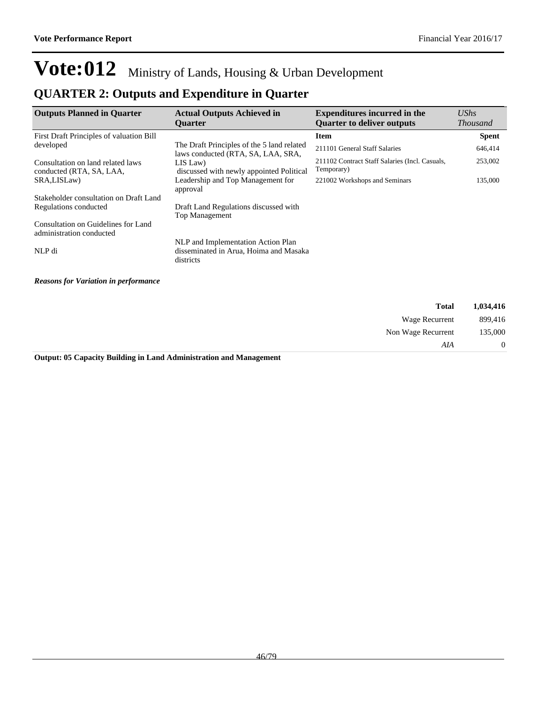### **QUARTER 2: Outputs and Expenditure in Quarter**

| <b>Outputs Planned in Quarter</b>                               | <b>Actual Outputs Achieved in</b><br><b>Ouarter</b>                                       | <b>Expenditures incurred in the</b><br><b>Ouarter to deliver outputs</b> | <b>UShs</b><br><b>Thousand</b> |
|-----------------------------------------------------------------|-------------------------------------------------------------------------------------------|--------------------------------------------------------------------------|--------------------------------|
| First Draft Principles of valuation Bill                        |                                                                                           | <b>Item</b>                                                              | <b>Spent</b>                   |
| developed                                                       | The Draft Principles of the 5 land related<br>laws conducted (RTA, SA, LAA, SRA,          | 211101 General Staff Salaries                                            | 646,414                        |
| Consultation on land related laws<br>conducted (RTA, SA, LAA,   | LIS Law)<br>discussed with newly appointed Political                                      | 211102 Contract Staff Salaries (Incl. Casuals,<br>Temporary)             | 253,002                        |
| SRA,LISLaw)                                                     | Leadership and Top Management for<br>approval                                             | 221002 Workshops and Seminars                                            | 135,000                        |
| Stakeholder consultation on Draft Land                          |                                                                                           |                                                                          |                                |
| Regulations conducted                                           | Draft Land Regulations discussed with<br><b>Top Management</b>                            |                                                                          |                                |
| Consultation on Guidelines for Land<br>administration conducted |                                                                                           |                                                                          |                                |
| NLP di                                                          | NLP and Implementation Action Plan<br>disseminated in Arua, Hoima and Masaka<br>districts |                                                                          |                                |
| <b>Reasons for Variation in performance</b>                     |                                                                                           |                                                                          |                                |
|                                                                 |                                                                                           | <b>Total</b>                                                             | 1,034,416                      |

| 1,034,416      | <b>Total</b>       |
|----------------|--------------------|
| 899,416        | Wage Recurrent     |
| 135,000        | Non Wage Recurrent |
| $\overline{0}$ | AIA                |

**Output: 05 Capacity Building in Land Administration and Management**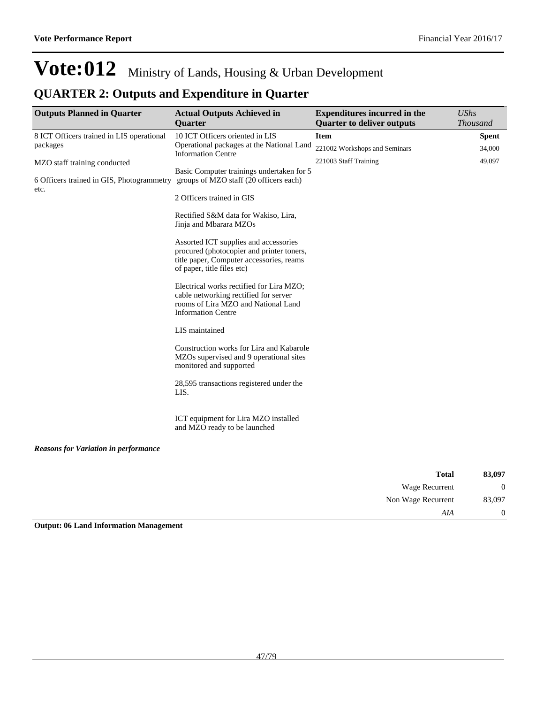## **QUARTER 2: Outputs and Expenditure in Quarter**

| <b>Outputs Planned in Quarter</b>                 | <b>Actual Outputs Achieved in</b><br><b>Quarter</b>                                                                                                          | <b>Expenditures incurred in the</b><br><b>Quarter to deliver outputs</b> | <b>UShs</b><br><b>Thousand</b> |
|---------------------------------------------------|--------------------------------------------------------------------------------------------------------------------------------------------------------------|--------------------------------------------------------------------------|--------------------------------|
| 8 ICT Officers trained in LIS operational         | 10 ICT Officers oriented in LIS                                                                                                                              | <b>Item</b>                                                              | <b>Spent</b>                   |
| packages                                          | Operational packages at the National Land<br><b>Information Centre</b>                                                                                       | 221002 Workshops and Seminars                                            | 34,000                         |
| MZO staff training conducted                      |                                                                                                                                                              | 221003 Staff Training                                                    | 49,097                         |
| 6 Officers trained in GIS, Photogrammetry<br>etc. | Basic Computer trainings undertaken for 5<br>groups of MZO staff (20 officers each)                                                                          |                                                                          |                                |
|                                                   | 2 Officers trained in GIS                                                                                                                                    |                                                                          |                                |
|                                                   | Rectified S&M data for Wakiso, Lira,<br>Jinja and Mbarara MZOs                                                                                               |                                                                          |                                |
|                                                   | Assorted ICT supplies and accessories<br>procured (photocopier and printer toners,<br>title paper, Computer accessories, reams<br>of paper, title files etc) |                                                                          |                                |
|                                                   | Electrical works rectified for Lira MZO;<br>cable networking rectified for server<br>rooms of Lira MZO and National Land<br><b>Information Centre</b>        |                                                                          |                                |
|                                                   | LIS maintained                                                                                                                                               |                                                                          |                                |
|                                                   | Construction works for Lira and Kabarole<br>MZOs supervised and 9 operational sites<br>monitored and supported                                               |                                                                          |                                |
|                                                   | 28,595 transactions registered under the<br>LIS.                                                                                                             |                                                                          |                                |
|                                                   | ICT equipment for Lira MZO installed<br>and MZO ready to be launched                                                                                         |                                                                          |                                |
| <b>Reasons for Variation in performance</b>       |                                                                                                                                                              |                                                                          |                                |

| 83,097         | <b>Total</b>          |
|----------------|-----------------------|
| $\overline{0}$ | <b>Wage Recurrent</b> |
| 83,097         | Non Wage Recurrent    |
| $\overline{0}$ | AIA                   |

**Output: 06 Land Information Management**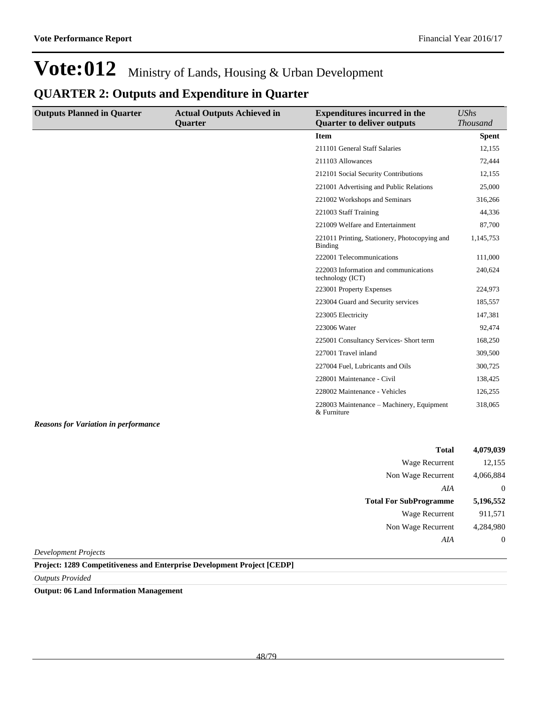### **QUARTER 2: Outputs and Expenditure in Quarter**

| <b>Outputs Planned in Quarter</b> | <b>Actual Outputs Achieved in</b> | <b>Expenditures incurred in the</b>                       | <b>UShs</b>     |
|-----------------------------------|-----------------------------------|-----------------------------------------------------------|-----------------|
|                                   | Quarter                           | <b>Quarter to deliver outputs</b>                         | <b>Thousand</b> |
|                                   |                                   | <b>Item</b>                                               | <b>Spent</b>    |
|                                   |                                   | 211101 General Staff Salaries                             | 12,155          |
|                                   |                                   | 211103 Allowances                                         | 72,444          |
|                                   |                                   | 212101 Social Security Contributions                      | 12,155          |
|                                   |                                   | 221001 Advertising and Public Relations                   | 25,000          |
|                                   |                                   | 221002 Workshops and Seminars                             | 316,266         |
|                                   |                                   | 221003 Staff Training                                     | 44,336          |
|                                   |                                   | 221009 Welfare and Entertainment                          | 87,700          |
|                                   |                                   | 221011 Printing, Stationery, Photocopying and<br>Binding  | 1,145,753       |
|                                   |                                   | 222001 Telecommunications                                 | 111,000         |
|                                   |                                   | 222003 Information and communications<br>technology (ICT) | 240,624         |
|                                   |                                   | 223001 Property Expenses                                  | 224,973         |
|                                   |                                   | 223004 Guard and Security services                        | 185,557         |
|                                   |                                   | 223005 Electricity                                        | 147,381         |
|                                   |                                   | 223006 Water                                              | 92,474          |
|                                   |                                   | 225001 Consultancy Services- Short term                   | 168,250         |
|                                   |                                   | 227001 Travel inland                                      | 309,500         |
|                                   |                                   | 227004 Fuel, Lubricants and Oils                          | 300,725         |
|                                   |                                   | 228001 Maintenance - Civil                                | 138,425         |
|                                   |                                   | 228002 Maintenance - Vehicles                             | 126,255         |
|                                   |                                   | 228003 Maintenance – Machinery, Equipment<br>& Furniture  | 318,065         |

*Reasons for Variation in performance*

| <b>Total</b>                  | 4,079,039 |
|-------------------------------|-----------|
| <b>Wage Recurrent</b>         | 12,155    |
| Non Wage Recurrent            | 4,066,884 |
| AIA                           | $\theta$  |
|                               |           |
| <b>Total For SubProgramme</b> | 5,196,552 |
| <b>Wage Recurrent</b>         | 911,571   |
| Non Wage Recurrent            | 4,284,980 |

*Development Projects*

**Project: 1289 Competitiveness and Enterprise Development Project [CEDP]**

*Outputs Provided*

**Output: 06 Land Information Management**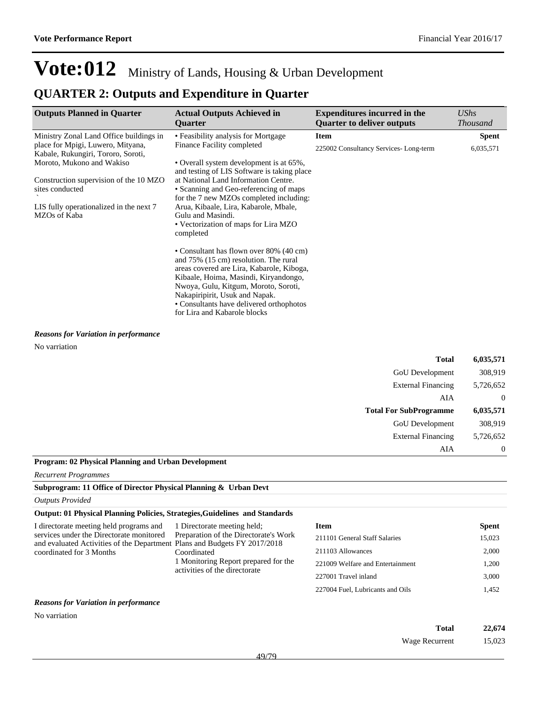### **QUARTER 2: Outputs and Expenditure in Quarter**

| <b>Outputs Planned in Quarter</b>                                                                                                                                                                                     | <b>Actual Outputs Achieved in</b><br><b>Ouarter</b>                                                                                                                                                                                                                                                                          | <b>Expenditures incurred in the</b><br><b>Ouarter to deliver outputs</b> | UShs<br><b>Thousand</b> |
|-----------------------------------------------------------------------------------------------------------------------------------------------------------------------------------------------------------------------|------------------------------------------------------------------------------------------------------------------------------------------------------------------------------------------------------------------------------------------------------------------------------------------------------------------------------|--------------------------------------------------------------------------|-------------------------|
| Ministry Zonal Land Office buildings in<br>place for Mpigi, Luwero, Mityana,                                                                                                                                          | • Feasibility analysis for Mortgage<br>Finance Facility completed                                                                                                                                                                                                                                                            | <b>Item</b>                                                              | <b>Spent</b>            |
| Kabale, Rukungiri, Tororo, Soroti,<br>Moroto, Mukono and Wakiso<br>Construction supervision of the 10 MZO<br>sites conducted                                                                                          | • Overall system development is at 65%,<br>and testing of LIS Software is taking place<br>at National Land Information Centre.<br>• Scanning and Geo-referencing of maps                                                                                                                                                     | 225002 Consultancy Services-Long-term                                    | 6,035,571               |
| for the 7 new MZOs completed including:<br>Arua, Kibaale, Lira, Kabarole, Mbale,<br>LIS fully operationalized in the next 7<br>MZOs of Kaba<br>Gulu and Masindi.<br>• Vectorization of maps for Lira MZO<br>completed |                                                                                                                                                                                                                                                                                                                              |                                                                          |                         |
|                                                                                                                                                                                                                       | • Consultant has flown over 80% (40 cm)<br>and 75% (15 cm) resolution. The rural<br>areas covered are Lira, Kabarole, Kiboga,<br>Kibaale, Hoima, Masindi, Kiryandongo,<br>Nwoya, Gulu, Kitgum, Moroto, Soroti,<br>Nakapiripirit, Usuk and Napak.<br>• Consultants have delivered orthophotos<br>for Lira and Kabarole blocks |                                                                          |                         |

*Reasons for Variation in performance*

No varriation

| Total                         | 6,035,571 |
|-------------------------------|-----------|
| <b>GoU</b> Development        | 308,919   |
| <b>External Financing</b>     | 5,726,652 |
| AIA                           | $\theta$  |
|                               |           |
| <b>Total For SubProgramme</b> | 6,035,571 |
| <b>GoU</b> Development        | 308,919   |
| <b>External Financing</b>     | 5,726,652 |

### **Program: 02 Physical Planning and Urban Development**

*Recurrent Programmes*

### **Subprogram: 11 Office of Director Physical Planning & Urban Devt**

*Outputs Provided*

### **Output: 01 Physical Planning Policies, Strategies,Guidelines and Standards**

| I directorate meeting held programs and<br>services under the Directorate monitored<br>and evaluated Activities of the Department Plans and Budgets FY 2017/2018<br>coordinated for 3 Months | 1 Directorate meeting held;<br>Preparation of the Directorate's Work<br>Coordinated<br>1 Monitoring Report prepared for the<br>activities of the directorate | Item                             | <b>Spent</b> |
|----------------------------------------------------------------------------------------------------------------------------------------------------------------------------------------------|--------------------------------------------------------------------------------------------------------------------------------------------------------------|----------------------------------|--------------|
|                                                                                                                                                                                              |                                                                                                                                                              | 211101 General Staff Salaries    | 15,023       |
|                                                                                                                                                                                              |                                                                                                                                                              | 211103 Allowances                | 2.000        |
|                                                                                                                                                                                              |                                                                                                                                                              | 221009 Welfare and Entertainment | 1.200        |
|                                                                                                                                                                                              |                                                                                                                                                              | 227001 Travel inland             | 3.000        |
|                                                                                                                                                                                              |                                                                                                                                                              | 227004 Fuel, Lubricants and Oils | 1.452        |

#### *Reasons for Variation in performance*

No varriation

| Total          | 22,674 |
|----------------|--------|
| Wage Recurrent | 15,023 |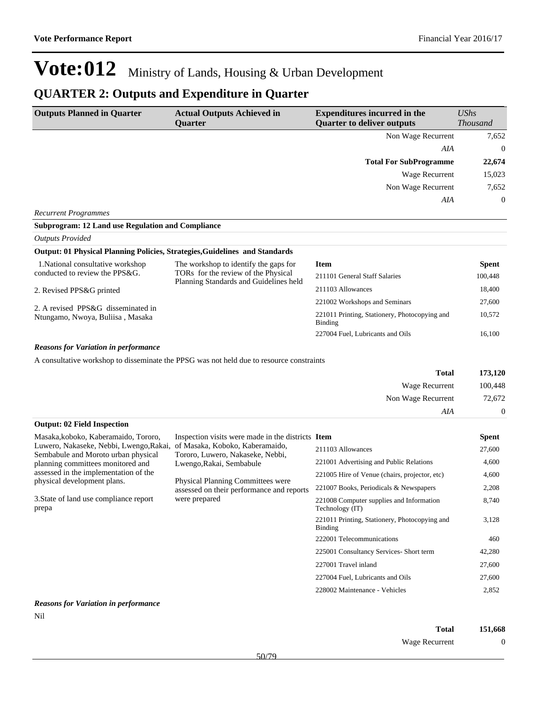## **QUARTER 2: Outputs and Expenditure in Quarter**

| <b>Outputs Planned in Quarter</b>                                              | <b>Actual Outputs Achieved in</b><br><b>Ouarter</b>                                      | <b>Expenditures incurred in the</b><br><b>Quarter to deliver outputs</b> | <b>UShs</b><br><b>Thousand</b> |
|--------------------------------------------------------------------------------|------------------------------------------------------------------------------------------|--------------------------------------------------------------------------|--------------------------------|
|                                                                                |                                                                                          | Non Wage Recurrent                                                       | 7,652                          |
|                                                                                |                                                                                          | AIA                                                                      | $\mathbf{0}$                   |
|                                                                                |                                                                                          | <b>Total For SubProgramme</b>                                            | 22,674                         |
|                                                                                |                                                                                          | Wage Recurrent                                                           | 15,023                         |
|                                                                                |                                                                                          | Non Wage Recurrent                                                       | 7,652                          |
|                                                                                |                                                                                          | AIA                                                                      | $\boldsymbol{0}$               |
| <b>Recurrent Programmes</b>                                                    |                                                                                          |                                                                          |                                |
| <b>Subprogram: 12 Land use Regulation and Compliance</b>                       |                                                                                          |                                                                          |                                |
| <b>Outputs Provided</b>                                                        |                                                                                          |                                                                          |                                |
| Output: 01 Physical Planning Policies, Strategies, Guidelines and Standards    |                                                                                          |                                                                          |                                |
| 1. National consultative workshop                                              | The workshop to identify the gaps for                                                    | <b>Item</b>                                                              | <b>Spent</b>                   |
| conducted to review the PPS&G.                                                 | TORs for the review of the Physical<br>Planning Standards and Guidelines held            | 211101 General Staff Salaries                                            | 100,448                        |
| 2. Revised PPS&G printed                                                       |                                                                                          | 211103 Allowances                                                        | 18,400                         |
|                                                                                |                                                                                          | 221002 Workshops and Seminars                                            | 27,600                         |
| 2. A revised PPS&G disseminated in<br>Ntungamo, Nwoya, Buliisa, Masaka         |                                                                                          | 221011 Printing, Stationery, Photocopying and<br><b>Binding</b>          | 10,572                         |
|                                                                                |                                                                                          | 227004 Fuel, Lubricants and Oils                                         | 16,100                         |
| <b>Reasons for Variation in performance</b>                                    |                                                                                          |                                                                          |                                |
|                                                                                | A consultative workshop to disseminate the PPSG was not held due to resource constraints |                                                                          |                                |
|                                                                                |                                                                                          | <b>Total</b>                                                             | 173,120                        |
|                                                                                |                                                                                          | Wage Recurrent                                                           | 100,448                        |
|                                                                                |                                                                                          | Non Wage Recurrent                                                       | 72,672                         |
|                                                                                |                                                                                          | AIA                                                                      | $\boldsymbol{0}$               |
| <b>Output: 02 Field Inspection</b>                                             |                                                                                          |                                                                          |                                |
| Masaka, koboko, Kaberamaido, Tororo,                                           | Inspection visits were made in the districts Item                                        |                                                                          | <b>Spent</b>                   |
| Luwero, Nakaseke, Nebbi, Lwengo, Rakai,<br>Sembabule and Moroto urban physical | of Masaka, Koboko, Kaberamaido,<br>Tororo, Luwero, Nakaseke, Nebbi,                      | 211103 Allowances                                                        | 27,600                         |
| planning committees monitored and                                              | Lwengo, Rakai, Sembabule                                                                 | 221001 Advertising and Public Relations                                  | 4,600                          |
| assessed in the implementation of the                                          |                                                                                          | 221005 Hire of Venue (chairs, projector, etc)                            | 4,600                          |
| physical development plans.                                                    | Physical Planning Committees were<br>assessed on their performance and reports           | 221007 Books, Periodicals & Newspapers                                   | 2,208                          |
| 3. State of land use compliance report<br>prepa                                | were prepared                                                                            | 221008 Computer supplies and Information<br>Technology (IT)              | 8,740                          |
|                                                                                |                                                                                          | 221011 Printing, Stationery, Photocopying and<br><b>Binding</b>          | 3,128                          |
|                                                                                |                                                                                          | 222001 Telecommunications                                                | 460                            |
|                                                                                |                                                                                          | 225001 Consultancy Services- Short term                                  | 42,280                         |
|                                                                                |                                                                                          | 227001 Travel inland                                                     | 27,600                         |
|                                                                                |                                                                                          | 227004 Fuel, Lubricants and Oils                                         | 27,600                         |
|                                                                                |                                                                                          | 228002 Maintenance - Vehicles                                            | 2,852                          |
| <b>Reasons for Variation in performance</b>                                    |                                                                                          |                                                                          |                                |

Nil

| Total          | 151,668 |
|----------------|---------|
| Wage Recurrent |         |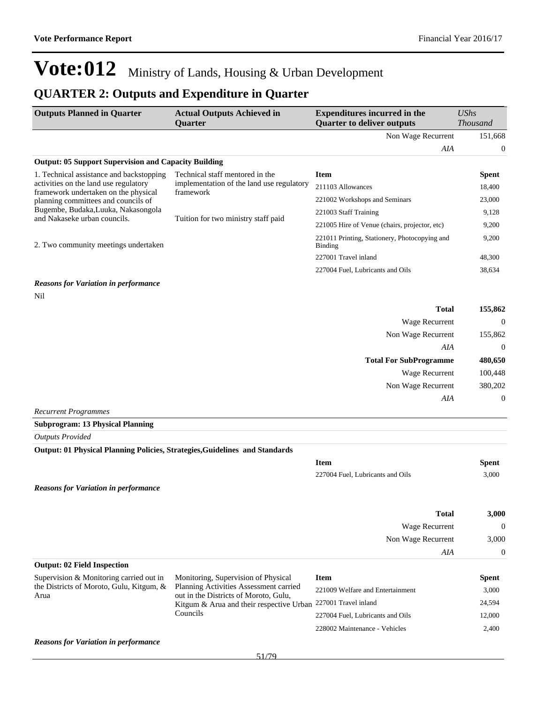### **QUARTER 2: Outputs and Expenditure in Quarter**

| <b>Outputs Planned in Quarter</b>                                             | <b>Actual Outputs Achieved in</b><br><b>Ouarter</b>                                                                              | <b>Expenditures incurred in the</b><br><b>Quarter to deliver outputs</b> | $\mathit{UShs}$<br><i>Thousand</i> |
|-------------------------------------------------------------------------------|----------------------------------------------------------------------------------------------------------------------------------|--------------------------------------------------------------------------|------------------------------------|
|                                                                               |                                                                                                                                  | Non Wage Recurrent                                                       | 151,668                            |
|                                                                               |                                                                                                                                  | AIA                                                                      | $\overline{0}$                     |
| <b>Output: 05 Support Supervision and Capacity Building</b>                   |                                                                                                                                  |                                                                          |                                    |
| 1. Technical assistance and backstopping                                      | Technical staff mentored in the<br>implementation of the land use regulatory<br>framework<br>Tuition for two ministry staff paid | Item                                                                     | <b>Spent</b>                       |
| activities on the land use regulatory<br>framework undertaken on the physical |                                                                                                                                  | 211103 Allowances                                                        | 18,400                             |
| planning committees and councils of                                           |                                                                                                                                  | 221002 Workshops and Seminars                                            | 23,000                             |
| Bugembe, Budaka, Luuka, Nakasongola<br>and Nakaseke urban councils.           |                                                                                                                                  | 221003 Staff Training                                                    | 9,128                              |
|                                                                               |                                                                                                                                  | 221005 Hire of Venue (chairs, projector, etc)                            | 9,200                              |
| 2. Two community meetings undertaken                                          |                                                                                                                                  | 221011 Printing, Stationery, Photocopying and<br><b>Binding</b>          | 9,200                              |
|                                                                               |                                                                                                                                  | 227001 Travel inland                                                     | 48,300                             |
|                                                                               |                                                                                                                                  | 227004 Fuel, Lubricants and Oils                                         | 38,634                             |
| <b>Reasons for Variation in performance</b>                                   |                                                                                                                                  |                                                                          |                                    |
| Nil                                                                           |                                                                                                                                  |                                                                          |                                    |

| <b>Total</b>                  | 155,862        |
|-------------------------------|----------------|
| <b>Wage Recurrent</b>         | $\overline{0}$ |
| Non Wage Recurrent            | 155,862        |
| AIA                           | $\overline{0}$ |
| <b>Total For SubProgramme</b> | 480,650        |
| Wage Recurrent                | 100,448        |
| Non Wage Recurrent            | 380,202        |
| AIA                           | $\overline{0}$ |
| $D$ course $D$ reagances      |                |

*Recurrent Programmes*

**Subprogram: 13 Physical Planning**

*Outputs Provided*

### **Output: 01 Physical Planning Policies, Strategies,Guidelines and Standards**

|                                             | <b>Item</b>                      | <b>Spent</b> |
|---------------------------------------------|----------------------------------|--------------|
|                                             | 227004 Fuel, Lubricants and Oils | 3,000        |
| <b>Reasons for Variation in performance</b> |                                  |              |

| <b>Total</b>                       | 3,000 |
|------------------------------------|-------|
| Wage Recurrent                     |       |
| Non Wage Recurrent                 | 3,000 |
| AIA                                |       |
| <b>Output: 02 Field Inspection</b> |       |

| Supervision & Monitoring carried out in          | Monitoring, Supervision of Physical                                             | Item                             | <b>Spent</b> |
|--------------------------------------------------|---------------------------------------------------------------------------------|----------------------------------|--------------|
| the Districts of Moroto, Gulu, Kitgum, &<br>Arua | Planning Activities Assessment carried<br>out in the Districts of Moroto, Gulu, | 221009 Welfare and Entertainment | 3,000        |
|                                                  | Kitgum & Arua and their respective Urban 227001 Travel inland                   |                                  | 24,594       |
|                                                  | Councils                                                                        | 227004 Fuel, Lubricants and Oils | 12,000       |
|                                                  |                                                                                 | 228002 Maintenance - Vehicles    | 2,400        |
|                                                  |                                                                                 |                                  |              |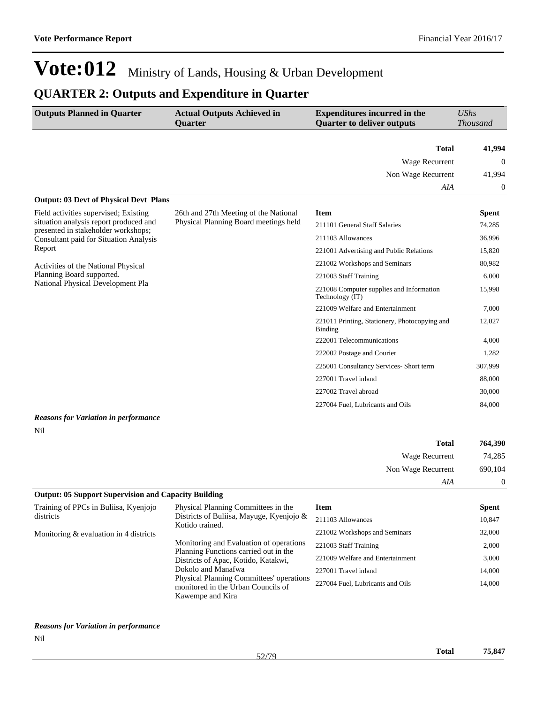### **QUARTER 2: Outputs and Expenditure in Quarter**

| <b>Outputs Planned in Quarter</b>                                             | <b>Actual Outputs Achieved in</b><br><b>Quarter</b> | <b>Expenditures incurred in the</b><br><b>Quarter to deliver outputs</b> | <b>UShs</b><br><b>Thousand</b> |
|-------------------------------------------------------------------------------|-----------------------------------------------------|--------------------------------------------------------------------------|--------------------------------|
|                                                                               |                                                     |                                                                          |                                |
|                                                                               |                                                     | <b>Total</b>                                                             | 41,994                         |
|                                                                               |                                                     | Wage Recurrent                                                           | $\theta$                       |
|                                                                               |                                                     | Non Wage Recurrent                                                       | 41,994                         |
|                                                                               |                                                     | AIA                                                                      | $\mathbf{0}$                   |
| <b>Output: 03 Devt of Physical Devt Plans</b>                                 |                                                     |                                                                          |                                |
| Field activities supervised; Existing                                         | 26th and 27th Meeting of the National               | <b>Item</b>                                                              | <b>Spent</b>                   |
| situation analysis report produced and<br>presented in stakeholder workshops; | Physical Planning Board meetings held               | 211101 General Staff Salaries                                            | 74,285                         |
| <b>Consultant paid for Situation Analysis</b>                                 |                                                     | 211103 Allowances                                                        | 36,996                         |
| Report                                                                        |                                                     | 221001 Advertising and Public Relations                                  | 15,820                         |
| Activities of the National Physical                                           |                                                     | 221002 Workshops and Seminars                                            | 80,982                         |
| Planning Board supported.                                                     |                                                     | 221003 Staff Training                                                    | 6,000                          |
| National Physical Development Pla                                             |                                                     | 221008 Computer supplies and Information<br>Technology (IT)              | 15,998                         |
|                                                                               |                                                     | 221009 Welfare and Entertainment                                         | 7,000                          |
|                                                                               |                                                     | 221011 Printing, Stationery, Photocopying and<br>Binding                 | 12,027                         |
|                                                                               |                                                     | 222001 Telecommunications                                                | 4,000                          |
|                                                                               |                                                     | 222002 Postage and Courier                                               | 1,282                          |
|                                                                               |                                                     | 225001 Consultancy Services- Short term                                  | 307,999                        |
|                                                                               |                                                     | 227001 Travel inland                                                     | 88,000                         |
|                                                                               |                                                     | 227002 Travel abroad                                                     | 30,000                         |
|                                                                               |                                                     | 227004 Fuel, Lubricants and Oils                                         | 84,000                         |
| <b>Reasons for Variation in performance</b>                                   |                                                     |                                                                          |                                |
| Nil                                                                           |                                                     |                                                                          |                                |

| 764,390        | <b>Total</b>       |  |
|----------------|--------------------|--|
| 74,285         | Wage Recurrent     |  |
| 690,104        | Non Wage Recurrent |  |
| $\overline{0}$ | AIA                |  |

#### **Output: 05 Support Supervision and Capacity Building** Training of PPCs in Buliisa, Kyenjojo districts Monitoring & evaluation in 4 districts Physical Planning Committees in the Districts of Buliisa, Mayuge, Kyenjojo & Kotido trained. Monitoring and Evaluation of operations Planning Functions carried out in the Districts of Apac, Kotido, Katakwi, Dokolo and Manafwa Physical Planning Committees' operations monitored in the Urban Councils of Kawempe and Kira **Item Spent** 211103 Allowances 10,847 221002 Workshops and Seminars 32,000 221003 Staff Training 2,000 221009 Welfare and Entertainment 3,000 227001 Travel inland 14,000 227004 Fuel, Lubricants and Oils 14,000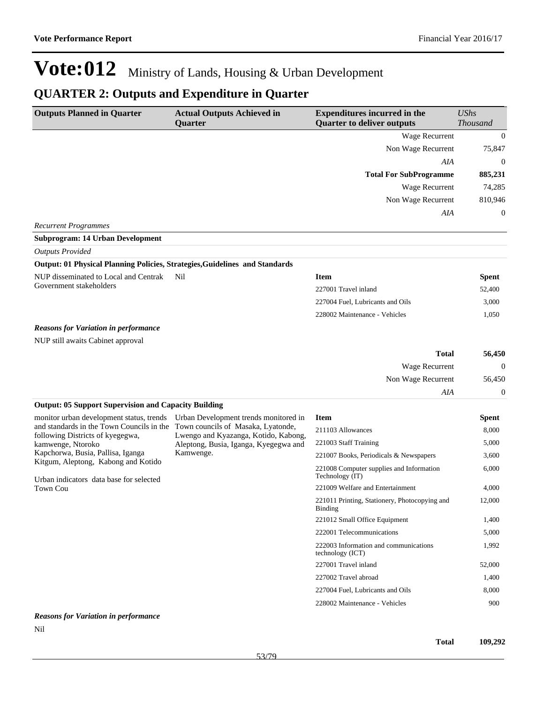## **QUARTER 2: Outputs and Expenditure in Quarter**

| <b>Outputs Planned in Quarter</b>                                                                                        | <b>Actual Outputs Achieved in</b><br><b>Quarter</b> | <b>Expenditures incurred in the</b><br><b>Quarter to deliver outputs</b> | <b>UShs</b><br><b>Thousand</b> |
|--------------------------------------------------------------------------------------------------------------------------|-----------------------------------------------------|--------------------------------------------------------------------------|--------------------------------|
|                                                                                                                          |                                                     | Wage Recurrent                                                           | $\mathbf{0}$                   |
|                                                                                                                          |                                                     | Non Wage Recurrent                                                       | 75,847                         |
|                                                                                                                          |                                                     | AIA                                                                      | $\mathbf{0}$                   |
|                                                                                                                          |                                                     | <b>Total For SubProgramme</b>                                            | 885,231                        |
|                                                                                                                          |                                                     | Wage Recurrent                                                           | 74,285                         |
|                                                                                                                          |                                                     | Non Wage Recurrent                                                       | 810,946                        |
|                                                                                                                          |                                                     | AIA                                                                      | 0                              |
| <b>Recurrent Programmes</b>                                                                                              |                                                     |                                                                          |                                |
| <b>Subprogram: 14 Urban Development</b>                                                                                  |                                                     |                                                                          |                                |
| <b>Outputs Provided</b>                                                                                                  |                                                     |                                                                          |                                |
| Output: 01 Physical Planning Policies, Strategies, Guidelines and Standards                                              |                                                     |                                                                          |                                |
| NUP disseminated to Local and Centrak<br>Government stakeholders                                                         | Nil                                                 | <b>Item</b>                                                              | Spent                          |
|                                                                                                                          |                                                     | 227001 Travel inland                                                     | 52,400                         |
|                                                                                                                          |                                                     | 227004 Fuel, Lubricants and Oils                                         | 3,000                          |
|                                                                                                                          |                                                     | 228002 Maintenance - Vehicles                                            | 1,050                          |
| <b>Reasons for Variation in performance</b>                                                                              |                                                     |                                                                          |                                |
| NUP still awaits Cabinet approval                                                                                        |                                                     |                                                                          |                                |
|                                                                                                                          |                                                     | <b>Total</b>                                                             | 56,450                         |
|                                                                                                                          |                                                     | Wage Recurrent                                                           | $\Omega$                       |
|                                                                                                                          |                                                     | Non Wage Recurrent                                                       | 56,450                         |
|                                                                                                                          |                                                     | AIA                                                                      | 0                              |
| <b>Output: 05 Support Supervision and Capacity Building</b>                                                              |                                                     |                                                                          |                                |
| monitor urban development status, trends<br>and standards in the Town Councils in the Town councils of Masaka, Lyatonde, | Urban Development trends monitored in               | <b>Item</b>                                                              | Spent                          |
| following Districts of kyegegwa,                                                                                         | Lwengo and Kyazanga, Kotido, Kabong,                | 211103 Allowances                                                        | 8,000                          |
| kamwenge, Ntoroko                                                                                                        | Aleptong, Busia, Iganga, Kyegegwa and               | 221003 Staff Training                                                    | 5,000                          |
| Kapchorwa, Busia, Pallisa, Iganga<br>Kitgum, Aleptong, Kabong and Kotido                                                 | Kamwenge.                                           | 221007 Books, Periodicals & Newspapers                                   | 3,600                          |
| Urban indicators data base for selected                                                                                  |                                                     | 221008 Computer supplies and Information<br>Technology (IT)              | 6,000                          |
| <b>Town Cou</b>                                                                                                          |                                                     | 221009 Welfare and Entertainment                                         | 4,000                          |
|                                                                                                                          |                                                     | 221011 Printing, Stationery, Photocopying and<br>Binding                 | 12,000                         |
|                                                                                                                          |                                                     | 221012 Small Office Equipment                                            | 1,400                          |
|                                                                                                                          |                                                     | 222001 Telecommunications                                                | 5,000                          |
|                                                                                                                          |                                                     | 222003 Information and communications<br>technology (ICT)                | 1,992                          |
|                                                                                                                          |                                                     | 227001 Travel inland                                                     | 52,000                         |
|                                                                                                                          |                                                     | 227002 Travel abroad                                                     | 1,400                          |
|                                                                                                                          |                                                     | 227004 Fuel, Lubricants and Oils                                         | 8,000                          |
|                                                                                                                          |                                                     | 228002 Maintenance - Vehicles                                            | 900                            |

### *Reasons for Variation in performance*

Nil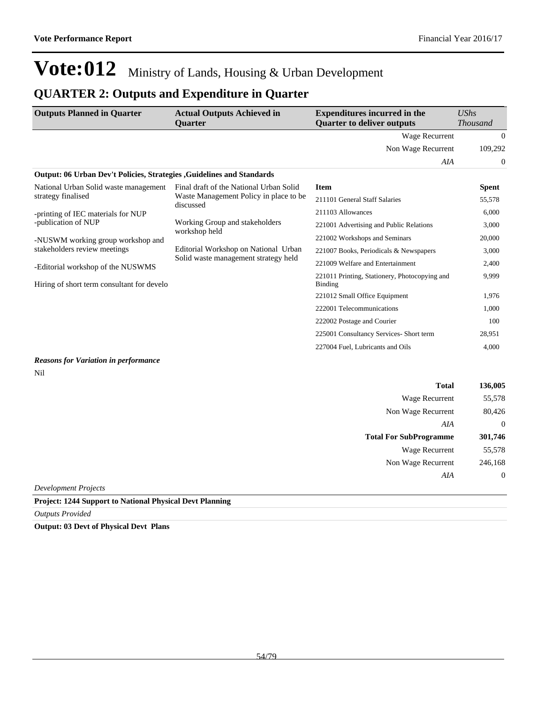### **QUARTER 2: Outputs and Expenditure in Quarter**

| <b>Outputs Planned in Quarter</b>                                            | <b>Actual Outputs Achieved in</b><br><b>Ouarter</b>                                                                                          | <b>Expenditures incurred in the</b><br><b>Quarter to deliver outputs</b> | UShs<br><b>Thousand</b>                 |       |
|------------------------------------------------------------------------------|----------------------------------------------------------------------------------------------------------------------------------------------|--------------------------------------------------------------------------|-----------------------------------------|-------|
|                                                                              |                                                                                                                                              | Wage Recurrent                                                           | $\overline{0}$                          |       |
|                                                                              |                                                                                                                                              | Non Wage Recurrent                                                       | 109,292                                 |       |
|                                                                              |                                                                                                                                              | AIA                                                                      | 0                                       |       |
| <b>Output: 06 Urban Dev't Policies, Strategies, Guidelines and Standards</b> |                                                                                                                                              |                                                                          |                                         |       |
| National Urban Solid waste management                                        | Final draft of the National Urban Solid                                                                                                      | <b>Item</b>                                                              | <b>Spent</b>                            |       |
| strategy finalised                                                           | Waste Management Policy in place to be.                                                                                                      | 211101 General Staff Salaries                                            | 55,578                                  |       |
| -printing of IEC materials for NUP                                           | discussed<br>Working Group and stakeholders<br>workshop held<br>Editorial Workshop on National Urban<br>Solid waste management strategy held | 211103 Allowances                                                        | 6,000                                   |       |
| -publication of NUP                                                          |                                                                                                                                              |                                                                          | 221001 Advertising and Public Relations | 3,000 |
| -NUSWM working group workshop and                                            |                                                                                                                                              | 221002 Workshops and Seminars                                            | 20,000                                  |       |
| stakeholders review meetings                                                 |                                                                                                                                              | 221007 Books, Periodicals & Newspapers                                   | 3,000                                   |       |
| -Editorial workshop of the NUSWMS                                            |                                                                                                                                              | 221009 Welfare and Entertainment                                         | 2,400                                   |       |
| Hiring of short term consultant for develo                                   |                                                                                                                                              | 221011 Printing, Stationery, Photocopying and<br><b>Binding</b>          | 9,999                                   |       |
|                                                                              |                                                                                                                                              | 221012 Small Office Equipment                                            | 1,976                                   |       |
|                                                                              |                                                                                                                                              | 222001 Telecommunications                                                | 1,000                                   |       |
|                                                                              |                                                                                                                                              | 222002 Postage and Courier                                               | 100                                     |       |
|                                                                              |                                                                                                                                              | 225001 Consultancy Services- Short term                                  | 28,951                                  |       |
|                                                                              |                                                                                                                                              | 227004 Fuel, Lubricants and Oils                                         | 4.000                                   |       |

#### *Reasons for Variation in performance* Nil

| 136,005      | <b>Total</b>                   |
|--------------|--------------------------------|
| 55,578       | Wage Recurrent                 |
| 80,426       | Non Wage Recurrent             |
| $\mathbf{0}$ | AIA                            |
| 301,746      | <b>Total For SubProgramme</b>  |
| 55,578       | Wage Recurrent                 |
| 246,168      | Non Wage Recurrent             |
| $\mathbf{0}$ | AIA                            |
|              | $\sim$ $\sim$<br>$\sim$ $\sim$ |

*Development Projects*

**Project: 1244 Support to National Physical Devt Planning**

*Outputs Provided*

**Output: 03 Devt of Physical Devt Plans**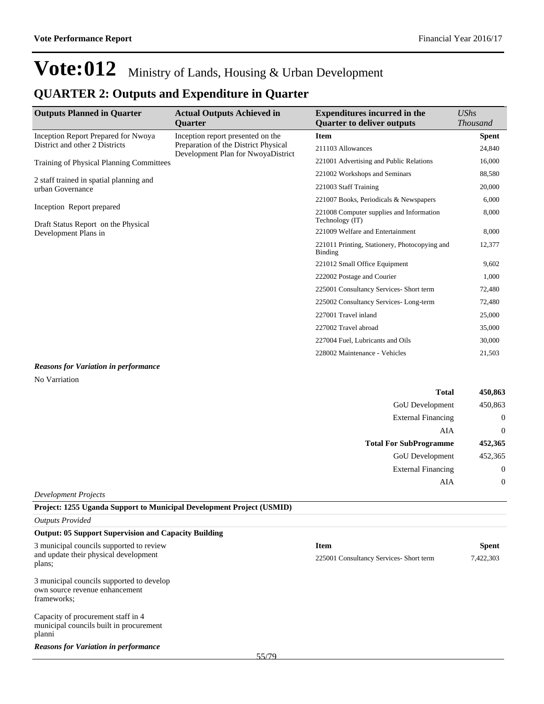### **QUARTER 2: Outputs and Expenditure in Quarter**

| <b>Outputs Planned in Quarter</b>                                | <b>Actual Outputs Achieved in</b><br><b>Ouarter</b>                        | <b>Expenditures incurred in the</b><br><b>Ouarter to deliver outputs</b> | <b>UShs</b><br><b>Thousand</b> |
|------------------------------------------------------------------|----------------------------------------------------------------------------|--------------------------------------------------------------------------|--------------------------------|
| Inception Report Prepared for Nwoya                              | Inception report presented on the                                          | <b>Item</b>                                                              | <b>Spent</b>                   |
| District and other 2 Districts                                   | Preparation of the District Physical<br>Development Plan for NwoyaDistrict | 211103 Allowances                                                        | 24,840                         |
| <b>Training of Physical Planning Committees</b>                  |                                                                            | 221001 Advertising and Public Relations                                  | 16,000                         |
|                                                                  |                                                                            | 221002 Workshops and Seminars                                            | 88,580                         |
| 2 staff trained in spatial planning and<br>urban Governance      |                                                                            | 221003 Staff Training                                                    | 20,000                         |
|                                                                  |                                                                            | 221007 Books, Periodicals & Newspapers                                   | 6,000                          |
| Inception Report prepared<br>Draft Status Report on the Physical |                                                                            | 221008 Computer supplies and Information<br>Technology (IT)              | 8,000                          |
| Development Plans in                                             |                                                                            | 221009 Welfare and Entertainment                                         | 8,000                          |
|                                                                  |                                                                            | 221011 Printing, Stationery, Photocopying and<br>Binding                 | 12,377                         |
|                                                                  |                                                                            | 221012 Small Office Equipment                                            | 9,602                          |
|                                                                  |                                                                            | 222002 Postage and Courier                                               | 1,000                          |
|                                                                  |                                                                            | 225001 Consultancy Services- Short term                                  | 72,480                         |
|                                                                  |                                                                            | 225002 Consultancy Services-Long-term                                    | 72,480                         |
|                                                                  |                                                                            | 227001 Travel inland                                                     | 25,000                         |
|                                                                  |                                                                            | 227002 Travel abroad                                                     | 35,000                         |
|                                                                  |                                                                            | 227004 Fuel, Lubricants and Oils                                         | 30,000                         |
|                                                                  |                                                                            | 228002 Maintenance - Vehicles                                            | 21,503                         |
| Reasons for Variation in performance                             |                                                                            |                                                                          |                                |

#### *Reasons for Variation in performance* No Varriation

| <b>Total</b>                  | 450,863          |
|-------------------------------|------------------|
| GoU Development               | 450,863          |
| <b>External Financing</b>     | $\boldsymbol{0}$ |
| AIA                           | $\theta$         |
| <b>Total For SubProgramme</b> | 452,365          |
| GoU Development               | 452,365          |
| <b>External Financing</b>     | $\boldsymbol{0}$ |
| AIA                           | $\mathbf 0$      |
| <b>Development Projects</b>   |                  |

#### **Project: 1255 Uganda Support to Municipal Development Project (USMID)**

| <b>Outputs Provided</b>                                                                    |                                         |              |           |  |
|--------------------------------------------------------------------------------------------|-----------------------------------------|--------------|-----------|--|
| <b>Output: 05 Support Supervision and Capacity Building</b>                                |                                         |              |           |  |
| 3 municipal councils supported to review                                                   | <b>Item</b>                             | <b>Spent</b> |           |  |
| and update their physical development<br>plans;                                            | 225001 Consultancy Services- Short term |              | 7,422,303 |  |
| 3 municipal councils supported to develop<br>own source revenue enhancement<br>frameworks; |                                         |              |           |  |
| Capacity of procurement staff in 4<br>municipal councils built in procurement<br>planni    |                                         |              |           |  |
| <b>Reasons for Variation in performance</b><br>55/79                                       |                                         |              |           |  |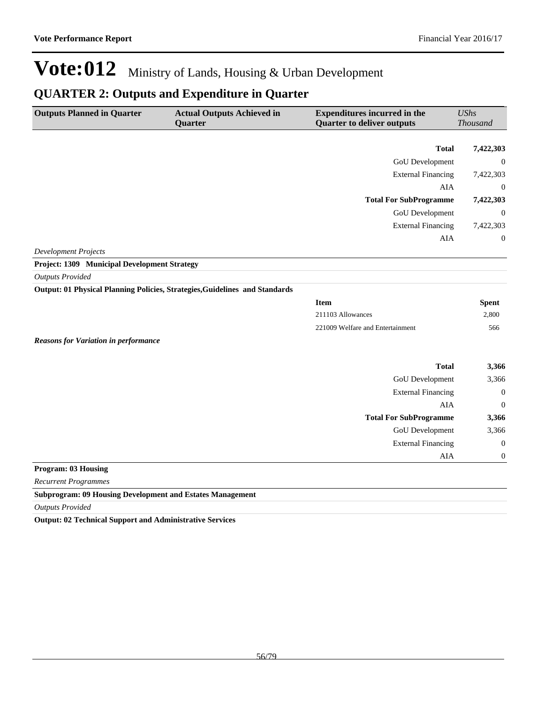### **QUARTER 2: Outputs and Expenditure in Quarter**

| <b>Outputs Planned in Quarter</b>                                | <b>Actual Outputs Achieved in</b>                                           | <b>Expenditures incurred in the</b> | <b>UShs</b>      |
|------------------------------------------------------------------|-----------------------------------------------------------------------------|-------------------------------------|------------------|
|                                                                  | Quarter                                                                     | <b>Quarter to deliver outputs</b>   | <b>Thousand</b>  |
|                                                                  |                                                                             | <b>Total</b>                        | 7,422,303        |
|                                                                  |                                                                             | <b>GoU</b> Development              | $\boldsymbol{0}$ |
|                                                                  |                                                                             | <b>External Financing</b>           | 7,422,303        |
|                                                                  |                                                                             | AIA                                 | $\overline{0}$   |
|                                                                  |                                                                             | <b>Total For SubProgramme</b>       | 7,422,303        |
|                                                                  |                                                                             | <b>GoU</b> Development              | $\mathbf{0}$     |
|                                                                  |                                                                             | <b>External Financing</b>           | 7,422,303        |
|                                                                  |                                                                             | <b>AIA</b>                          | $\theta$         |
| <b>Development Projects</b>                                      |                                                                             |                                     |                  |
| Project: 1309 Municipal Development Strategy                     |                                                                             |                                     |                  |
| <b>Outputs Provided</b>                                          |                                                                             |                                     |                  |
|                                                                  | Output: 01 Physical Planning Policies, Strategies, Guidelines and Standards |                                     |                  |
|                                                                  |                                                                             | <b>Item</b>                         | <b>Spent</b>     |
|                                                                  |                                                                             | 211103 Allowances                   | 2,800            |
|                                                                  |                                                                             | 221009 Welfare and Entertainment    | 566              |
| <b>Reasons for Variation in performance</b>                      |                                                                             |                                     |                  |
|                                                                  |                                                                             |                                     |                  |
|                                                                  |                                                                             | <b>Total</b>                        | 3,366            |
|                                                                  |                                                                             | GoU Development                     | 3,366            |
|                                                                  |                                                                             | <b>External Financing</b>           | $\boldsymbol{0}$ |
|                                                                  |                                                                             | <b>AIA</b>                          | $\overline{0}$   |
|                                                                  |                                                                             | <b>Total For SubProgramme</b>       | 3,366            |
|                                                                  |                                                                             | <b>GoU</b> Development              | 3,366            |
|                                                                  |                                                                             | <b>External Financing</b>           | $\mathbf{0}$     |
|                                                                  |                                                                             | AIA                                 | $\mathbf{0}$     |
| <b>Program: 03 Housing</b>                                       |                                                                             |                                     |                  |
| <b>Recurrent Programmes</b>                                      |                                                                             |                                     |                  |
| <b>Subprogram: 09 Housing Development and Estates Management</b> |                                                                             |                                     |                  |

*Outputs Provided*

**Output: 02 Technical Support and Administrative Services**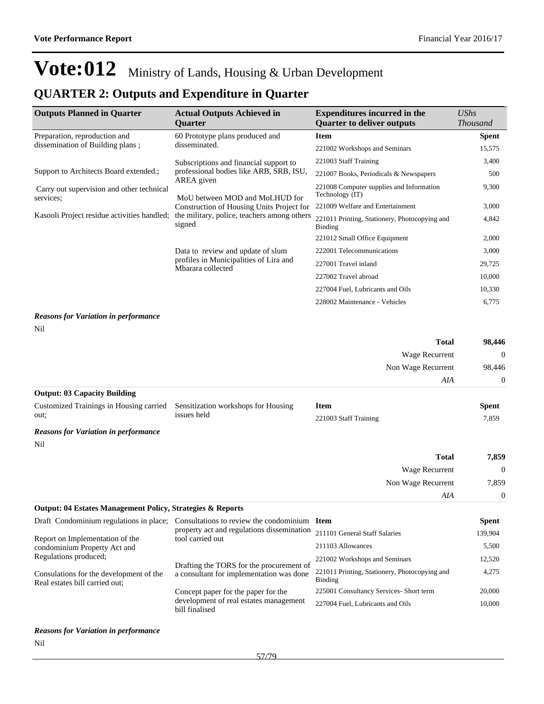## **QUARTER 2: Outputs and Expenditure in Quarter**

| <b>Outputs Planned in Quarter</b>                      | <b>Actual Outputs Achieved in</b><br><b>Quarter</b>         | <b>Expenditures incurred in the</b><br><b>Quarter to deliver outputs</b> | <b>UShs</b><br><b>Thousand</b> |
|--------------------------------------------------------|-------------------------------------------------------------|--------------------------------------------------------------------------|--------------------------------|
| Preparation, reproduction and                          | 60 Prototype plans produced and                             | <b>Item</b>                                                              | <b>Spent</b>                   |
| dissemination of Building plans;                       | disseminated.                                               | 221002 Workshops and Seminars                                            | 15,575                         |
|                                                        | Subscriptions and financial support to                      | 221003 Staff Training                                                    | 3,400                          |
| Support to Architects Board extended.;                 | professional bodies like ARB, SRB, ISU,                     | 221007 Books, Periodicals & Newspapers                                   | 500                            |
| Carry out supervision and other technical<br>services; | AREA given<br>MoU between MOD and MoLHUD for                | 221008 Computer supplies and Information<br>Technology (IT)              | 9,300                          |
|                                                        | Construction of Housing Units Project for                   | 221009 Welfare and Entertainment                                         | 3,000                          |
| Kasooli Project residue activities handled;            | the military, police, teachers among others<br>signed       | 221011 Printing, Stationery, Photocopying and<br><b>Binding</b>          | 4,842                          |
|                                                        |                                                             | 221012 Small Office Equipment                                            | 2,000                          |
|                                                        | Data to review and update of slum                           | 222001 Telecommunications                                                | 3,000                          |
|                                                        | profiles in Municipalities of Lira and<br>Mbarara collected | 227001 Travel inland                                                     | 29,725                         |
|                                                        |                                                             | 227002 Travel abroad                                                     | 10.000                         |
|                                                        |                                                             | 227004 Fuel, Lubricants and Oils                                         | 10,330                         |
|                                                        |                                                             | 228002 Maintenance - Vehicles                                            | 6,775                          |
| <b>Reasons for Variation in performance</b><br>Nil     |                                                             |                                                                          |                                |
|                                                        |                                                             | <b>Total</b>                                                             | 98,446                         |
|                                                        |                                                             | Wage Recurrent                                                           | $\mathbf{0}$                   |
|                                                        |                                                             | Non Wage Recurrent                                                       | 98,446                         |
|                                                        |                                                             | AIA                                                                      | $\mathbf{0}$                   |
| <b>Output: 03 Capacity Building</b>                    |                                                             |                                                                          |                                |
| Customized Trainings in Housing carried<br>out:        | Sensitization workshops for Housing<br>issues held          | <b>Item</b><br>221003 Staff Training                                     | <b>Spent</b><br>7,859          |
| <b>Reasons for Variation in performance</b>            |                                                             |                                                                          |                                |
| Nil                                                    |                                                             |                                                                          |                                |
|                                                        |                                                             | <b>Total</b>                                                             | 7,859                          |
|                                                        |                                                             | Wage Recurrent                                                           | $\theta$                       |
|                                                        |                                                             | Non Wage Recurrent                                                       | 7,859                          |
|                                                        |                                                             | AIA                                                                      | $\mathbf{0}$                   |

### **Output: 04 Estates Management Policy, Strategies & Reports**

| Draft Condominium regulations in place;                                   | Consultations to review the condominium                                              | – Item                                                   | <b>Spent</b> |
|---------------------------------------------------------------------------|--------------------------------------------------------------------------------------|----------------------------------------------------------|--------------|
| Report on Implementation of the                                           | property act and regulations dissemination<br>tool carried out                       | 211101 General Staff Salaries                            | 139,904      |
| condominium Property Act and                                              |                                                                                      | 211103 Allowances                                        | 5.500        |
| Regulations produced;                                                     |                                                                                      | 221002 Workshops and Seminars                            | 12,520       |
| Consulations for the development of the<br>Real estates bill carried out; | Drafting the TORS for the procurement of<br>a consultant for implementation was done | 221011 Printing, Stationery, Photocopying and<br>Binding | 4.275        |
|                                                                           | Concept paper for the paper for the                                                  | 225001 Consultancy Services- Short term                  | 20,000       |
|                                                                           | development of real estates management<br>bill finalised                             | 227004 Fuel, Lubricants and Oils                         | 10,000       |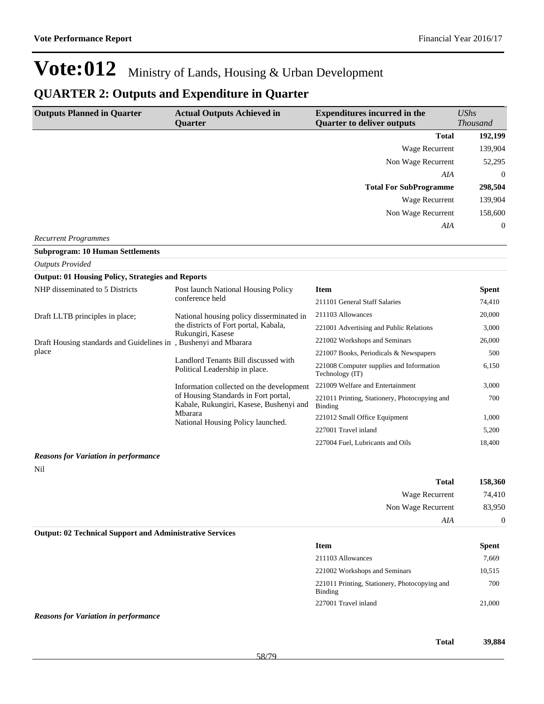### **QUARTER 2: Outputs and Expenditure in Quarter**

| <b>Outputs Planned in Quarter</b>                               | <b>Actual Outputs Achieved in</b>                                               | <b>Expenditures incurred in the</b>                         | <b>UShs</b>      |
|-----------------------------------------------------------------|---------------------------------------------------------------------------------|-------------------------------------------------------------|------------------|
|                                                                 | <b>Quarter</b>                                                                  | <b>Quarter to deliver outputs</b>                           | <b>Thousand</b>  |
|                                                                 |                                                                                 | <b>Total</b>                                                | 192,199          |
|                                                                 |                                                                                 | <b>Wage Recurrent</b>                                       | 139,904          |
|                                                                 |                                                                                 | Non Wage Recurrent                                          | 52,295           |
|                                                                 |                                                                                 | AIA                                                         | $\boldsymbol{0}$ |
|                                                                 |                                                                                 | <b>Total For SubProgramme</b>                               | 298,504          |
|                                                                 |                                                                                 | <b>Wage Recurrent</b>                                       | 139,904          |
|                                                                 |                                                                                 | Non Wage Recurrent                                          | 158,600          |
|                                                                 |                                                                                 | AIA                                                         | 0                |
| <b>Recurrent Programmes</b>                                     |                                                                                 |                                                             |                  |
| <b>Subprogram: 10 Human Settlements</b>                         |                                                                                 |                                                             |                  |
| <b>Outputs Provided</b>                                         |                                                                                 |                                                             |                  |
| <b>Output: 01 Housing Policy, Strategies and Reports</b>        |                                                                                 |                                                             |                  |
| NHP disseminated to 5 Districts                                 | Post launch National Housing Policy                                             | Item                                                        | <b>Spent</b>     |
|                                                                 | conference held                                                                 | 211101 General Staff Salaries                               | 74,410           |
| Draft LLTB principles in place;                                 | National housing policy disserminated in                                        | 211103 Allowances                                           | 20,000           |
|                                                                 | the districts of Fort portal, Kabala,                                           | 221001 Advertising and Public Relations                     | 3,000            |
| Draft Housing standards and Guidelines in, Bushenyi and Mbarara | Rukungiri, Kasese                                                               | 221002 Workshops and Seminars                               | 26,000           |
| place                                                           |                                                                                 | 221007 Books, Periodicals & Newspapers                      | 500              |
|                                                                 | Landlord Tenants Bill discussed with<br>Political Leadership in place.          | 221008 Computer supplies and Information<br>Technology (IT) | 6,150            |
|                                                                 | Information collected on the development                                        | 221009 Welfare and Entertainment                            | 3,000            |
|                                                                 | of Housing Standards in Fort portal,<br>Kabale, Rukungiri, Kasese, Bushenyi and | 221011 Printing, Stationery, Photocopying and<br>Binding    | 700              |
|                                                                 | Mbarara<br>National Housing Policy launched.                                    | 221012 Small Office Equipment                               | 1,000            |
|                                                                 |                                                                                 | 227001 Travel inland                                        | 5,200            |
|                                                                 |                                                                                 | 227004 Fuel, Lubricants and Oils                            | 18,400           |

#### *Reasons for Variation in performance*

Nil

| 158,360 | <b>Total</b>       |  |
|---------|--------------------|--|
| 74,410  | Wage Recurrent     |  |
| 83,950  | Non Wage Recurrent |  |
| υ       | AIA                |  |

#### **Output: 02 Technical Support and Administrative Services**

| <b>Item</b>                                              | <b>Spent</b> |
|----------------------------------------------------------|--------------|
| 211103 Allowances                                        | 7.669        |
| 221002 Workshops and Seminars                            | 10.515       |
| 221011 Printing, Stationery, Photocopying and<br>Binding | 700          |
| 227001 Travel inland                                     | 21,000       |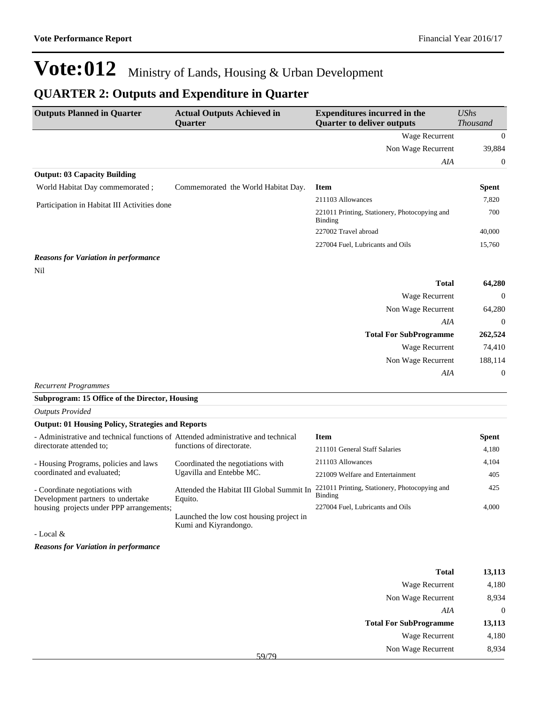### **QUARTER 2: Outputs and Expenditure in Quarter**

| <b>Outputs Planned in Quarter</b>            | <b>Actual Outputs Achieved in</b><br>Quarter | <b>Expenditures incurred in the</b><br><b>Quarter to deliver outputs</b> | <b>UShs</b><br><b>Thousand</b> |
|----------------------------------------------|----------------------------------------------|--------------------------------------------------------------------------|--------------------------------|
|                                              |                                              | Wage Recurrent                                                           | $\bf{0}$                       |
|                                              |                                              | Non Wage Recurrent                                                       | 39,884                         |
|                                              |                                              | AIA                                                                      | $\overline{0}$                 |
| <b>Output: 03 Capacity Building</b>          |                                              |                                                                          |                                |
| World Habitat Day commemorated;              | Commemorated the World Habitat Day.          | <b>Item</b>                                                              | <b>Spent</b>                   |
| Participation in Habitat III Activities done |                                              | 211103 Allowances                                                        | 7,820                          |
|                                              |                                              | 221011 Printing, Stationery, Photocopying and<br><b>Binding</b>          | 700                            |
|                                              |                                              | 227002 Travel abroad                                                     | 40,000                         |
|                                              |                                              | 227004 Fuel, Lubricants and Oils                                         | 15,760                         |
| <b>Reasons for Variation in performance</b>  |                                              |                                                                          |                                |
| Nil                                          |                                              |                                                                          |                                |
|                                              |                                              | <b>Total</b>                                                             | 64,280                         |
|                                              |                                              | Wage Recurrent                                                           | $\theta$                       |
|                                              |                                              | Non Wage Recurrent                                                       | 64,280                         |
|                                              |                                              | AIA                                                                      | $\overline{0}$                 |
|                                              |                                              | <b>Total For SubProgramme</b>                                            | 262,524                        |
|                                              |                                              | Wage Recurrent                                                           | 74,410                         |
|                                              |                                              | Non Wage Recurrent                                                       | 188,114                        |
|                                              |                                              | AIA                                                                      | $\mathbf{0}$                   |

*Recurrent Programmes*

**Subprogram: 15 Office of the Director, Housing**

| <b>Outputs Provided</b>                                                           |                                                               |                                                          |              |
|-----------------------------------------------------------------------------------|---------------------------------------------------------------|----------------------------------------------------------|--------------|
| <b>Output: 01 Housing Policy, Strategies and Reports</b>                          |                                                               |                                                          |              |
| - Administrative and technical functions of Attended administrative and technical |                                                               | <b>Item</b>                                              | <b>Spent</b> |
| directorate attended to:                                                          | functions of directorate.                                     | 211101 General Staff Salaries                            | 4,180        |
| - Housing Programs, policies and laws                                             | Coordinated the negotiations with<br>Ugavilla and Entebbe MC. | 211103 Allowances                                        | 4,104        |
| coordinated and evaluated;                                                        |                                                               | 221009 Welfare and Entertainment                         | 405          |
| - Coordinate negotiations with<br>Development partners to undertake               | Attended the Habitat III Global Summit In<br>Equito.          | 221011 Printing, Stationery, Photocopying and<br>Binding | 425          |
| housing projects under PPP arrangements;                                          |                                                               | 227004 Fuel. Lubricants and Oils                         | 4.000        |
|                                                                                   | Launched the low cost housing project in                      |                                                          |              |
|                                                                                   | Kumi and Kiyrandongo.                                         |                                                          |              |

- Local &

| <b>Total</b>                  | 13,113   |
|-------------------------------|----------|
| Wage Recurrent                | 4,180    |
| Non Wage Recurrent            | 8,934    |
| AIA                           | $\theta$ |
| <b>Total For SubProgramme</b> | 13,113   |
| Wage Recurrent                | 4,180    |
| Non Wage Recurrent<br>59/79   | 8,934    |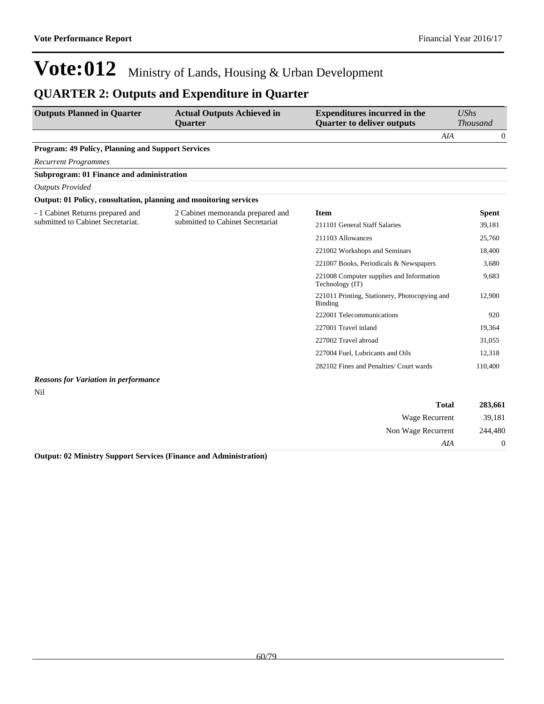### **QUARTER 2: Outputs and Expenditure in Quarter**

| <b>Outputs Planned in Quarter</b>                                 | <b>Actual Outputs Achieved in</b><br><b>Ouarter</b> | <b>Expenditures incurred in the</b><br><b>Quarter to deliver outputs</b> | <b>UShs</b><br><b>Thousand</b> |
|-------------------------------------------------------------------|-----------------------------------------------------|--------------------------------------------------------------------------|--------------------------------|
|                                                                   |                                                     |                                                                          | AIA<br>$\overline{0}$          |
| <b>Program: 49 Policy, Planning and Support Services</b>          |                                                     |                                                                          |                                |
| <b>Recurrent Programmes</b>                                       |                                                     |                                                                          |                                |
| <b>Subprogram: 01 Finance and administration</b>                  |                                                     |                                                                          |                                |
| <b>Outputs Provided</b>                                           |                                                     |                                                                          |                                |
| Output: 01 Policy, consultation, planning and monitoring services |                                                     |                                                                          |                                |
| - 1 Cabinet Returns prepared and                                  | 2 Cabinet memoranda prepared and                    | <b>Item</b>                                                              | <b>Spent</b>                   |
| submitted to Cabinet Secretariat.                                 | submitted to Cabinet Secretariat                    | 211101 General Staff Salaries                                            | 39,181                         |
|                                                                   |                                                     | 211103 Allowances                                                        | 25,760                         |
|                                                                   |                                                     | 221002 Workshops and Seminars                                            | 18,400                         |
|                                                                   |                                                     | 221007 Books, Periodicals & Newspapers                                   | 3,680                          |
|                                                                   |                                                     | 221008 Computer supplies and Information<br>Technology (IT)              | 9,683                          |
|                                                                   |                                                     | 221011 Printing, Stationery, Photocopying and<br>Binding                 | 12,900                         |
|                                                                   |                                                     | 222001 Telecommunications                                                | 920                            |
|                                                                   |                                                     | 227001 Travel inland                                                     | 19,364                         |
|                                                                   |                                                     | 227002 Travel abroad                                                     | 31,055                         |
|                                                                   |                                                     | 227004 Fuel, Lubricants and Oils                                         | 12,318                         |
|                                                                   |                                                     | 282102 Fines and Penalties/ Court wards                                  | 110,400                        |
| <b>Reasons for Variation in performance</b>                       |                                                     |                                                                          |                                |

Nil

| 283,661        | <b>Total</b>       |
|----------------|--------------------|
| 39,181         | Wage Recurrent     |
| 244,480        | Non Wage Recurrent |
| $\overline{0}$ | AIA                |

**Output: 02 Ministry Support Services (Finance and Administration)**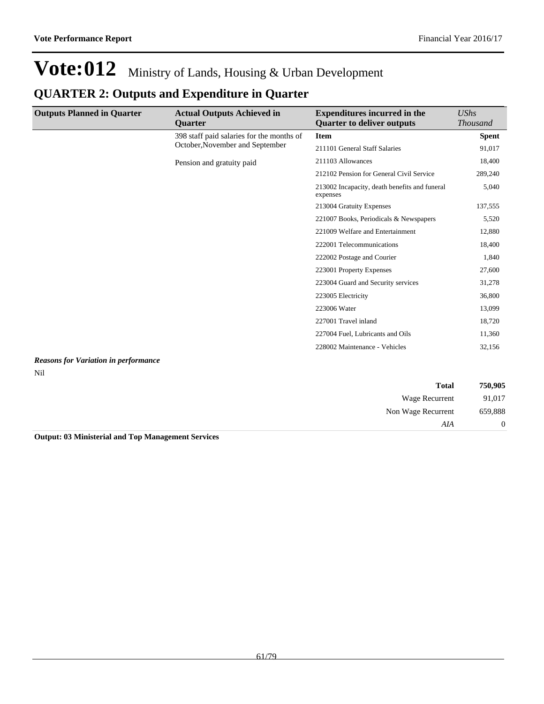## **QUARTER 2: Outputs and Expenditure in Quarter**

| <b>Outputs Planned in Quarter</b>           | <b>Actual Outputs Achieved in</b><br><b>Ouarter</b> | <b>Expenditures incurred in the</b><br><b>Quarter to deliver outputs</b> | UShs<br><b>Thousand</b> |
|---------------------------------------------|-----------------------------------------------------|--------------------------------------------------------------------------|-------------------------|
|                                             | 398 staff paid salaries for the months of           | <b>Item</b>                                                              | <b>Spent</b>            |
|                                             | October, November and September                     | 211101 General Staff Salaries                                            | 91,017                  |
|                                             | Pension and gratuity paid                           | 211103 Allowances                                                        | 18,400                  |
|                                             |                                                     | 212102 Pension for General Civil Service                                 | 289,240                 |
|                                             |                                                     | 213002 Incapacity, death benefits and funeral<br>expenses                | 5,040                   |
|                                             |                                                     | 213004 Gratuity Expenses                                                 | 137,555                 |
|                                             |                                                     | 221007 Books, Periodicals & Newspapers                                   | 5,520                   |
|                                             |                                                     | 221009 Welfare and Entertainment                                         | 12,880                  |
|                                             |                                                     | 222001 Telecommunications                                                | 18,400                  |
|                                             |                                                     | 222002 Postage and Courier                                               | 1,840                   |
|                                             |                                                     | 223001 Property Expenses                                                 | 27,600                  |
|                                             |                                                     | 223004 Guard and Security services                                       | 31,278                  |
|                                             |                                                     | 223005 Electricity                                                       | 36,800                  |
|                                             |                                                     | 223006 Water                                                             | 13,099                  |
|                                             |                                                     | 227001 Travel inland                                                     | 18,720                  |
|                                             |                                                     | 227004 Fuel, Lubricants and Oils                                         | 11,360                  |
|                                             |                                                     | 228002 Maintenance - Vehicles                                            | 32,156                  |
| <b>Reasons for Variation in performance</b> |                                                     |                                                                          |                         |

## Nil

| 750,905          | <b>Total</b>       |
|------------------|--------------------|
| 91,017           | Wage Recurrent     |
| 659,888          | Non Wage Recurrent |
| $\boldsymbol{0}$ | AIA                |

**Output: 03 Ministerial and Top Management Services**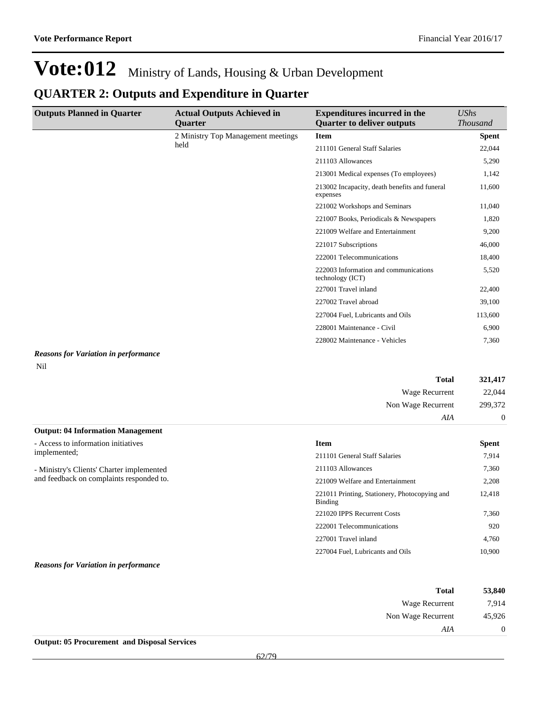### **QUARTER 2: Outputs and Expenditure in Quarter**

| <b>Outputs Planned in Quarter</b>           | <b>Actual Outputs Achieved in</b>  | <b>Expenditures incurred in the</b>                       | <b>UShs</b>      |
|---------------------------------------------|------------------------------------|-----------------------------------------------------------|------------------|
|                                             | Quarter                            | <b>Quarter to deliver outputs</b>                         | <b>Thousand</b>  |
|                                             | 2 Ministry Top Management meetings | <b>Item</b>                                               | <b>Spent</b>     |
|                                             | held                               | 211101 General Staff Salaries                             | 22,044           |
|                                             |                                    | 211103 Allowances                                         | 5,290            |
|                                             |                                    | 213001 Medical expenses (To employees)                    | 1,142            |
|                                             |                                    | 213002 Incapacity, death benefits and funeral<br>expenses | 11,600           |
|                                             |                                    | 221002 Workshops and Seminars                             | 11,040           |
|                                             |                                    | 221007 Books, Periodicals & Newspapers                    | 1,820            |
|                                             |                                    | 221009 Welfare and Entertainment                          | 9,200            |
|                                             |                                    | 221017 Subscriptions                                      | 46,000           |
|                                             |                                    | 222001 Telecommunications                                 | 18,400           |
|                                             |                                    | 222003 Information and communications<br>technology (ICT) | 5,520            |
|                                             |                                    | 227001 Travel inland                                      | 22,400           |
|                                             |                                    | 227002 Travel abroad                                      | 39,100           |
|                                             |                                    | 227004 Fuel, Lubricants and Oils                          | 113,600          |
|                                             |                                    | 228001 Maintenance - Civil                                | 6,900            |
|                                             |                                    | 228002 Maintenance - Vehicles                             | 7,360            |
| <b>Reasons for Variation in performance</b> |                                    |                                                           |                  |
| Nil                                         |                                    |                                                           |                  |
|                                             |                                    | <b>Total</b>                                              | 321,417          |
|                                             |                                    | Wage Recurrent                                            | 22,044           |
|                                             |                                    | Non Wage Recurrent                                        | 299,372          |
|                                             |                                    | AIA                                                       | $\boldsymbol{0}$ |
| <b>Output: 04 Information Management</b>    |                                    |                                                           |                  |
| - Access to information initiatives         |                                    | <b>Item</b>                                               | <b>Spent</b>     |
| implemented;                                |                                    | 211101 General Staff Salaries                             | 7,914            |
| - Ministry's Clients' Charter implemented   |                                    | 211103 Allowances                                         | 7,360            |
| and feedback on complaints responded to.    |                                    | 221009 Welfare and Entertainment                          | 2,208            |

and feedback on complaints responded to.

#### *Reasons for Variation in performance*

| 53,840         | <b>Total</b>       |
|----------------|--------------------|
| 7,914          | Wage Recurrent     |
| 45,926         | Non Wage Recurrent |
| $\overline{0}$ | AIA                |

221011 Printing, Stationery, Photocopying and

221020 IPPS Recurrent Costs 7,360 222001 Telecommunications 920 227001 Travel inland 4,760 227004 Fuel, Lubricants and Oils 10,900

12,418

Binding

**Output: 05 Procurement and Disposal Services**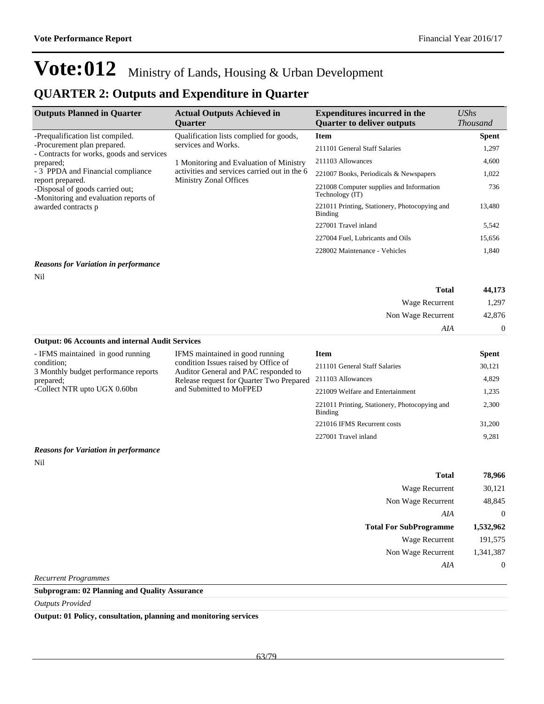### **QUARTER 2: Outputs and Expenditure in Quarter**

| <b>Outputs Planned in Quarter</b>                                                               | <b>Actual Outputs Achieved in</b><br><b>Ouarter</b>                    | <b>Expenditures incurred in the</b><br><b>Ouarter to deliver outputs</b> | $\mathit{UShs}$<br><i>Thousand</i> |
|-------------------------------------------------------------------------------------------------|------------------------------------------------------------------------|--------------------------------------------------------------------------|------------------------------------|
| -Prequalification list compiled.                                                                | Qualification lists complied for goods,                                | <b>Item</b>                                                              | <b>Spent</b>                       |
| services and Works.<br>-Procurement plan prepared.<br>- Contracts for works, goods and services | 211101 General Staff Salaries                                          | 1,297                                                                    |                                    |
| prepared;                                                                                       | 1 Monitoring and Evaluation of Ministry                                | 211103 Allowances                                                        | 4,600                              |
| - 3 PPDA and Financial compliance<br>report prepared.                                           | activities and services carried out in the 6<br>Ministry Zonal Offices | 221007 Books, Periodicals & Newspapers                                   | 1,022                              |
| -Disposal of goods carried out;<br>-Monitoring and evaluation reports of                        |                                                                        | 221008 Computer supplies and Information<br>Technology (IT)              | 736                                |
| awarded contracts p                                                                             | 221011 Printing, Stationery, Photocopying and<br>Binding               | 13,480                                                                   |                                    |
|                                                                                                 |                                                                        | 227001 Travel inland                                                     | 5,542                              |
|                                                                                                 |                                                                        | 227004 Fuel, Lubricants and Oils                                         | 15,656                             |
|                                                                                                 |                                                                        | 228002 Maintenance - Vehicles                                            | 1,840                              |

#### *Reasons for Variation in performance*

Nil

| 44,173         | <b>Total</b>          |
|----------------|-----------------------|
| 1,297          | <b>Wage Recurrent</b> |
| 42,876         | Non Wage Recurrent    |
| $\overline{0}$ | AIA                   |
|                |                       |

**Output: 06 Accounts and internal Audit Services** - IFMS maintained in good running IFMS maintained in good running

| - IFMS maintained in good running                 | IFMS maintained in good running                                                  | Item                                                     | <b>Spent</b> |
|---------------------------------------------------|----------------------------------------------------------------------------------|----------------------------------------------------------|--------------|
| condition:                                        | condition Issues raised by Office of                                             | 211101 General Staff Salaries                            | 30,121       |
| 3 Monthly budget performance reports<br>prepared; | Auditor General and PAC responded to<br>Release request for Quarter Two Prepared | 211103 Allowances                                        | 4.829        |
| -Collect NTR upto UGX 0.60bn                      | and Submitted to MoFPED                                                          | 221009 Welfare and Entertainment                         | 1,235        |
|                                                   |                                                                                  | 221011 Printing, Stationery, Photocopying and<br>Binding | 2,300        |
|                                                   |                                                                                  | 221016 IFMS Recurrent costs                              | 31,200       |
|                                                   |                                                                                  | 227001 Travel inland                                     | 9.281        |

#### *Reasons for Variation in performance*

Nil

| <b>Total</b>                  | 78,966    |
|-------------------------------|-----------|
| Wage Recurrent                | 30,121    |
| Non Wage Recurrent            | 48,845    |
| AIA                           | $\theta$  |
| <b>Total For SubProgramme</b> | 1,532,962 |
| Wage Recurrent                | 191,575   |
| Non Wage Recurrent            | 1,341,387 |
| AIA                           | $\theta$  |

*Recurrent Programmes*

### **Subprogram: 02 Planning and Quality Assurance**

*Outputs Provided*

**Output: 01 Policy, consultation, planning and monitoring services**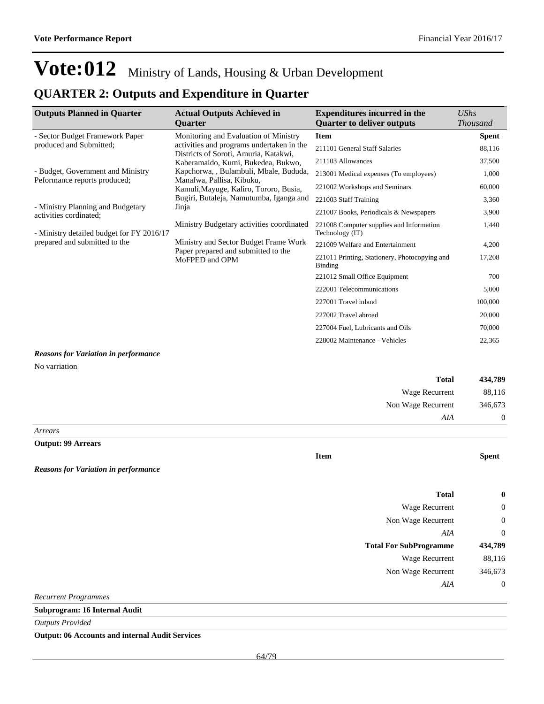## **QUARTER 2: Outputs and Expenditure in Quarter**

| <b>Outputs Planned in Quarter</b>                                   | <b>Actual Outputs Achieved in</b><br>Quarter                                      | <b>Expenditures incurred in the</b><br><b>Quarter to deliver outputs</b> | <b>UShs</b><br><b>Thousand</b> |
|---------------------------------------------------------------------|-----------------------------------------------------------------------------------|--------------------------------------------------------------------------|--------------------------------|
| - Sector Budget Framework Paper                                     | Monitoring and Evaluation of Ministry                                             | <b>Item</b>                                                              |                                |
| produced and Submitted;                                             | activities and programs undertaken in the                                         | 211101 General Staff Salaries                                            | <b>Spent</b><br>88,116         |
|                                                                     | Districts of Soroti, Amuria, Katakwi,<br>Kaberamaido, Kumi, Bukedea, Bukwo,       | 211103 Allowances                                                        | 37,500                         |
| - Budget, Government and Ministry                                   | Kapchorwa, , Bulambuli, Mbale, Bududa,                                            | 213001 Medical expenses (To employees)                                   | 1,000                          |
| Peformance reports produced;                                        | Manafwa, Pallisa, Kibuku,                                                         | 221002 Workshops and Seminars                                            | 60,000                         |
|                                                                     | Kamuli, Mayuge, Kaliro, Tororo, Busia,<br>Bugiri, Butaleja, Namutumba, Iganga and | 221003 Staff Training                                                    | 3,360                          |
| - Ministry Planning and Budgetary                                   | Jinja                                                                             | 221007 Books, Periodicals & Newspapers                                   | 3,900                          |
| activities cordinated;<br>- Ministry detailed budget for FY 2016/17 | Ministry Budgetary activities coordinated                                         | 221008 Computer supplies and Information<br>Technology (IT)              | 1,440                          |
| prepared and submitted to the                                       | Ministry and Sector Budget Frame Work                                             | 221009 Welfare and Entertainment                                         | 4,200                          |
|                                                                     | Paper prepared and submitted to the<br>MoFPED and OPM                             | 221011 Printing, Stationery, Photocopying and<br><b>Binding</b>          | 17,208                         |
|                                                                     |                                                                                   | 221012 Small Office Equipment                                            | 700                            |
|                                                                     |                                                                                   | 222001 Telecommunications                                                | 5,000                          |
|                                                                     |                                                                                   | 227001 Travel inland                                                     | 100,000                        |
|                                                                     |                                                                                   | 227002 Travel abroad                                                     | 20,000                         |
|                                                                     |                                                                                   | 227004 Fuel, Lubricants and Oils                                         | 70,000                         |
|                                                                     |                                                                                   | 228002 Maintenance - Vehicles                                            | 22,365                         |
| <b>Reasons for Variation in performance</b>                         |                                                                                   |                                                                          |                                |
| No varriation                                                       |                                                                                   |                                                                          |                                |
|                                                                     |                                                                                   | <b>Total</b>                                                             | 434,789                        |
|                                                                     |                                                                                   | Wage Recurrent                                                           | 88,116                         |
|                                                                     |                                                                                   | Non Wage Recurrent                                                       | 346,673                        |
|                                                                     |                                                                                   | AIA                                                                      | $\boldsymbol{0}$               |
| Arrears                                                             |                                                                                   |                                                                          |                                |
| <b>Output: 99 Arrears</b>                                           |                                                                                   |                                                                          |                                |
|                                                                     |                                                                                   | <b>Item</b>                                                              | <b>Spent</b>                   |
| <b>Reasons for Variation in performance</b>                         |                                                                                   |                                                                          |                                |
|                                                                     |                                                                                   | <b>Total</b>                                                             | 0                              |
|                                                                     |                                                                                   | Wage Recurrent                                                           | 0                              |
|                                                                     |                                                                                   | Non Wage Recurrent                                                       | 0                              |
|                                                                     |                                                                                   | AIA                                                                      | $\boldsymbol{0}$               |
|                                                                     |                                                                                   | <b>Total For SubProgramme</b>                                            | 434,789                        |
|                                                                     |                                                                                   | Wage Recurrent                                                           | 88,116                         |
|                                                                     |                                                                                   | Non Wage Recurrent                                                       | 346,673                        |
|                                                                     |                                                                                   | AIA                                                                      | $\boldsymbol{0}$               |
| <b>Recurrent Programmes</b>                                         |                                                                                   |                                                                          |                                |
| <b>Subprogram: 16 Internal Audit</b>                                |                                                                                   |                                                                          |                                |
| <b>Outputs Provided</b>                                             |                                                                                   |                                                                          |                                |

**Output: 06 Accounts and internal Audit Services**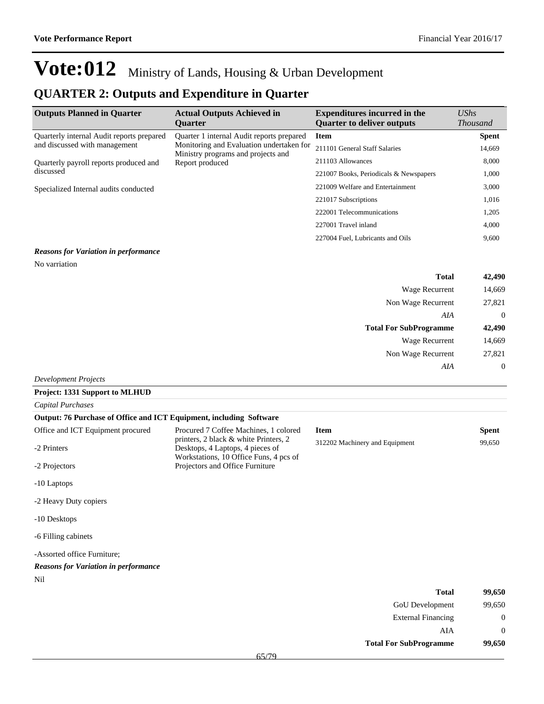$AIA \qquad \qquad 0$ 

**Total For SubProgramme 99,650**

## **Vote:012** Ministry of Lands, Housing & Urban Development

### **QUARTER 2: Outputs and Expenditure in Quarter**

| <b>Outputs Planned in Quarter</b>                   | <b>Actual Outputs Achieved in</b><br><b>Ouarter</b>                                                                                            | <b>Expenditures incurred in the</b><br><b>Ouarter to deliver outputs</b> | $\mathit{UShs}$<br><b>Thousand</b> |
|-----------------------------------------------------|------------------------------------------------------------------------------------------------------------------------------------------------|--------------------------------------------------------------------------|------------------------------------|
| Quarterly internal Audit reports prepared           | Ouarter 1 internal Audit reports prepared<br>Monitoring and Evaluation undertaken for<br>Ministry programs and projects and<br>Report produced | <b>Item</b>                                                              | <b>Spent</b>                       |
| and discussed with management                       |                                                                                                                                                | 211101 General Staff Salaries                                            | 14,669                             |
| Quarterly payroll reports produced and<br>discussed |                                                                                                                                                | 211103 Allowances                                                        | 8,000                              |
|                                                     |                                                                                                                                                | 221007 Books, Periodicals & Newspapers                                   | 1,000                              |
| Specialized Internal audits conducted               |                                                                                                                                                | 221009 Welfare and Entertainment                                         | 3,000                              |
|                                                     |                                                                                                                                                | 221017 Subscriptions                                                     | 1,016                              |
|                                                     |                                                                                                                                                | 222001 Telecommunications                                                | 1,205                              |
|                                                     |                                                                                                                                                | 227001 Travel inland                                                     | 4,000                              |
|                                                     |                                                                                                                                                | 227004 Fuel, Lubricants and Oils                                         | 9,600                              |

#### *Reasons for Variation in performance*

No varriation

| <b>Total</b>                  | 42,490         |
|-------------------------------|----------------|
| Wage Recurrent                | 14,669         |
| Non Wage Recurrent            | 27,821         |
| AIA                           | $\overline{0}$ |
| <b>Total For SubProgramme</b> | 42,490         |
| <b>Wage Recurrent</b>         | 14,669         |
| Non Wage Recurrent            | 27,821         |
| AIA                           | $\mathbf 0$    |
| $l$ onmant Droigate           |                |

#### *Development Projects*

| Project: 1331 Support to MLHUD                                      |                                                                                                                                                              |                                |              |
|---------------------------------------------------------------------|--------------------------------------------------------------------------------------------------------------------------------------------------------------|--------------------------------|--------------|
| <b>Capital Purchases</b>                                            |                                                                                                                                                              |                                |              |
| Output: 76 Purchase of Office and ICT Equipment, including Software |                                                                                                                                                              |                                |              |
| Office and ICT Equipment procured                                   | Procured 7 Coffee Machines, 1 colored<br>printers, 2 black & white Printers, 2<br>Desktops, 4 Laptops, 4 pieces of<br>Workstations, 10 Office Funs, 4 pcs of | <b>Item</b>                    | Spent        |
| -2 Printers                                                         |                                                                                                                                                              | 312202 Machinery and Equipment | 99,650       |
| -2 Projectors                                                       | Projectors and Office Furniture                                                                                                                              |                                |              |
| -10 Laptops                                                         |                                                                                                                                                              |                                |              |
| -2 Heavy Duty copiers                                               |                                                                                                                                                              |                                |              |
| -10 Desktops                                                        |                                                                                                                                                              |                                |              |
| -6 Filling cabinets                                                 |                                                                                                                                                              |                                |              |
| -Assorted office Furniture;                                         |                                                                                                                                                              |                                |              |
| <b>Reasons for Variation in performance</b>                         |                                                                                                                                                              |                                |              |
| Nil                                                                 |                                                                                                                                                              |                                |              |
|                                                                     |                                                                                                                                                              | <b>Total</b>                   | 99,650       |
|                                                                     |                                                                                                                                                              | <b>GoU</b> Development         | 99,650       |
|                                                                     |                                                                                                                                                              | <b>External Financing</b>      | $\mathbf{0}$ |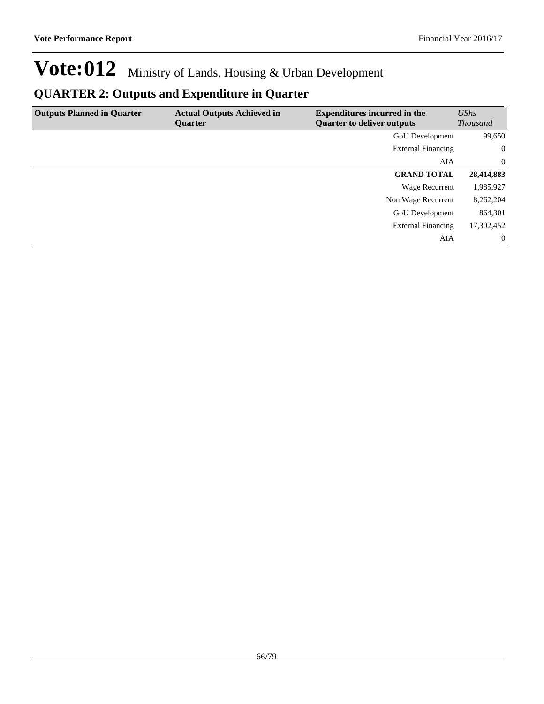## **QUARTER 2: Outputs and Expenditure in Quarter**

| <b>Outputs Planned in Quarter</b> | <b>Actual Outputs Achieved in</b><br>Quarter | <b>Expenditures incurred in the</b><br><b>Quarter to deliver outputs</b> | UShs<br><b>Thousand</b> |
|-----------------------------------|----------------------------------------------|--------------------------------------------------------------------------|-------------------------|
|                                   |                                              | GoU Development                                                          | 99,650                  |
|                                   |                                              | <b>External Financing</b>                                                | $\overline{0}$          |
|                                   |                                              | AIA                                                                      | $\overline{0}$          |
|                                   |                                              | <b>GRAND TOTAL</b>                                                       | 28,414,883              |
|                                   |                                              | Wage Recurrent                                                           | 1,985,927               |
|                                   |                                              | Non Wage Recurrent                                                       | 8,262,204               |
|                                   |                                              | <b>GoU</b> Development                                                   | 864,301                 |
|                                   |                                              | <b>External Financing</b>                                                | 17,302,452              |
|                                   |                                              | AIA                                                                      | $\overline{0}$          |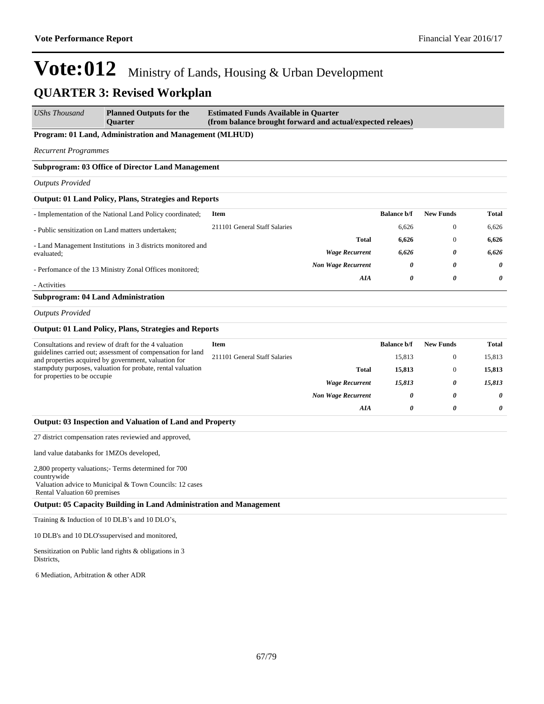| <b>UShs Thousand</b>                      | <b>Planned Outputs for the</b><br><b>Ouarter</b>                                                                    | <b>Estimated Funds Available in Quarter</b><br>(from balance brought forward and actual/expected releaes) |                           |                    |                       |              |
|-------------------------------------------|---------------------------------------------------------------------------------------------------------------------|-----------------------------------------------------------------------------------------------------------|---------------------------|--------------------|-----------------------|--------------|
|                                           | Program: 01 Land, Administration and Management (MLHUD)                                                             |                                                                                                           |                           |                    |                       |              |
| <b>Recurrent Programmes</b>               |                                                                                                                     |                                                                                                           |                           |                    |                       |              |
|                                           | <b>Subprogram: 03 Office of Director Land Management</b>                                                            |                                                                                                           |                           |                    |                       |              |
| <b>Outputs Provided</b>                   |                                                                                                                     |                                                                                                           |                           |                    |                       |              |
|                                           | <b>Output: 01 Land Policy, Plans, Strategies and Reports</b>                                                        |                                                                                                           |                           |                    |                       |              |
|                                           | - Implementation of the National Land Policy coordinated;                                                           | Item                                                                                                      |                           | <b>Balance b/f</b> | <b>New Funds</b>      | <b>Total</b> |
|                                           | - Public sensitization on Land matters undertaken;                                                                  | 211101 General Staff Salaries                                                                             |                           | 6,626              | $\mathbf{0}$          | 6,626        |
|                                           | - Land Management Institutions in 3 districts monitored and                                                         |                                                                                                           | Total                     | 6,626              | $\mathbf{0}$          | 6,626        |
| evaluated;                                |                                                                                                                     |                                                                                                           | <b>Wage Recurrent</b>     | 6,626              | 0                     | 6,626        |
|                                           | - Perfomance of the 13 Ministry Zonal Offices monitored;                                                            |                                                                                                           | <b>Non Wage Recurrent</b> | 0                  | 0                     | 0            |
| - Activities                              |                                                                                                                     |                                                                                                           | AIA                       | 0                  | 0                     | 0            |
| <b>Subprogram: 04 Land Administration</b> |                                                                                                                     |                                                                                                           |                           |                    |                       |              |
| <b>Outputs Provided</b>                   |                                                                                                                     |                                                                                                           |                           |                    |                       |              |
|                                           | <b>Output: 01 Land Policy, Plans, Strategies and Reports</b>                                                        |                                                                                                           |                           |                    |                       |              |
|                                           | Consultations and review of draft for the 4 valuation                                                               | <b>Item</b>                                                                                               |                           | <b>Balance b/f</b> | <b>New Funds</b>      | <b>Total</b> |
|                                           | guidelines carried out; assessment of compensation for land<br>and properties acquired by government, valuation for | 211101 General Staff Salaries                                                                             |                           | 15,813             | $\mathbf{0}$          | 15,813       |
| for properties to be occupie              | stampduty purposes, valuation for probate, rental valuation                                                         |                                                                                                           | Total                     | 15,813             | $\mathbf{0}$          | 15,813       |
|                                           |                                                                                                                     |                                                                                                           | <b>Wage Recurrent</b>     | 15,813             | 0                     | 15,813       |
|                                           |                                                                                                                     |                                                                                                           | <b>Non Wage Recurrent</b> | 0                  | 0                     | 0            |
|                                           |                                                                                                                     |                                                                                                           | AIA                       | 0                  | $\boldsymbol{\theta}$ | 0            |
|                                           | Output: 03 Inspection and Valuation of Land and Property                                                            |                                                                                                           |                           |                    |                       |              |
|                                           | 27 district compensation rates reviewied and approved,                                                              |                                                                                                           |                           |                    |                       |              |
| land value databanks for 1MZOs developed, |                                                                                                                     |                                                                                                           |                           |                    |                       |              |
|                                           | 2,800 property valuations;- Terms determined for 700                                                                |                                                                                                           |                           |                    |                       |              |
| countrywide                               | Valuation advice to Municipal & Town Councils: 12 cases                                                             |                                                                                                           |                           |                    |                       |              |
| Rental Valuation 60 premises              |                                                                                                                     |                                                                                                           |                           |                    |                       |              |
|                                           | <b>Output: 05 Capacity Building in Land Administration and Management</b>                                           |                                                                                                           |                           |                    |                       |              |
|                                           | Training & Induction of 10 DLB's and 10 DLO's,                                                                      |                                                                                                           |                           |                    |                       |              |
|                                           | 10 DLB's and 10 DLO'ssupervised and monitored,                                                                      |                                                                                                           |                           |                    |                       |              |
| Districts,                                | Sensitization on Public land rights & obligations in 3                                                              |                                                                                                           |                           |                    |                       |              |
| 6 Mediation, Arbitration & other ADR      |                                                                                                                     |                                                                                                           |                           |                    |                       |              |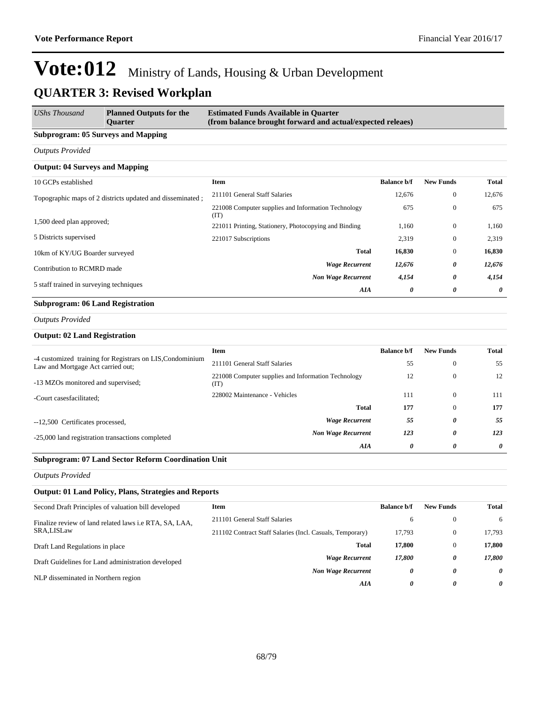| <b>UShs Thousand</b>                                             | <b>Planned Outputs for the</b><br><b>Ouarter</b> | <b>Estimated Funds Available in Quarter</b><br>(from balance brought forward and actual/expected releaes) |                    |                  |        |
|------------------------------------------------------------------|--------------------------------------------------|-----------------------------------------------------------------------------------------------------------|--------------------|------------------|--------|
| <b>Subprogram: 05 Surveys and Mapping</b>                        |                                                  |                                                                                                           |                    |                  |        |
| <b>Outputs Provided</b>                                          |                                                  |                                                                                                           |                    |                  |        |
| <b>Output: 04 Surveys and Mapping</b>                            |                                                  |                                                                                                           |                    |                  |        |
| 10 GCPs established                                              |                                                  | Item                                                                                                      | <b>Balance b/f</b> | <b>New Funds</b> | Total  |
| Topographic maps of 2 districts updated and disseminated;        |                                                  | 211101 General Staff Salaries                                                                             | 12,676             | $\mathbf{0}$     | 12,676 |
|                                                                  |                                                  | 221008 Computer supplies and Information Technology<br>(TT)                                               | 675                | $\theta$         | 675    |
| 1,500 deed plan approved;                                        |                                                  | 221011 Printing, Stationery, Photocopying and Binding                                                     | 1,160              | $\mathbf{0}$     | 1,160  |
| 5 Districts supervised                                           |                                                  | 221017 Subscriptions                                                                                      | 2,319              | $\mathbf{0}$     | 2,319  |
| 10km of KY/UG Boarder surveyed                                   |                                                  | <b>Total</b>                                                                                              | 16,830             | $\mathbf{0}$     | 16,830 |
| Contribution to RCMRD made                                       |                                                  | <b>Wage Recurrent</b>                                                                                     | 12,676             | 0                | 12,676 |
| 5 staff trained in surveying techniques                          |                                                  | <b>Non Wage Recurrent</b>                                                                                 | 4,154              | 0                | 4,154  |
|                                                                  |                                                  | AIA                                                                                                       | 0                  | 0                | 0      |
| $C_{\text{in}}$ because one on $\Lambda$ (Figure 3. Dependent on |                                                  |                                                                                                           |                    |                  |        |

### **Subprogram: 06 Land Registration**

*Outputs Provided*

#### **Output: 02 Land Registration**

|                                                                                                | <b>Item</b>                                                 | <b>Balance b/f</b> | <b>New Funds</b> | <b>Total</b> |
|------------------------------------------------------------------------------------------------|-------------------------------------------------------------|--------------------|------------------|--------------|
| -4 customized training for Registrars on LIS, Condominium<br>Law and Mortgage Act carried out; | 211101 General Staff Salaries                               | 55                 | $\mathbf{0}$     | 55           |
| -13 MZOs monitored and supervised;                                                             | 221008 Computer supplies and Information Technology<br>(IT) | 12                 | $\mathbf{0}$     | 12           |
| -Court cases facilitated;                                                                      | 228002 Maintenance - Vehicles                               | 111                | $\Omega$         | 111          |
|                                                                                                | Total                                                       | 177                | $\mathbf{0}$     | 177          |
| --12,500 Certificates processed,                                                               | <b>Wage Recurrent</b>                                       | 55                 | 0                | 55           |
| -25,000 land registration transactions completed                                               | <b>Non Wage Recurrent</b>                                   | 123                | 0                | 123          |
|                                                                                                | AIA                                                         | 0                  | 0                | 0            |

### **Subprogram: 07 Land Sector Reform Coordination Unit**

*Outputs Provided*

#### **Output: 01 Land Policy, Plans, Strategies and Reports**

| Second Draft Principles of valuation bill developed    | Item                                                      | <b>Balance b/f</b> | <b>New Funds</b> | Total    |
|--------------------------------------------------------|-----------------------------------------------------------|--------------------|------------------|----------|
| Finalize review of land related laws i.e RTA, SA, LAA, | 211101 General Staff Salaries                             | 6                  | $\mathbf{0}$     | 6        |
| SRA,LISLaw                                             | 211102 Contract Staff Salaries (Incl. Casuals, Temporary) | 17.793             | $\mathbf{0}$     | 17.793   |
| Draft Land Regulations in place                        | Total                                                     | 17.800             | $\mathbf{0}$     | 17.800   |
| Draft Guidelines for Land administration developed     | <b>Wage Recurrent</b>                                     | 17.800             | 0                | 17.800   |
|                                                        | <b>Non Wage Recurrent</b>                                 | 0                  | 0                | $\theta$ |
| NLP disseminated in Northern region                    | AIA                                                       | 0                  | 0                | 0        |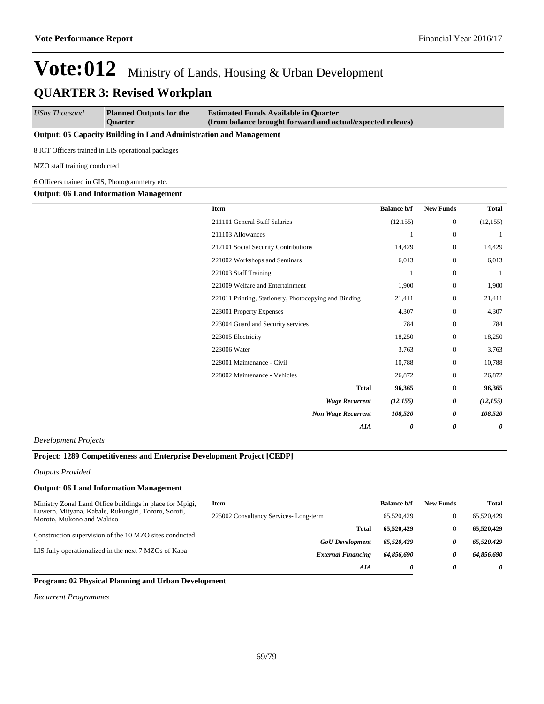| <b>UShs Thousand</b> | <b>Planned Outputs for the</b> | <b>Estimated Funds Available in Quarter</b>                |
|----------------------|--------------------------------|------------------------------------------------------------|
|                      | <b>Ouarter</b>                 | (from balance brought forward and actual/expected releaes) |

#### **Output: 05 Capacity Building in Land Administration and Management**

8 ICT Officers trained in LIS operational packages

MZO staff training conducted

6 Officers trained in GIS, Photogrammetry etc.

**Output: 06 Land Information Management**

| <b>Item</b>                                           | <b>Balance b/f</b> | <b>New Funds</b> | <b>Total</b> |
|-------------------------------------------------------|--------------------|------------------|--------------|
| 211101 General Staff Salaries                         | (12, 155)          | $\mathbf{0}$     | (12, 155)    |
| 211103 Allowances                                     | 1                  | $\mathbf{0}$     | 1            |
| 212101 Social Security Contributions                  | 14,429             | $\mathbf{0}$     | 14,429       |
| 221002 Workshops and Seminars                         | 6,013              | $\mathbf{0}$     | 6,013        |
| 221003 Staff Training                                 | 1                  | $\Omega$         | 1            |
| 221009 Welfare and Entertainment                      | 1,900              | $\mathbf{0}$     | 1,900        |
| 221011 Printing, Stationery, Photocopying and Binding | 21,411             | $\mathbf{0}$     | 21,411       |
| 223001 Property Expenses                              | 4,307              | $\mathbf{0}$     | 4,307        |
| 223004 Guard and Security services                    | 784                | $\mathbf{0}$     | 784          |
| 223005 Electricity                                    | 18,250             | $\mathbf{0}$     | 18,250       |
| 223006 Water                                          | 3,763              | $\mathbf{0}$     | 3,763        |
| 228001 Maintenance - Civil                            | 10,788             | $\mathbf{0}$     | 10,788       |
| 228002 Maintenance - Vehicles                         | 26,872             | $\mathbf{0}$     | 26,872       |
| <b>Total</b>                                          | 96,365             | $\mathbf{0}$     | 96,365       |
| <b>Wage Recurrent</b>                                 | (12, 155)          | 0                | (12, 155)    |
| <b>Non Wage Recurrent</b>                             | 108,520            | 0                | 108,520      |
| <b>AIA</b>                                            | 0                  | 0                | 0            |

*Development Projects*

#### **Project: 1289 Competitiveness and Enterprise Development Project [CEDP]**

*Outputs Provided*

| <b>Output: 06 Land Information Management</b>                                    |                                       |                    |                  |              |
|----------------------------------------------------------------------------------|---------------------------------------|--------------------|------------------|--------------|
| Ministry Zonal Land Office buildings in place for Mpigi,                         | Item                                  | <b>Balance b/f</b> | <b>New Funds</b> | <b>Total</b> |
| Luwero, Mityana, Kabale, Rukungiri, Tororo, Soroti,<br>Moroto, Mukono and Wakiso | 225002 Consultancy Services-Long-term | 65,520,429         |                  | 65,520,429   |
| Construction supervision of the 10 MZO sites conducted                           | Total                                 | 65,520,429         |                  | 65,520,429   |
|                                                                                  | <b>GoU</b> Development                | 65.520.429         | 0                | 65,520,429   |
| LIS fully operationalized in the next 7 MZOs of Kaba                             | <b>External Financing</b>             | 64,856,690         | 0                | 64,856,690   |
|                                                                                  | AIA                                   | 0                  | 0                | 0            |
| -----<br>-----<br>----                                                           |                                       |                    |                  |              |

### **Program: 02 Physical Planning and Urban Development**

*Recurrent Programmes*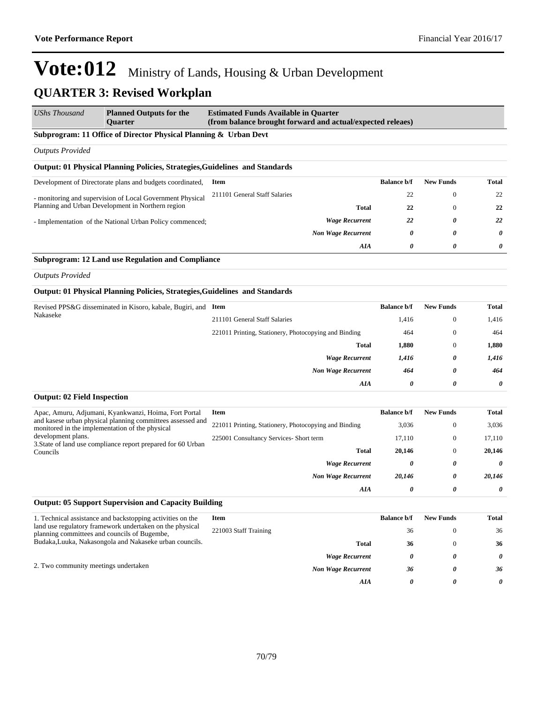2. Two community meetings undertaken

## **Vote:012** Ministry of Lands, Housing & Urban Development **QUARTER 3: Revised Workplan**

| <b>UShs Thousand</b>                                                       | <b>Planned Outputs for the</b><br><b>Ouarter</b>                                                               | <b>Estimated Funds Available in Quarter</b><br>(from balance brought forward and actual/expected releaes) |                       |                       |                       |
|----------------------------------------------------------------------------|----------------------------------------------------------------------------------------------------------------|-----------------------------------------------------------------------------------------------------------|-----------------------|-----------------------|-----------------------|
|                                                                            | Subprogram: 11 Office of Director Physical Planning & Urban Devt                                               |                                                                                                           |                       |                       |                       |
| <b>Outputs Provided</b>                                                    |                                                                                                                |                                                                                                           |                       |                       |                       |
|                                                                            | <b>Output: 01 Physical Planning Policies, Strategies, Guidelines and Standards</b>                             |                                                                                                           |                       |                       |                       |
|                                                                            | Development of Directorate plans and budgets coordinated,                                                      | <b>Item</b>                                                                                               | <b>Balance b/f</b>    | <b>New Funds</b>      | <b>Total</b>          |
|                                                                            |                                                                                                                | 211101 General Staff Salaries                                                                             | 22                    | $\boldsymbol{0}$      | 22                    |
|                                                                            | - monitoring and supervision of Local Government Physical<br>Planning and Urban Development in Northern region | <b>Total</b>                                                                                              | 22                    | $\boldsymbol{0}$      | 22                    |
|                                                                            | - Implementation of the National Urban Policy commenced;                                                       | <b>Wage Recurrent</b>                                                                                     | 22                    | 0                     | 22                    |
|                                                                            |                                                                                                                | <b>Non Wage Recurrent</b>                                                                                 | $\boldsymbol{\theta}$ | 0                     | $\boldsymbol{\theta}$ |
|                                                                            |                                                                                                                | <b>AIA</b>                                                                                                | $\boldsymbol{\theta}$ | 0                     | 0                     |
|                                                                            | <b>Subprogram: 12 Land use Regulation and Compliance</b>                                                       |                                                                                                           |                       |                       |                       |
| <b>Outputs Provided</b>                                                    |                                                                                                                |                                                                                                           |                       |                       |                       |
|                                                                            | <b>Output: 01 Physical Planning Policies, Strategies, Guidelines and Standards</b>                             |                                                                                                           |                       |                       |                       |
| Revised PPS&G disseminated in Kisoro, kabale, Bugiri, and Item<br>Nakaseke |                                                                                                                |                                                                                                           | <b>Balance b/f</b>    | <b>New Funds</b>      | <b>Total</b>          |
|                                                                            | 211101 General Staff Salaries                                                                                  | 1,416                                                                                                     | $\mathbf{0}$          | 1,416                 |                       |
|                                                                            | 221011 Printing, Stationery, Photocopying and Binding                                                          | 464                                                                                                       | $\boldsymbol{0}$      | 464                   |                       |
|                                                                            |                                                                                                                | <b>Total</b>                                                                                              | 1,880                 | $\boldsymbol{0}$      | 1,880                 |
|                                                                            |                                                                                                                | <b>Wage Recurrent</b>                                                                                     | 1,416                 | 0                     | 1,416                 |
|                                                                            |                                                                                                                | <b>Non Wage Recurrent</b>                                                                                 | 464                   | 0                     | 464                   |
|                                                                            |                                                                                                                | AIA                                                                                                       | 0                     | $\boldsymbol{\theta}$ | 0                     |
| <b>Output: 02 Field Inspection</b>                                         |                                                                                                                |                                                                                                           |                       |                       |                       |
|                                                                            | Apac, Amuru, Adjumani, Kyankwanzi, Hoima, Fort Portal                                                          | <b>Item</b>                                                                                               | <b>Balance b/f</b>    | <b>New Funds</b>      | <b>Total</b>          |
|                                                                            | and kasese urban physical planning committees assessed and<br>monitored in the implementation of the physical  | 221011 Printing, Stationery, Photocopying and Binding                                                     | 3,036                 | $\bf{0}$              | 3,036                 |
| development plans.                                                         | 3. State of land use compliance report prepared for 60 Urban                                                   | 225001 Consultancy Services- Short term                                                                   | 17,110                | $\boldsymbol{0}$      | 17,110                |
| Councils                                                                   |                                                                                                                | <b>Total</b>                                                                                              | 20,146                | $\boldsymbol{0}$      | 20,146                |
|                                                                            |                                                                                                                | <b>Wage Recurrent</b>                                                                                     | 0                     | 0                     | 0                     |
|                                                                            |                                                                                                                | <b>Non Wage Recurrent</b>                                                                                 | 20,146                | 0                     | 20,146                |
|                                                                            |                                                                                                                | <b>AIA</b>                                                                                                | 0                     | 0                     | 0                     |
|                                                                            | <b>Output: 05 Support Supervision and Capacity Building</b>                                                    |                                                                                                           |                       |                       |                       |
|                                                                            | 1. Technical assistance and backstopping activities on the                                                     | <b>Item</b>                                                                                               | <b>Balance b/f</b>    | <b>New Funds</b>      | <b>Total</b>          |
|                                                                            | land use regulatory framework undertaken on the physical<br>planning committees and councils of Bugembe,       | 221003 Staff Training                                                                                     | 36                    | $\boldsymbol{0}$      | 36                    |
|                                                                            | Budaka, Luuka, Nakasongola and Nakaseke urban councils.                                                        | <b>Total</b>                                                                                              | 36                    | $\boldsymbol{0}$      | 36                    |
|                                                                            |                                                                                                                | <b>Wage Recurrent</b>                                                                                     | 0                     | 0                     | $\boldsymbol{\theta}$ |

*Non Wage Recurrent 36 0 36*

*AIA 0 0 0*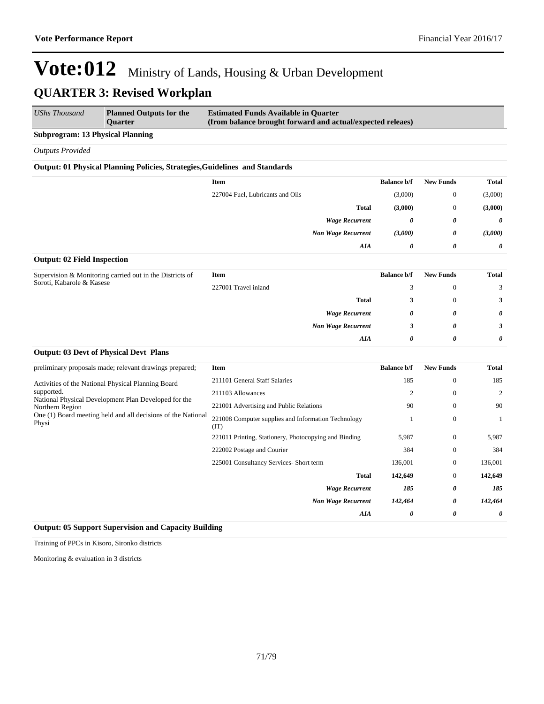| UShs Thousand | <b>Planned Outputs for the</b><br><b>Ouarter</b> | <b>Estimated Funds Available in Quarter</b><br>(from balance brought forward and actual/expected releaes) |
|---------------|--------------------------------------------------|-----------------------------------------------------------------------------------------------------------|
|               |                                                  |                                                                                                           |

**Subprogram: 13 Physical Planning**

*Outputs Provided*

#### **Output: 01 Physical Planning Policies, Strategies,Guidelines and Standards**

|                                                                          | Item                             | <b>Balance b/f</b> | <b>New Funds</b> | <b>Total</b>          |
|--------------------------------------------------------------------------|----------------------------------|--------------------|------------------|-----------------------|
|                                                                          | 227004 Fuel, Lubricants and Oils | (3,000)            | $\mathbf{0}$     | (3,000)               |
|                                                                          | <b>Total</b>                     | (3,000)            | $\mathbf{0}$     | (3,000)               |
|                                                                          | <b>Wage Recurrent</b>            | 0                  | 0                | $\boldsymbol{\theta}$ |
|                                                                          | <b>Non Wage Recurrent</b>        | (3,000)            | 0                | (3,000)               |
|                                                                          | AIA                              | 0                  | 0                | $\boldsymbol{\theta}$ |
| $\sim$ $\sim$ $\sim$ $\sim$ $\sim$ $\sim$ $\sim$ $\sim$<br>$\sim$ $\sim$ |                                  |                    |                  |                       |

#### **Output: 02 Field Inspection**

**Output: 03 Devt of Physical Devt Plans**

| Supervision & Monitoring carried out in the Districts of<br>Soroti, Kabarole & Kasese | Item                 |                           | <b>Balance b/f</b> | <b>New Funds</b> | <b>Total</b>          |
|---------------------------------------------------------------------------------------|----------------------|---------------------------|--------------------|------------------|-----------------------|
|                                                                                       | 227001 Travel inland |                           |                    | $\mathbf{0}$     |                       |
|                                                                                       |                      | <b>Total</b>              |                    | $\mathbf{0}$     | 3                     |
|                                                                                       |                      | <b>Wage Recurrent</b>     | 0                  | 0                | $\boldsymbol{\theta}$ |
|                                                                                       |                      | <b>Non Wage Recurrent</b> |                    | 0                |                       |
|                                                                                       |                      | AIA                       | 0                  | 0                | 0                     |

| preliminary proposals made; relevant drawings prepared;                                                     | Item                                                  | <b>Balance b/f</b> | <b>New Funds</b> | Total   |
|-------------------------------------------------------------------------------------------------------------|-------------------------------------------------------|--------------------|------------------|---------|
| Activities of the National Physical Planning Board                                                          | 211101 General Staff Salaries                         | 185                | $\theta$         | 185     |
| supported.                                                                                                  | 211103 Allowances                                     | $\overline{c}$     | $\mathbf{0}$     | 2       |
| National Physical Development Plan Developed for the<br>Northern Region                                     | 221001 Advertising and Public Relations               | 90                 | $\mathbf{0}$     | 90      |
| One (1) Board meeting held and all decisions of the National<br>Physi<br>(TT)<br>222002 Postage and Courier | 221008 Computer supplies and Information Technology   |                    | $\mathbf{0}$     |         |
|                                                                                                             | 221011 Printing, Stationery, Photocopying and Binding | 5,987              | $\mathbf{0}$     | 5,987   |
|                                                                                                             |                                                       | 384                | $\theta$         | 384     |
|                                                                                                             | 225001 Consultancy Services- Short term               | 136,001            | $\overline{0}$   | 136,001 |
|                                                                                                             | <b>Total</b>                                          | 142,649            | $\overline{0}$   | 142,649 |
| <b>Wage Recurrent</b>                                                                                       |                                                       | 185                | 0                | 185     |
|                                                                                                             | <b>Non Wage Recurrent</b>                             | 142,464            | 0                | 142,464 |
|                                                                                                             | AIA                                                   | 0                  | 0                | 0       |

#### **Output: 05 Support Supervision and Capacity Building**

Training of PPCs in Kisoro, Sironko districts

Monitoring & evaluation in 3 districts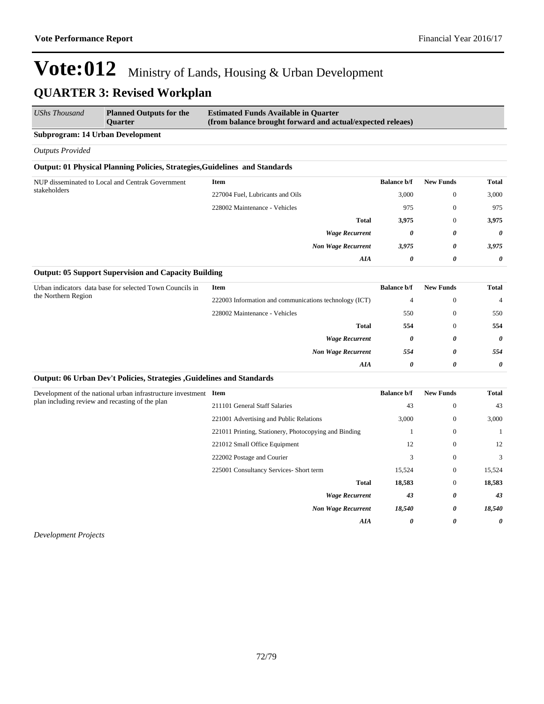| UShs Thousand           | <b>Planned Outputs for the</b><br><b>Ouarter</b>                            | <b>Estimated Funds Available in Quarter</b><br>(from balance brought forward and actual/expected releaes) |                           |                    |                  |                       |
|-------------------------|-----------------------------------------------------------------------------|-----------------------------------------------------------------------------------------------------------|---------------------------|--------------------|------------------|-----------------------|
|                         | <b>Subprogram: 14 Urban Development</b>                                     |                                                                                                           |                           |                    |                  |                       |
| <b>Outputs Provided</b> |                                                                             |                                                                                                           |                           |                    |                  |                       |
|                         | Output: 01 Physical Planning Policies, Strategies, Guidelines and Standards |                                                                                                           |                           |                    |                  |                       |
|                         | NUP disseminated to Local and Centrak Government                            | <b>Item</b>                                                                                               |                           | <b>Balance b/f</b> | <b>New Funds</b> | Total                 |
| stakeholders            |                                                                             | 227004 Fuel, Lubricants and Oils                                                                          |                           | 3,000              | $\mathbf{0}$     | 3,000                 |
|                         |                                                                             | 228002 Maintenance - Vehicles                                                                             |                           | 975                | $\mathbf{0}$     | 975                   |
|                         |                                                                             |                                                                                                           | <b>Total</b>              | 3,975              | $\mathbf{0}$     | 3,975                 |
|                         |                                                                             |                                                                                                           | <b>Wage Recurrent</b>     | 0                  | 0                | $\boldsymbol{\theta}$ |
|                         |                                                                             |                                                                                                           | <b>Non Wage Recurrent</b> | 3,975              | 0                | 3,975                 |
|                         |                                                                             |                                                                                                           | AIA                       | 0                  | 0                | 0                     |

#### **Output: 05 Support Supervision and Capacity Building**

| Urban indicators data base for selected Town Councils in<br>the Northern Region | <b>Item</b>                                            | <b>Balance b/f</b> | <b>New Funds</b> | Total          |
|---------------------------------------------------------------------------------|--------------------------------------------------------|--------------------|------------------|----------------|
|                                                                                 | 222003 Information and communications technology (ICT) | 4                  | $\theta$         | $\overline{4}$ |
|                                                                                 | 228002 Maintenance - Vehicles                          | 550                | 0                | 550            |
|                                                                                 | <b>Total</b>                                           | 554                |                  | 554            |
|                                                                                 | <b>Wage Recurrent</b>                                  | 0                  | 0                | 0              |
|                                                                                 | <b>Non Wage Recurrent</b>                              | 554                | 0                | 554            |
|                                                                                 | AIA                                                    | 0                  | 0                | $\theta$       |

#### **Output: 06 Urban Dev't Policies, Strategies ,Guidelines and Standards**

| Development of the national urban infrastructure investment<br>plan including review and recasting of the plan | Item                                                  | <b>Balance b/f</b> | <b>New Funds</b> | <b>Total</b> |
|----------------------------------------------------------------------------------------------------------------|-------------------------------------------------------|--------------------|------------------|--------------|
|                                                                                                                | 211101 General Staff Salaries                         | 43                 | $\mathbf{0}$     | 43           |
|                                                                                                                | 221001 Advertising and Public Relations               | 3,000              | $\mathbf{0}$     | 3,000        |
|                                                                                                                | 221011 Printing, Stationery, Photocopying and Binding |                    | $\mathbf{0}$     |              |
|                                                                                                                | 221012 Small Office Equipment                         | 12                 | $\mathbf{0}$     | 12           |
|                                                                                                                | 222002 Postage and Courier                            | 3                  | $\bf{0}$         | 3            |
|                                                                                                                | 225001 Consultancy Services- Short term               | 15,524             | $\mathbf{0}$     | 15,524       |
|                                                                                                                | <b>Total</b>                                          | 18,583             | $\mathbf{0}$     | 18,583       |
|                                                                                                                | <b>Wage Recurrent</b>                                 | 43                 | 0                | 43           |
|                                                                                                                | <b>Non Wage Recurrent</b>                             | 18,540             | 0                | 18,540       |
|                                                                                                                | AIA                                                   | 0                  | 0                | 0            |

*Development Projects*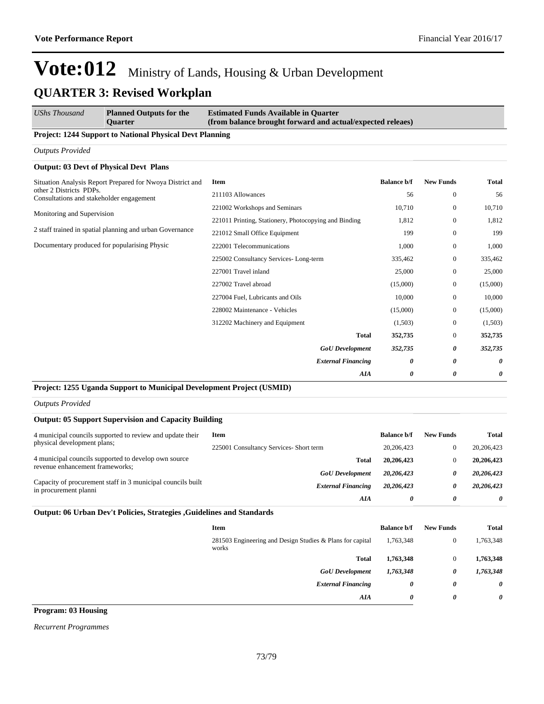| <b>UShs Thousand</b>                                                | <b>Planned Outputs for the</b><br><b>Ouarter</b>          | <b>Estimated Funds Available in Quarter</b><br>(from balance brought forward and actual/expected releaes) |                       |                  |          |
|---------------------------------------------------------------------|-----------------------------------------------------------|-----------------------------------------------------------------------------------------------------------|-----------------------|------------------|----------|
|                                                                     | Project: 1244 Support to National Physical Devt Planning  |                                                                                                           |                       |                  |          |
| <b>Outputs Provided</b>                                             |                                                           |                                                                                                           |                       |                  |          |
|                                                                     | <b>Output: 03 Devt of Physical Devt Plans</b>             |                                                                                                           |                       |                  |          |
|                                                                     | Situation Analysis Report Prepared for Nwoya District and | Item                                                                                                      | <b>Balance b/f</b>    | <b>New Funds</b> | Total    |
| other 2 Districts PDPs.<br>Consultations and stakeholder engagement | 211103 Allowances                                         | 56                                                                                                        | $\mathbf{0}$          | 56               |          |
| Monitoring and Supervision                                          | 221002 Workshops and Seminars                             | 10,710                                                                                                    | $\boldsymbol{0}$      | 10,710           |          |
|                                                                     | 221011 Printing, Stationery, Photocopying and Binding     | 1.812                                                                                                     | $\mathbf{0}$          | 1,812            |          |
| 2 staff trained in spatial planning and urban Governance            |                                                           | 221012 Small Office Equipment                                                                             | 199                   | $\mathbf{0}$     | 199      |
| Documentary produced for popularising Physic                        | 222001 Telecommunications                                 | 1,000                                                                                                     | $\boldsymbol{0}$      | 1,000            |          |
|                                                                     |                                                           | 225002 Consultancy Services-Long-term                                                                     | 335,462               | $\boldsymbol{0}$ | 335,462  |
|                                                                     |                                                           | 227001 Travel inland                                                                                      | 25,000                | $\mathbf{0}$     | 25,000   |
|                                                                     |                                                           | 227002 Travel abroad                                                                                      | (15,000)              | $\mathbf{0}$     | (15,000) |
|                                                                     |                                                           | 227004 Fuel, Lubricants and Oils                                                                          | 10,000                | $\mathbf{0}$     | 10,000   |
|                                                                     |                                                           | 228002 Maintenance - Vehicles                                                                             | (15,000)              | $\mathbf{0}$     | (15,000) |
|                                                                     |                                                           | 312202 Machinery and Equipment                                                                            | (1,503)               | $\boldsymbol{0}$ | (1,503)  |
|                                                                     |                                                           | <b>Total</b>                                                                                              | 352,735               | $\mathbf{0}$     | 352,735  |
|                                                                     |                                                           | <b>GoU</b> Development                                                                                    | 352,735               | 0                | 352,735  |
|                                                                     |                                                           | <b>External Financing</b>                                                                                 | $\boldsymbol{\theta}$ | 0                | 0        |
|                                                                     |                                                           | AIA                                                                                                       | 0                     | 0                | 0        |

### **Project: 1255 Uganda Support to Municipal Development Project (USMID)**

*Outputs Provided*

### **Output: 05 Support Supervision and Capacity Building**

| 4 municipal councils supported to review and update their<br>physical development plans; | Item                                    | <b>Balance b/f</b> | <b>New Funds</b> | Total      |
|------------------------------------------------------------------------------------------|-----------------------------------------|--------------------|------------------|------------|
|                                                                                          | 225001 Consultancy Services- Short term | 20,206,423         |                  | 20,206,423 |
| 4 municipal councils supported to develop own source<br>revenue enhancement frameworks:  | <b>Total</b>                            | 20,206,423         |                  | 20,206,423 |
|                                                                                          | <b>GoU</b> Development                  | 20,206,423         | 0                | 20,206,423 |
| Capacity of procurement staff in 3 municipal councils built<br>in procurement planni     | <b>External Financing</b>               | 20,206,423         | 0                | 20,206,423 |
|                                                                                          | AIA                                     | 0                  | 0                | 0          |

### **Output: 06 Urban Dev't Policies, Strategies ,Guidelines and Standards**

| 1,763,348 |
|-----------|
| 1,763,348 |
| 1,763,348 |
| 0         |
| 0         |
|           |

**Program: 03 Housing**

*Recurrent Programmes*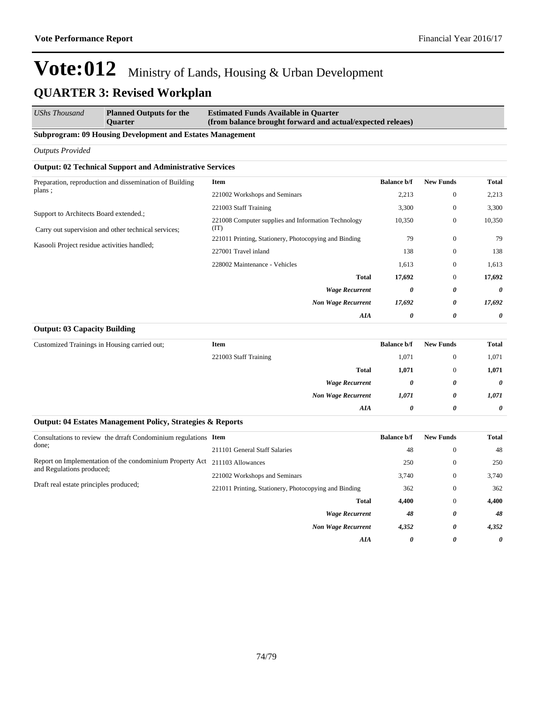*UShs Thousand* **Planned Outputs for the Quarter Estimated Funds Available in Quarter (from balance brought forward and actual/expected releaes)**

### **Subprogram: 09 Housing Development and Estates Management**

*Outputs Provided*

### **Output: 02 Technical Support and Administrative Services**

| Preparation, reproduction and dissemination of Building                                       | Item                                                        | <b>Balance b/f</b> | <b>New Funds</b> | Total  |
|-----------------------------------------------------------------------------------------------|-------------------------------------------------------------|--------------------|------------------|--------|
| plans;                                                                                        | 221002 Workshops and Seminars                               | 2,213              | $\mathbf{0}$     | 2,213  |
|                                                                                               | 221003 Staff Training                                       | 3,300              | $\mathbf{0}$     | 3,300  |
| Support to Architects Board extended.;<br>Carry out supervision and other technical services; | 221008 Computer supplies and Information Technology<br>(TT) | 10,350             | $\mathbf{0}$     | 10,350 |
|                                                                                               | 221011 Printing, Stationery, Photocopying and Binding       | 79                 | $\mathbf{0}$     | 79     |
| Kasooli Project residue activities handled;                                                   | 227001 Travel inland                                        | 138                | $\mathbf{0}$     | 138    |
|                                                                                               | 228002 Maintenance - Vehicles                               | 1,613              | $\mathbf{0}$     | 1,613  |
|                                                                                               | <b>Total</b>                                                | 17,692             | $\mathbf{0}$     | 17,692 |
|                                                                                               | <b>Wage Recurrent</b>                                       | 0                  | 0                | 0      |
|                                                                                               | <b>Non Wage Recurrent</b>                                   | 17,692             | 0                | 17,692 |
|                                                                                               | AIA                                                         | 0                  | 0                | 0      |

#### **Output: 03 Capacity Building**

| Customized Trainings in Housing carried out; | Item                  |                           | <b>Balance b/f</b>    | <b>New Funds</b> | <b>Total</b>          |
|----------------------------------------------|-----------------------|---------------------------|-----------------------|------------------|-----------------------|
|                                              | 221003 Staff Training |                           | 1,071                 | $\theta$         | 1,071                 |
|                                              |                       | <b>Total</b>              | 1,071                 | $\theta$         | 1,071                 |
|                                              |                       | <b>Wage Recurrent</b>     | 0                     | 0                | $\boldsymbol{\theta}$ |
|                                              |                       | <b>Non Wage Recurrent</b> | 1,071                 | 0                | 1,071                 |
|                                              |                       | AIA                       | $\boldsymbol{\theta}$ | 0                | $\boldsymbol{\theta}$ |

#### **Output: 04 Estates Management Policy, Strategies & Reports**

| Consultations to review the draft Condominium regulations Item                                                                  |                                                       | <b>Balance b/f</b> | <b>New Funds</b> | Total |
|---------------------------------------------------------------------------------------------------------------------------------|-------------------------------------------------------|--------------------|------------------|-------|
| done;                                                                                                                           | 211101 General Staff Salaries                         | 48                 | $\mathbf{0}$     | 48    |
| Report on Implementation of the condominium Property Act<br>and Regulations produced;<br>Draft real estate principles produced; | 211103 Allowances                                     | 250                | $\mathbf{0}$     | 250   |
|                                                                                                                                 | 221002 Workshops and Seminars                         | 3,740              | $\mathbf{0}$     | 3,740 |
|                                                                                                                                 | 221011 Printing, Stationery, Photocopying and Binding | 362                | $\mathbf{0}$     | 362   |
|                                                                                                                                 | <b>Total</b>                                          | 4,400              | $\mathbf{0}$     | 4,400 |
|                                                                                                                                 | <b>Wage Recurrent</b>                                 | 48                 | 0                | 48    |
|                                                                                                                                 | <b>Non Wage Recurrent</b>                             | 4,352              | 0                | 4,352 |
|                                                                                                                                 | AIA                                                   | 0                  | 0                | 0     |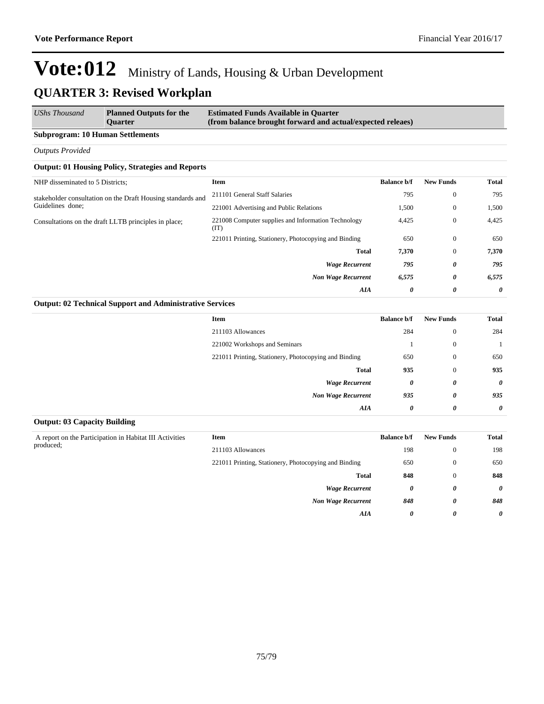| <b>UShs Thousand</b><br><b>Estimated Funds Available in Quarter</b><br><b>Planned Outputs for the</b><br>(from balance brought forward and actual/expected releaes)<br><b>Ouarter</b> |  |
|---------------------------------------------------------------------------------------------------------------------------------------------------------------------------------------|--|
|---------------------------------------------------------------------------------------------------------------------------------------------------------------------------------------|--|

### **Subprogram: 10 Human Settlements**

*Outputs Provided*

### **Output: 01 Housing Policy, Strategies and Reports**

| NHP disseminated to 5 Districts;                            | <b>Item</b>                                                 | <b>Balance b/f</b> | <b>New Funds</b> | <b>Total</b> |
|-------------------------------------------------------------|-------------------------------------------------------------|--------------------|------------------|--------------|
| stakeholder consultation on the Draft Housing standards and | 211101 General Staff Salaries                               | 795                | $\mathbf{0}$     | 795          |
| Guidelines done;                                            | 221001 Advertising and Public Relations                     | 1,500              | $\mathbf{0}$     | 1,500        |
| Consultations on the draft LLTB principles in place;        | 221008 Computer supplies and Information Technology<br>(TT) | 4,425              | $\mathbf{0}$     | 4,425        |
|                                                             | 221011 Printing, Stationery, Photocopying and Binding       | 650                | $\mathbf{0}$     | 650          |
|                                                             | <b>Total</b>                                                | 7,370              | $\mathbf{0}$     | 7,370        |
|                                                             | <b>Wage Recurrent</b>                                       | 795                | 0                | 795          |
|                                                             | <b>Non Wage Recurrent</b>                                   | 6,575              | 0                | 6,575        |
|                                                             | AIA                                                         | 0                  | 0                | 0            |

### **Output: 02 Technical Support and Administrative Services**

| <b>Total</b> | <b>New Funds</b>      | <b>Balance b/f</b> | <b>Item</b>                                           |
|--------------|-----------------------|--------------------|-------------------------------------------------------|
| 284          | $\mathbf{0}$          | 284                | 211103 Allowances                                     |
|              | $\bf{0}$              |                    | 221002 Workshops and Seminars                         |
| 650          | $\mathbf{0}$          | 650                | 221011 Printing, Stationery, Photocopying and Binding |
| 935          | $\mathbf{0}$          | 935                | <b>Total</b>                                          |
| $\theta$     | 0                     | 0                  | <b>Wage Recurrent</b>                                 |
| 935          | $\boldsymbol{\theta}$ | 935                | <b>Non Wage Recurrent</b>                             |
| $\theta$     | 0                     | 0                  | AIA                                                   |

### **Output: 03 Capacity Building**

| A report on the Participation in Habitat III Activities | <b>Item</b>                                           | <b>Balance b/f</b> | <b>New Funds</b> | Total                 |
|---------------------------------------------------------|-------------------------------------------------------|--------------------|------------------|-----------------------|
| produced;                                               | 211103 Allowances                                     | 198                | $\theta$         | 198                   |
|                                                         | 221011 Printing, Stationery, Photocopying and Binding | 650                | $\theta$         | 650                   |
|                                                         | <b>Total</b>                                          | 848                | $\theta$         | 848                   |
|                                                         | <b>Wage Recurrent</b>                                 | 0                  | 0                | $\boldsymbol{\theta}$ |
|                                                         | <b>Non Wage Recurrent</b>                             | 848                | 0                | 848                   |
|                                                         | AIA                                                   | 0                  | 0                | $\theta$              |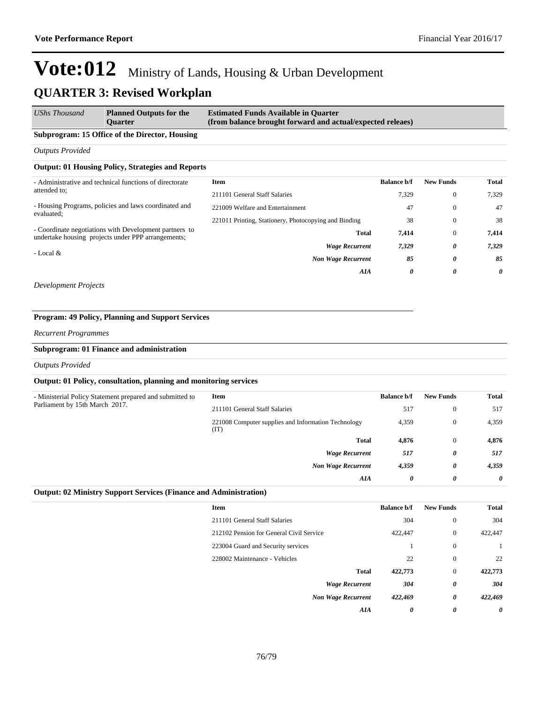*AIA 0 0 0*

### **Vote:012** Ministry of Lands, Housing & Urban Development **QUARTER 3: Revised Workplan**

| UShs Thousand                                           | <b>Planned Outputs for the</b><br><b>Ouarter</b>                                                             | <b>Estimated Funds Available in Quarter</b><br>(from balance brought forward and actual/expected releaes) |                  |              |       |
|---------------------------------------------------------|--------------------------------------------------------------------------------------------------------------|-----------------------------------------------------------------------------------------------------------|------------------|--------------|-------|
|                                                         | Subprogram: 15 Office of the Director, Housing                                                               |                                                                                                           |                  |              |       |
| <b>Outputs Provided</b>                                 |                                                                                                              |                                                                                                           |                  |              |       |
|                                                         | <b>Output: 01 Housing Policy, Strategies and Reports</b>                                                     |                                                                                                           |                  |              |       |
| - Administrative and technical functions of directorate | Item                                                                                                         | <b>Balance b/f</b>                                                                                        | <b>New Funds</b> | <b>Total</b> |       |
| attended to:                                            |                                                                                                              | 211101 General Staff Salaries                                                                             | 7,329            | $\mathbf{0}$ | 7.329 |
|                                                         | - Housing Programs, policies and laws coordinated and                                                        | 221009 Welfare and Entertainment                                                                          | 47               | $\mathbf{0}$ | 47    |
| evaluated:                                              | 221011 Printing, Stationery, Photocopying and Binding                                                        | 38                                                                                                        | $\mathbf{0}$     | 38           |       |
|                                                         | - Coordinate negotiations with Development partners to<br>undertake housing projects under PPP arrangements; | Total                                                                                                     | 7,414            | $\mathbf{0}$ | 7,414 |
|                                                         | <b>Wage Recurrent</b>                                                                                        | 7,329                                                                                                     | 0                | 7,329        |       |
| - Local &                                               |                                                                                                              | <b>Non Wage Recurrent</b>                                                                                 | 85               | 0            | 85    |

*Development Projects*

### **Program: 49 Policy, Planning and Support Services**

*Recurrent Programmes*

#### **Subprogram: 01 Finance and administration**

*Outputs Provided*

### **Output: 01 Policy, consultation, planning and monitoring services**

| - Ministerial Policy Statement prepared and submitted to | Item                                                        | <b>Balance b/f</b> | <b>New Funds</b> | <b>Total</b> |
|----------------------------------------------------------|-------------------------------------------------------------|--------------------|------------------|--------------|
| Parliament by 15th March 2017.                           | 211101 General Staff Salaries                               | 517                | $\overline{0}$   | 517          |
|                                                          | 221008 Computer supplies and Information Technology<br>(TT) | 4,359              | $\overline{0}$   | 4,359        |
|                                                          | <b>Total</b>                                                | 4,876              | $\Omega$         | 4,876        |
|                                                          | <b>Wage Recurrent</b>                                       | 517                | 0                | 517          |
|                                                          | <b>Non Wage Recurrent</b>                                   | 4,359              | 0                | 4,359        |
|                                                          | AIA                                                         | 0                  | 0                | $\theta$     |
|                                                          |                                                             |                    |                  |              |

#### **Output: 02 Ministry Support Services (Finance and Administration)**

| <b>Item</b>                              | <b>Balance b/f</b> | <b>New Funds</b>      | <b>Total</b> |
|------------------------------------------|--------------------|-----------------------|--------------|
| 211101 General Staff Salaries            | 304                | $\mathbf{0}$          | 304          |
| 212102 Pension for General Civil Service | 422,447            | $\mathbf{0}$          | 422,447      |
| 223004 Guard and Security services       |                    | $\mathbf{0}$          |              |
| 228002 Maintenance - Vehicles            | 22                 | $\mathbf{0}$          | 22           |
| <b>Total</b>                             | 422,773            | $\mathbf{0}$          | 422,773      |
| <b>Wage Recurrent</b>                    | 304                | 0                     | 304          |
| <b>Non Wage Recurrent</b>                | 422,469            | $\boldsymbol{\theta}$ | 422,469      |
| AIA                                      | 0                  | 0                     | 0            |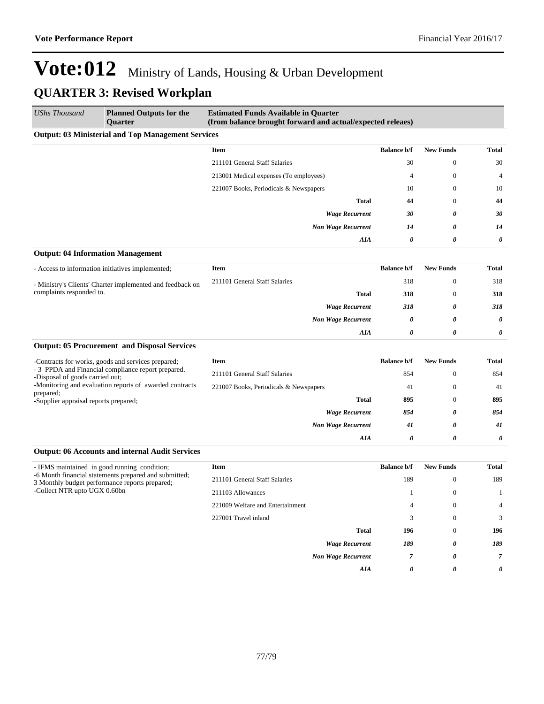*Non Wage Recurrent 41 0 41*

*AIA 0 0 0*

# **Vote:012** Ministry of Lands, Housing & Urban Development **QUARTER 3: Revised Workplan**

| <b>UShs Thousand</b>                                      | <b>Planned Outputs for the</b><br><b>Ouarter</b>          | <b>Estimated Funds Available in Quarter</b><br>(from balance brought forward and actual/expected releaes) |                    |                  |                       |
|-----------------------------------------------------------|-----------------------------------------------------------|-----------------------------------------------------------------------------------------------------------|--------------------|------------------|-----------------------|
|                                                           | <b>Output: 03 Ministerial and Top Management Services</b> |                                                                                                           |                    |                  |                       |
|                                                           |                                                           | Item                                                                                                      | <b>Balance b/f</b> | <b>New Funds</b> | <b>Total</b>          |
|                                                           |                                                           | 211101 General Staff Salaries                                                                             | 30                 | $\mathbf{0}$     | 30                    |
|                                                           |                                                           | 213001 Medical expenses (To employees)                                                                    | 4                  | $\mathbf{0}$     | 4                     |
|                                                           |                                                           | 221007 Books, Periodicals & Newspapers                                                                    | 10                 | $\mathbf{0}$     | 10                    |
|                                                           |                                                           | <b>Total</b>                                                                                              | 44                 | $\mathbf{0}$     | 44                    |
|                                                           |                                                           | <b>Wage Recurrent</b>                                                                                     | 30                 | 0                | 30                    |
|                                                           |                                                           | <b>Non Wage Recurrent</b>                                                                                 | 14                 | 0                | 14                    |
|                                                           |                                                           | AIA                                                                                                       | 0                  | 0                | $\boldsymbol{\theta}$ |
|                                                           | <b>Output: 04 Information Management</b>                  |                                                                                                           |                    |                  |                       |
|                                                           | - Access to information initiatives implemented;          | <b>Item</b>                                                                                               | <b>Balance b/f</b> | <b>New Funds</b> | <b>Total</b>          |
| - Ministry's Clients' Charter implemented and feedback on | 211101 General Staff Salaries                             | 318                                                                                                       | $\mathbf{0}$       | 318              |                       |
| complaints responded to.                                  |                                                           | <b>Total</b>                                                                                              | 318                | $\Omega$         | 318                   |
|                                                           |                                                           | <b>Wage Recurrent</b>                                                                                     | 318                | 0                | 318                   |
|                                                           |                                                           | <b>Non Wage Recurrent</b>                                                                                 | 0                  | 0                | 0                     |
|                                                           |                                                           | AIA                                                                                                       | 0                  | 0                | 0                     |
|                                                           | <b>Output: 05 Procurement and Disposal Services</b>       |                                                                                                           |                    |                  |                       |
|                                                           | -Contracts for works, goods and services prepared;        | Item                                                                                                      | <b>Balance b/f</b> | <b>New Funds</b> | <b>Total</b>          |
| -Disposal of goods carried out;                           | - 3 PPDA and Financial compliance report prepared.        | 211101 General Staff Salaries                                                                             | 854                | $\mathbf{0}$     | 854                   |
|                                                           | -Monitoring and evaluation reports of awarded contracts   | 221007 Books, Periodicals & Newspapers                                                                    | 41                 | $\mathbf{0}$     | 41                    |
| prepared;<br>-Supplier appraisal reports prepared;        |                                                           | <b>Total</b>                                                                                              | 895                | $\mathbf{0}$     | 895                   |
|                                                           |                                                           | <b>Wage Recurrent</b>                                                                                     | 854                | 0                | 854                   |

### **Output: 06 Accounts and internal Audit Services**

| - IFMS maintained in good running condition;<br>-6 Month financial statements prepared and submitted;<br>3 Monthly budget performance reports prepared;<br>-Collect NTR upto UGX 0.60bn | <b>Item</b>                      | <b>Balance b/f</b> | <b>New Funds</b> | Total          |
|-----------------------------------------------------------------------------------------------------------------------------------------------------------------------------------------|----------------------------------|--------------------|------------------|----------------|
|                                                                                                                                                                                         | 211101 General Staff Salaries    | 189                | $\theta$         | 189            |
|                                                                                                                                                                                         | 211103 Allowances                |                    | $\theta$         |                |
|                                                                                                                                                                                         | 221009 Welfare and Entertainment | 4                  | $\theta$         | $\overline{4}$ |
|                                                                                                                                                                                         | 227001 Travel inland             | 3                  | $\theta$         | 3              |
|                                                                                                                                                                                         | <b>Total</b>                     | 196                | $\theta$         | 196            |
|                                                                                                                                                                                         | <b>Wage Recurrent</b>            | 189                | 0                | 189            |
|                                                                                                                                                                                         | <b>Non Wage Recurrent</b>        |                    | 0                |                |
|                                                                                                                                                                                         | AIA                              | 0                  | 0                | 0              |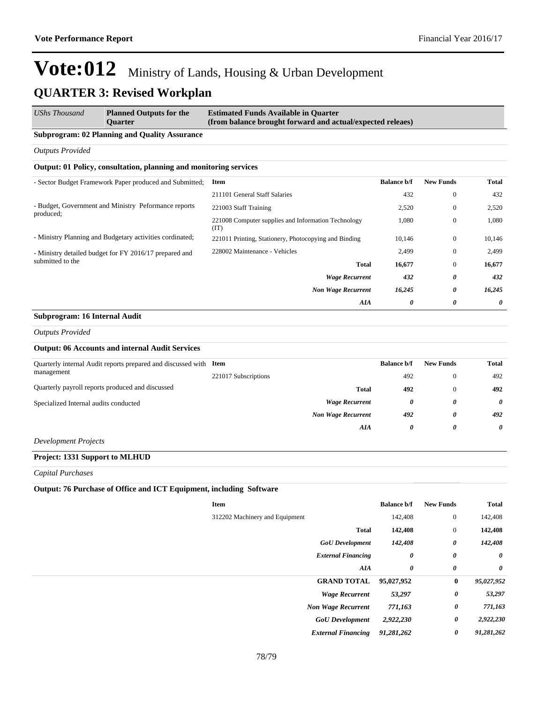| UShs Thousand                                                              | <b>Planned Outputs for the</b><br><b>Ouarter</b>                  | <b>Estimated Funds Available in Quarter</b><br>(from balance brought forward and actual/expected releaes) |                    |                  |        |  |  |  |  |
|----------------------------------------------------------------------------|-------------------------------------------------------------------|-----------------------------------------------------------------------------------------------------------|--------------------|------------------|--------|--|--|--|--|
|                                                                            | <b>Subprogram: 02 Planning and Quality Assurance</b>              |                                                                                                           |                    |                  |        |  |  |  |  |
| <b>Outputs Provided</b>                                                    |                                                                   |                                                                                                           |                    |                  |        |  |  |  |  |
|                                                                            | Output: 01 Policy, consultation, planning and monitoring services |                                                                                                           |                    |                  |        |  |  |  |  |
| - Sector Budget Framework Paper produced and Submitted;                    |                                                                   | Item                                                                                                      | <b>Balance b/f</b> | <b>New Funds</b> | Total  |  |  |  |  |
|                                                                            |                                                                   | 211101 General Staff Salaries                                                                             | 432                | $\bf{0}$         | 432    |  |  |  |  |
| - Budget, Government and Ministry Peformance reports<br>produced;          | 221003 Staff Training                                             | 2,520                                                                                                     | $\mathbf{0}$       | 2,520            |        |  |  |  |  |
|                                                                            | 221008 Computer supplies and Information Technology<br>(TT)       | 1,080                                                                                                     | $\mathbf{0}$       | 1,080            |        |  |  |  |  |
|                                                                            | - Ministry Planning and Budgetary activities cordinated;          | 221011 Printing, Stationery, Photocopying and Binding                                                     | 10,146             | $\mathbf{0}$     | 10,146 |  |  |  |  |
| - Ministry detailed budget for FY 2016/17 prepared and<br>submitted to the | 228002 Maintenance - Vehicles                                     | 2,499                                                                                                     | $\mathbf{0}$       | 2,499            |        |  |  |  |  |
|                                                                            |                                                                   | <b>Total</b>                                                                                              | 16,677             | $\mathbf{0}$     | 16,677 |  |  |  |  |
|                                                                            |                                                                   | <b>Wage Recurrent</b>                                                                                     | 432                | 0                | 432    |  |  |  |  |
|                                                                            |                                                                   | <b>Non Wage Recurrent</b>                                                                                 | 16,245             | 0                | 16,245 |  |  |  |  |
|                                                                            |                                                                   | AIA                                                                                                       | 0                  | 0                | 0      |  |  |  |  |

#### **Subprogram: 16 Internal Audit**

*Outputs Provided*

### **Output: 06 Accounts and internal Audit Services**

| Quarterly internal Audit reports prepared and discussed with Item<br>management |                           | <b>Balance b/f</b> | <b>New Funds</b> | Total                 |
|---------------------------------------------------------------------------------|---------------------------|--------------------|------------------|-----------------------|
|                                                                                 | 221017 Subscriptions      | 492                | $\theta$         | 492                   |
| Quarterly payroll reports produced and discussed                                | <b>Total</b>              | 492                | $\mathbf{0}$     | 492                   |
| Specialized Internal audits conducted                                           | <b>Wage Recurrent</b>     | 0                  | 0                | $\boldsymbol{\theta}$ |
|                                                                                 | <b>Non Wage Recurrent</b> | 492                | 0                | 492                   |
|                                                                                 | AIA                       | 0                  | 0                | 0                     |
| $\mathbf{D}$ $\mathbf{D}$ $\mathbf{D}$ $\mathbf{D}$ $\mathbf{D}$ $\mathbf{D}$   |                           |                    |                  |                       |

*Development Projects*

### **Project: 1331 Support to MLHUD**

*Capital Purchases*

### **Output: 76 Purchase of Office and ICT Equipment, including Software**

| Item                           | <b>Balance b/f</b> | <b>New Funds</b> | <b>Total</b>          |
|--------------------------------|--------------------|------------------|-----------------------|
| 312202 Machinery and Equipment | 142,408            | $\mathbf{0}$     | 142,408               |
| <b>Total</b>                   | 142,408            | $\boldsymbol{0}$ | 142,408               |
| <b>GoU</b> Development         | 142,408            | 0                | 142,408               |
| <b>External Financing</b>      | 0                  | 0                | $\boldsymbol{\theta}$ |
| AIA                            | 0                  | 0                | 0                     |
| <b>GRAND TOTAL</b>             | 95,027,952         | $\bf{0}$         | 95,027,952            |
| <b>Wage Recurrent</b>          | 53,297             | 0                | 53,297                |
| <b>Non Wage Recurrent</b>      | 771,163            | 0                | 771,163               |
| <b>GoU</b> Development         | 2,922,230          | 0                | 2,922,230             |
| <b>External Financing</b>      | 91,281,262         | 0                | 91,281,262            |